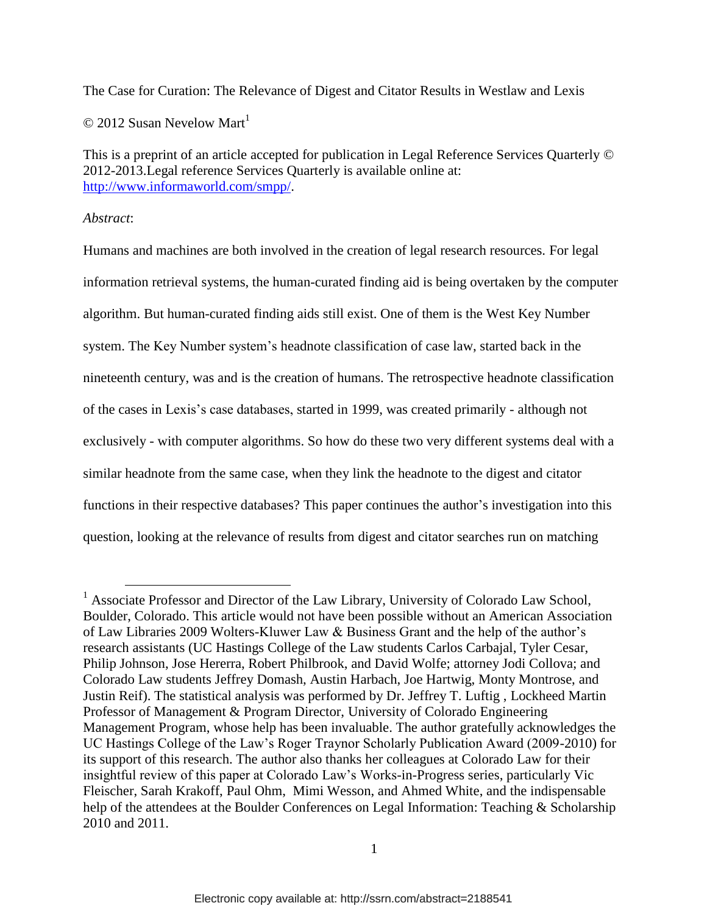The Case for Curation: The Relevance of Digest and Citator Results in Westlaw and Lexis

 $\odot$  2012 Susan Nevelow Mart<sup>1</sup>

This is a preprint of an article accepted for publication in Legal Reference Services Quarterly © 2012-2013.Legal reference Services Quarterly is available online at: [http://www.informaworld.com/smpp/.](http://www.informaworld.com/smpp/)

### *Abstract*:

 $\overline{a}$ 

Humans and machines are both involved in the creation of legal research resources. For legal information retrieval systems, the human-curated finding aid is being overtaken by the computer algorithm. But human-curated finding aids still exist. One of them is the West Key Number system. The Key Number system's headnote classification of case law, started back in the nineteenth century, was and is the creation of humans. The retrospective headnote classification of the cases in Lexis's case databases, started in 1999, was created primarily - although not exclusively - with computer algorithms. So how do these two very different systems deal with a similar headnote from the same case, when they link the headnote to the digest and citator functions in their respective databases? This paper continues the author's investigation into this question, looking at the relevance of results from digest and citator searches run on matching

<sup>&</sup>lt;sup>1</sup> Associate Professor and Director of the Law Library, University of Colorado Law School, Boulder, Colorado. This article would not have been possible without an American Association of Law Libraries 2009 Wolters-Kluwer Law & Business Grant and the help of the author's research assistants (UC Hastings College of the Law students Carlos Carbajal, Tyler Cesar, Philip Johnson, Jose Hererra, Robert Philbrook, and David Wolfe; attorney Jodi Collova; and Colorado Law students Jeffrey Domash, Austin Harbach, Joe Hartwig, Monty Montrose, and Justin Reif). The statistical analysis was performed by Dr. Jeffrey T. Luftig , Lockheed Martin Professor of Management & Program Director, University of Colorado Engineering Management Program, whose help has been invaluable. The author gratefully acknowledges the UC Hastings College of the Law's Roger Traynor Scholarly Publication Award (2009-2010) for its support of this research. The author also thanks her colleagues at Colorado Law for their insightful review of this paper at Colorado Law's Works-in-Progress series, particularly Vic Fleischer, Sarah Krakoff, Paul Ohm, Mimi Wesson, and Ahmed White, and the indispensable help of the attendees at the Boulder Conferences on Legal Information: Teaching & Scholarship 2010 and 2011.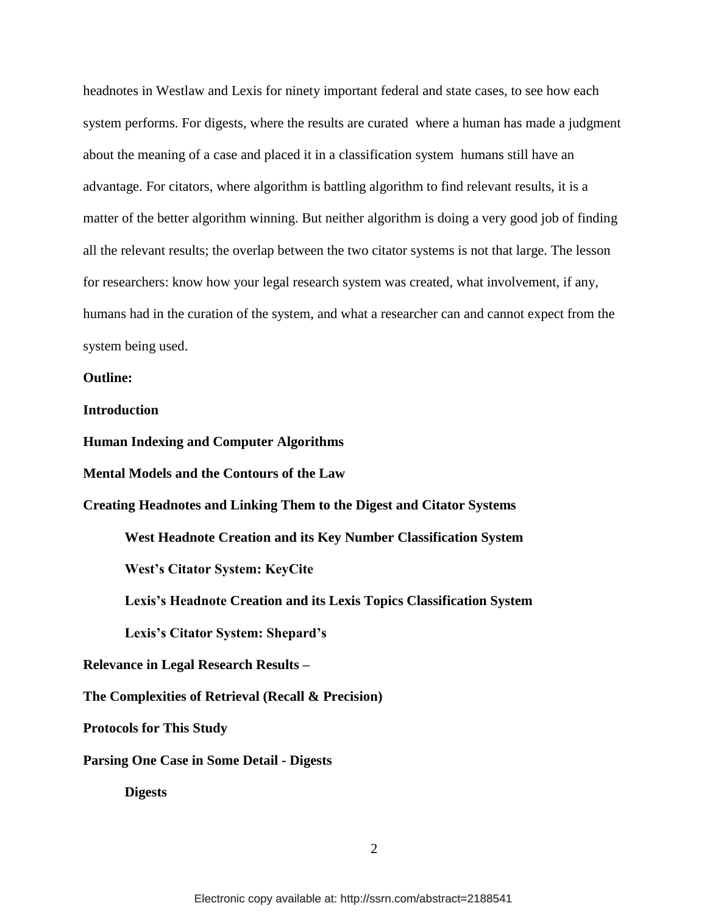headnotes in Westlaw and Lexis for ninety important federal and state cases, to see how each system performs. For digests, where the results are curated where a human has made a judgment about the meaning of a case and placed it in a classification system humans still have an advantage. For citators, where algorithm is battling algorithm to find relevant results, it is a matter of the better algorithm winning. But neither algorithm is doing a very good job of finding all the relevant results; the overlap between the two citator systems is not that large. The lesson for researchers: know how your legal research system was created, what involvement, if any, humans had in the curation of the system, and what a researcher can and cannot expect from the system being used.

#### **Outline:**

**Introduction**

**Human Indexing and Computer Algorithms**

**Mental Models and the Contours of the Law**

**Creating Headnotes and Linking Them to the Digest and Citator Systems**

**West Headnote Creation and its Key Number Classification System**

**West's Citator System: KeyCite**

**Lexis's Headnote Creation and its Lexis Topics Classification System**

**Lexis's Citator System: Shepard's**

**Relevance in Legal Research Results –**

**The Complexities of Retrieval (Recall & Precision)**

**Protocols for This Study** 

**Parsing One Case in Some Detail - Digests**

**Digests**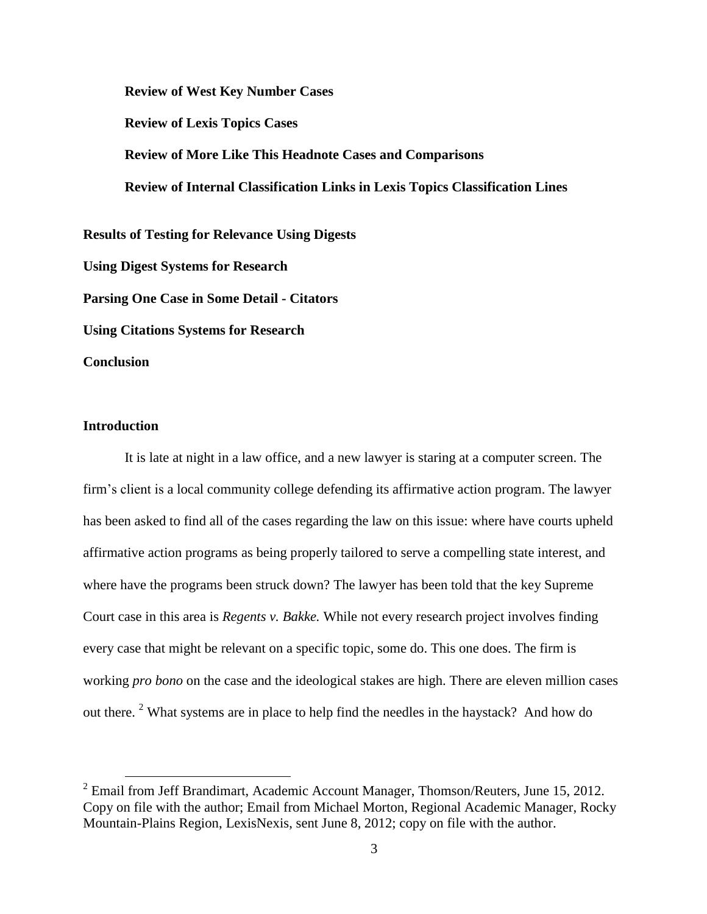**Review of West Key Number Cases**

**Review of Lexis Topics Cases**

**Review of More Like This Headnote Cases and Comparisons**

**Review of Internal Classification Links in Lexis Topics Classification Lines**

**Results of Testing for Relevance Using Digests Using Digest Systems for Research Parsing One Case in Some Detail - Citators Using Citations Systems for Research Conclusion**

## **Introduction**

 $\overline{a}$ 

It is late at night in a law office, and a new lawyer is staring at a computer screen. The firm's client is a local community college defending its affirmative action program. The lawyer has been asked to find all of the cases regarding the law on this issue: where have courts upheld affirmative action programs as being properly tailored to serve a compelling state interest, and where have the programs been struck down? The lawyer has been told that the key Supreme Court case in this area is *Regents v. Bakke.* While not every research project involves finding every case that might be relevant on a specific topic, some do. This one does. The firm is working *pro bono* on the case and the ideological stakes are high. There are eleven million cases out there. <sup>2</sup> What systems are in place to help find the needles in the haystack? And how do

 $2$  Email from Jeff Brandimart, Academic Account Manager, Thomson/Reuters, June 15, 2012. Copy on file with the author; Email from Michael Morton, Regional Academic Manager, Rocky Mountain-Plains Region, LexisNexis, sent June 8, 2012; copy on file with the author.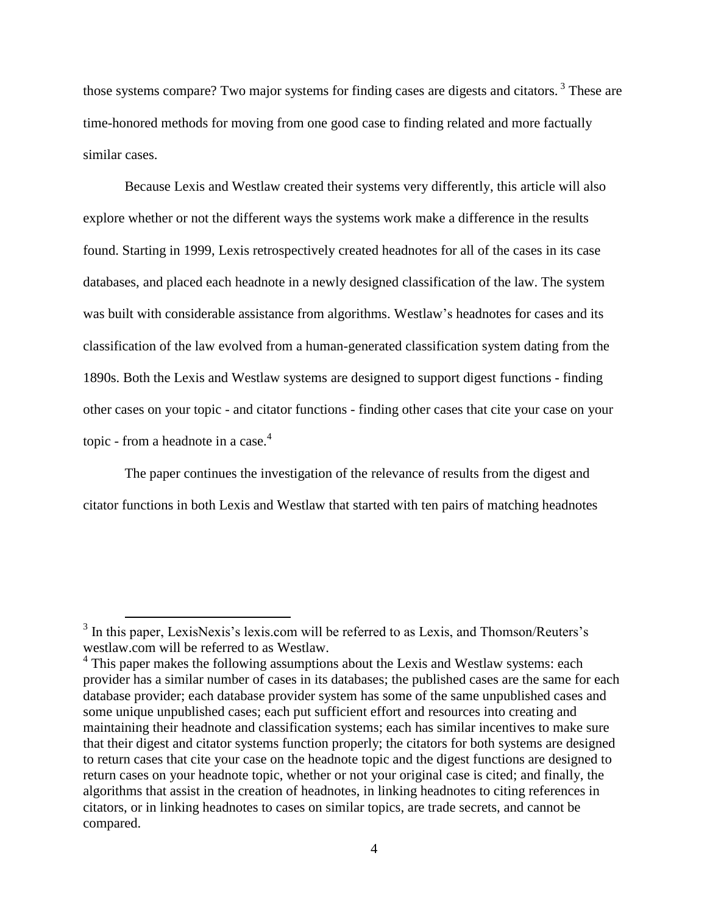those systems compare? Two major systems for finding cases are digests and citators.<sup>3</sup> These are time-honored methods for moving from one good case to finding related and more factually similar cases.

Because Lexis and Westlaw created their systems very differently, this article will also explore whether or not the different ways the systems work make a difference in the results found. Starting in 1999, Lexis retrospectively created headnotes for all of the cases in its case databases, and placed each headnote in a newly designed classification of the law. The system was built with considerable assistance from algorithms. Westlaw's headnotes for cases and its classification of the law evolved from a human-generated classification system dating from the 1890s. Both the Lexis and Westlaw systems are designed to support digest functions - finding other cases on your topic - and citator functions - finding other cases that cite your case on your topic - from a headnote in a case.<sup>4</sup>

The paper continues the investigation of the relevance of results from the digest and citator functions in both Lexis and Westlaw that started with ten pairs of matching headnotes

<sup>&</sup>lt;sup>3</sup> In this paper, LexisNexis's lexis.com will be referred to as Lexis, and Thomson/Reuters's westlaw.com will be referred to as Westlaw.

<sup>&</sup>lt;sup>4</sup> This paper makes the following assumptions about the Lexis and Westlaw systems: each provider has a similar number of cases in its databases; the published cases are the same for each database provider; each database provider system has some of the same unpublished cases and some unique unpublished cases; each put sufficient effort and resources into creating and maintaining their headnote and classification systems; each has similar incentives to make sure that their digest and citator systems function properly; the citators for both systems are designed to return cases that cite your case on the headnote topic and the digest functions are designed to return cases on your headnote topic, whether or not your original case is cited; and finally, the algorithms that assist in the creation of headnotes, in linking headnotes to citing references in citators, or in linking headnotes to cases on similar topics, are trade secrets, and cannot be compared.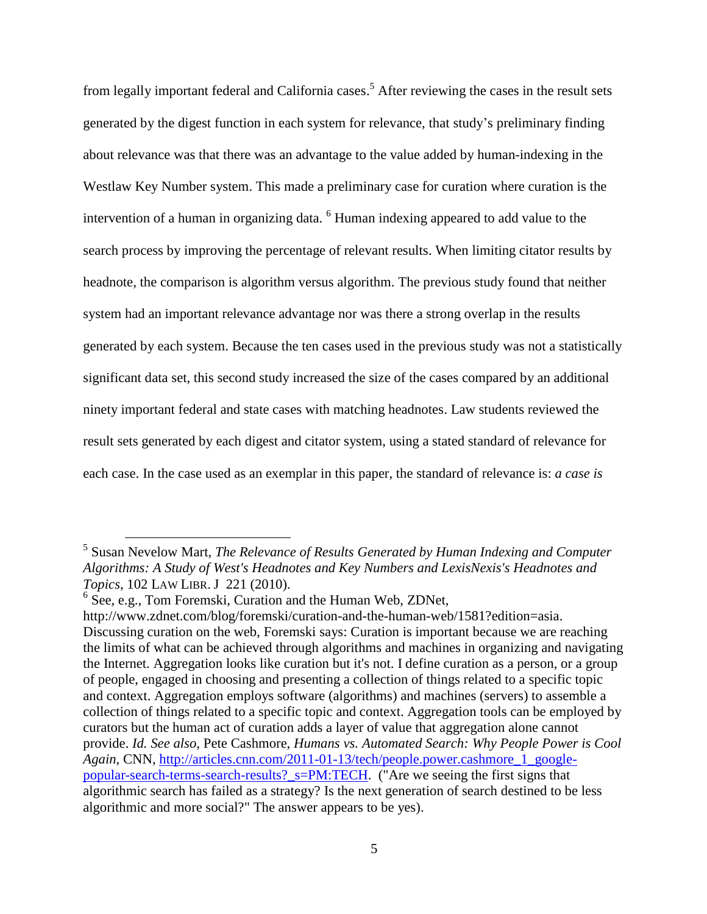from legally important federal and California cases. <sup>5</sup> After reviewing the cases in the result sets generated by the digest function in each system for relevance, that study's preliminary finding about relevance was that there was an advantage to the value added by human-indexing in the Westlaw Key Number system. This made a preliminary case for curation where curation is the intervention of a human in organizing data. <sup>6</sup> Human indexing appeared to add value to the search process by improving the percentage of relevant results. When limiting citator results by headnote, the comparison is algorithm versus algorithm. The previous study found that neither system had an important relevance advantage nor was there a strong overlap in the results generated by each system. Because the ten cases used in the previous study was not a statistically significant data set, this second study increased the size of the cases compared by an additional ninety important federal and state cases with matching headnotes. Law students reviewed the result sets generated by each digest and citator system, using a stated standard of relevance for each case. In the case used as an exemplar in this paper, the standard of relevance is: *a case is* 

 5 Susan Nevelow Mart, *[The Relevance of Results Generated by Human Indexing and Computer](http://www.aallnet.org/products/pub_llj_v102n02/2010-13.pdf)  [Algorithms: A Study of West's Headnotes and Key Numbers and LexisNexis's Headnotes and](http://www.aallnet.org/products/pub_llj_v102n02/2010-13.pdf)  [Topics](http://www.aallnet.org/products/pub_llj_v102n02/2010-13.pdf)*, 102 LAW LIBR. J 221 (2010).

<sup>&</sup>lt;sup>6</sup> See, e.g., Tom Foremski, Curation and the Human Web, ZDNet,

http://www.zdnet.com/blog/foremski/curation-and-the-human-web/1581?edition=asia. Discussing curation on the web, Foremski says: Curation is important because we are reaching the limits of what can be achieved through algorithms and machines in organizing and navigating the Internet. Aggregation looks like curation but it's not. I define curation as a person, or a group of people, engaged in choosing and presenting a collection of things related to a specific topic and context. Aggregation employs software (algorithms) and machines (servers) to assemble a collection of things related to a specific topic and context. Aggregation tools can be employed by curators but the human act of curation adds a layer of value that aggregation alone cannot provide. *Id. See also,* Pete Cashmore, *Humans vs. Automated Search: Why People Power is Cool Again*, CNN, [http://articles.cnn.com/2011-01-13/tech/people.power.cashmore\\_1\\_google](http://articles.cnn.com/2011-01-13/tech/people.power.cashmore_1_google-popular-search-terms-search-results?_s=PM:TECH)[popular-search-terms-search-results?\\_s=PM:TECH.](http://articles.cnn.com/2011-01-13/tech/people.power.cashmore_1_google-popular-search-terms-search-results?_s=PM:TECH) ("Are we seeing the first signs that algorithmic search has failed as a strategy? Is the next generation of search destined to be less algorithmic and more social?" The answer appears to be yes).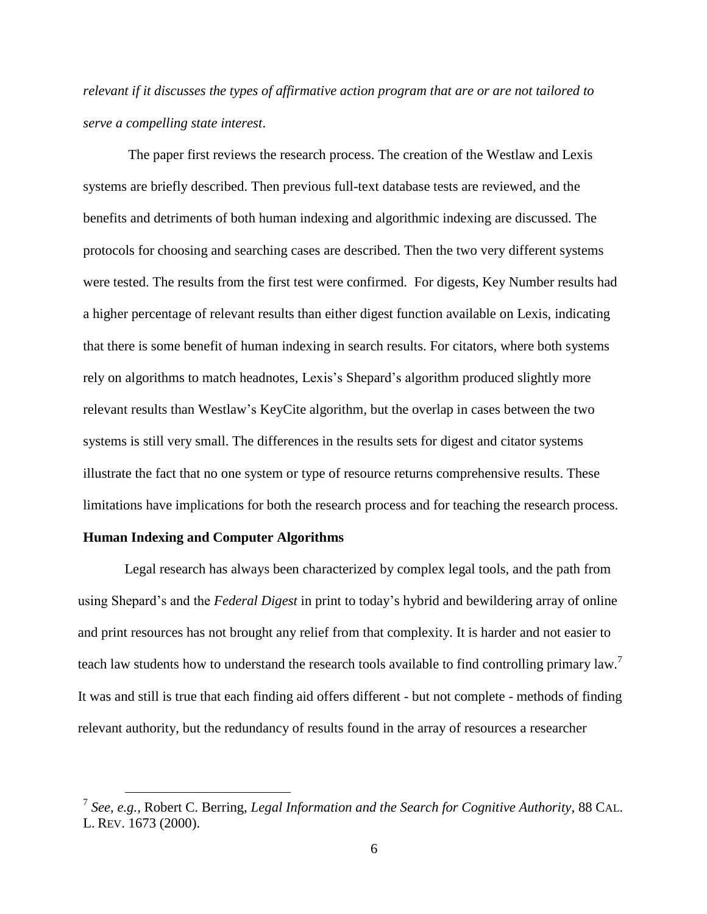*relevant if it discusses the types of affirmative action program that are or are not tailored to serve a compelling state interest*.

The paper first reviews the research process. The creation of the Westlaw and Lexis systems are briefly described. Then previous full-text database tests are reviewed, and the benefits and detriments of both human indexing and algorithmic indexing are discussed. The protocols for choosing and searching cases are described. Then the two very different systems were tested. The results from the first test were confirmed. For digests, Key Number results had a higher percentage of relevant results than either digest function available on Lexis, indicating that there is some benefit of human indexing in search results. For citators, where both systems rely on algorithms to match headnotes, Lexis's Shepard's algorithm produced slightly more relevant results than Westlaw's KeyCite algorithm, but the overlap in cases between the two systems is still very small. The differences in the results sets for digest and citator systems illustrate the fact that no one system or type of resource returns comprehensive results. These limitations have implications for both the research process and for teaching the research process.

#### **Human Indexing and Computer Algorithms**

 $\overline{a}$ 

Legal research has always been characterized by complex legal tools, and the path from using Shepard's and the *Federal Digest* in print to today's hybrid and bewildering array of online and print resources has not brought any relief from that complexity. It is harder and not easier to teach law students how to understand the research tools available to find controlling primary law.<sup>7</sup> It was and still is true that each finding aid offers different - but not complete - methods of finding relevant authority, but the redundancy of results found in the array of resources a researcher

<sup>7</sup> *See, e.g.,* Robert C. Berring, *Legal Information and the Search for Cognitive Authority*, 88 CAL. L. REV. 1673 (2000).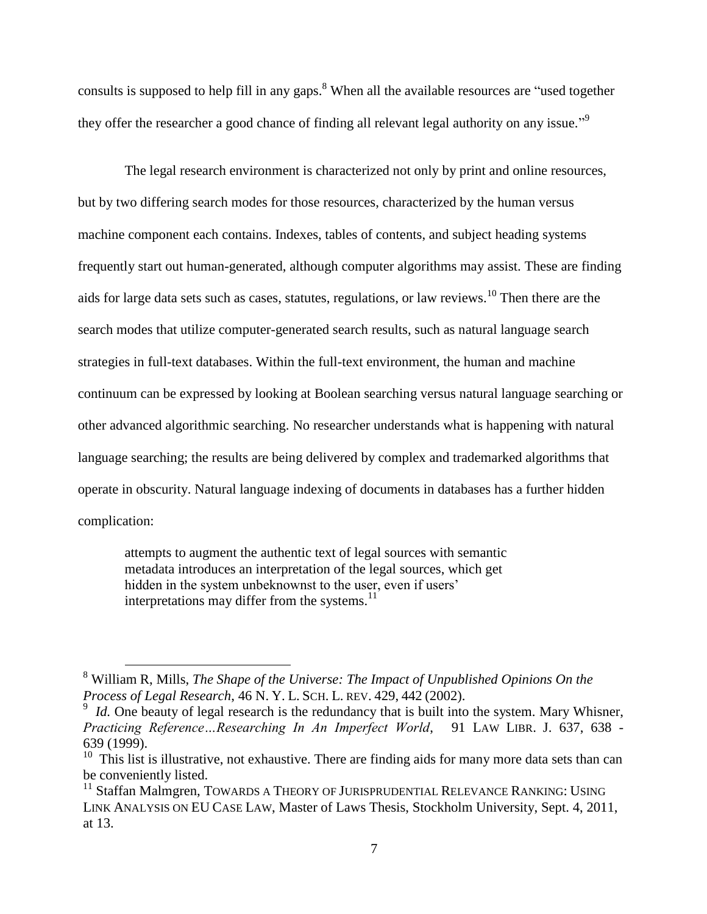consults is supposed to help fill in any gaps.<sup>8</sup> When all the available resources are "used together" they offer the researcher a good chance of finding all relevant legal authority on any issue."<sup>9</sup>

The legal research environment is characterized not only by print and online resources, but by two differing search modes for those resources, characterized by the human versus machine component each contains. Indexes, tables of contents, and subject heading systems frequently start out human-generated, although computer algorithms may assist. These are finding aids for large data sets such as cases, statutes, regulations, or law reviews.<sup>10</sup> Then there are the search modes that utilize computer-generated search results, such as natural language search strategies in full-text databases. Within the full-text environment, the human and machine continuum can be expressed by looking at Boolean searching versus natural language searching or other advanced algorithmic searching. No researcher understands what is happening with natural language searching; the results are being delivered by complex and trademarked algorithms that operate in obscurity. Natural language indexing of documents in databases has a further hidden complication:

attempts to augment the authentic text of legal sources with semantic metadata introduces an interpretation of the legal sources, which get hidden in the system unbeknownst to the user, even if users' interpretations may differ from the systems. $^{11}$ 

<sup>8</sup> William R, Mills, *The Shape of the Universe: The Impact of Unpublished Opinions On the Process of Legal Research*, 46 N. Y. L. SCH. L. REV. 429, 442 (2002).

<sup>&</sup>lt;sup>9</sup> *Id.* One beauty of legal research is the redundancy that is built into the system. Mary Whisner, *Practicing Reference…Researching In An Imperfect World*, 91 LAW LIBR. J. 637, 638 - 639 (1999).

 $10$  This list is illustrative, not exhaustive. There are finding aids for many more data sets than can be conveniently listed.

<sup>&</sup>lt;sup>11</sup> Staffan Malmgren, TOWARDS A THEORY OF JURISPRUDENTIAL RELEVANCE RANKING: USING LINK ANALYSIS ON EU CASE LAW, Master of Laws Thesis, Stockholm University, Sept. 4, 2011, at 13.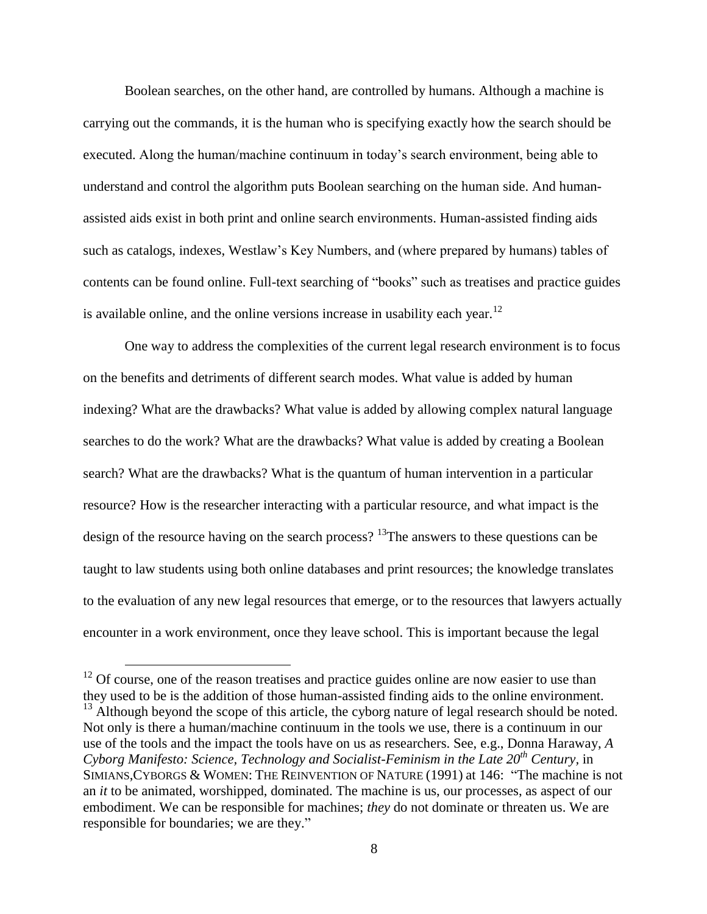Boolean searches, on the other hand, are controlled by humans. Although a machine is carrying out the commands, it is the human who is specifying exactly how the search should be executed. Along the human/machine continuum in today's search environment, being able to understand and control the algorithm puts Boolean searching on the human side. And humanassisted aids exist in both print and online search environments. Human-assisted finding aids such as catalogs, indexes, Westlaw's Key Numbers, and (where prepared by humans) tables of contents can be found online. Full-text searching of "books" such as treatises and practice guides is available online, and the online versions increase in usability each year.<sup>12</sup>

One way to address the complexities of the current legal research environment is to focus on the benefits and detriments of different search modes. What value is added by human indexing? What are the drawbacks? What value is added by allowing complex natural language searches to do the work? What are the drawbacks? What value is added by creating a Boolean search? What are the drawbacks? What is the quantum of human intervention in a particular resource? How is the researcher interacting with a particular resource, and what impact is the design of the resource having on the search process? <sup>13</sup>The answers to these questions can be taught to law students using both online databases and print resources; the knowledge translates to the evaluation of any new legal resources that emerge, or to the resources that lawyers actually encounter in a work environment, once they leave school. This is important because the legal

 $12$  Of course, one of the reason treatises and practice guides online are now easier to use than they used to be is the addition of those human-assisted finding aids to the online environment.  $13$  Although beyond the scope of this article, the cyborg nature of legal research should be noted. Not only is there a human/machine continuum in the tools we use, there is a continuum in our use of the tools and the impact the tools have on us as researchers. See, e.g., Donna Haraway, *A Cyborg Manifesto: Science, Technology and Socialist-Feminism in the Late 20th Century,* in SIMIANS,CYBORGS & WOMEN: THE REINVENTION OF NATURE (1991) at 146: "The machine is not an *it* to be animated, worshipped, dominated. The machine is us, our processes, as aspect of our embodiment. We can be responsible for machines; *they* do not dominate or threaten us. We are responsible for boundaries; we are they."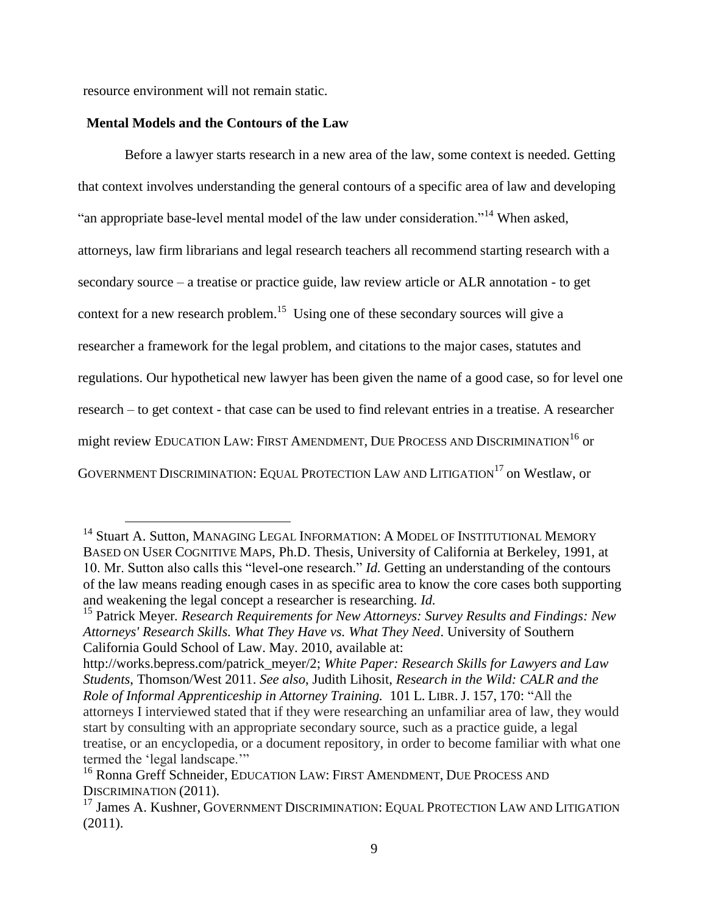resource environment will not remain static.

 $\overline{a}$ 

## **Mental Models and the Contours of the Law**

Before a lawyer starts research in a new area of the law, some context is needed. Getting that context involves understanding the general contours of a specific area of law and developing "an appropriate base-level mental model of the law under consideration."<sup>14</sup> When asked, attorneys, law firm librarians and legal research teachers all recommend starting research with a secondary source – a treatise or practice guide, law review article or ALR annotation - to get context for a new research problem.<sup>15</sup> Using one of these secondary sources will give a researcher a framework for the legal problem, and citations to the major cases, statutes and regulations. Our hypothetical new lawyer has been given the name of a good case, so for level one research – to get context - that case can be used to find relevant entries in a treatise. A researcher might review EDUCATION LAW: FIRST AMENDMENT, DUE PROCESS AND DISCRIMINATION<sup>16</sup> or GOVERNMENT DISCRIMINATION: EQUAL PROTECTION LAW AND LITIGATION<sup>17</sup> on Westlaw, or

<sup>&</sup>lt;sup>14</sup> Stuart A. Sutton, MANAGING LEGAL INFORMATION: A MODEL OF INSTITUTIONAL MEMORY BASED ON USER COGNITIVE MAPS, Ph.D. Thesis, University of California at Berkeley, 1991, at 10. Mr. Sutton also calls this "level-one research." *Id.* Getting an understanding of the contours of the law means reading enough cases in as specific area to know the core cases both supporting and weakening the legal concept a researcher is researching. *Id.* 

<sup>15</sup> Patrick Meyer*. Research Requirements for New Attorneys: Survey Results and Findings: New Attorneys' Research Skills. What They Have vs. What They Need*. University of Southern California Gould School of Law. May. 2010, available at:

http://works.bepress.com/patrick\_meyer/2; *White Paper: Research Skills for Lawyers and Law Students*, Thomson/West 2011. *See also*, Judith Lihosit, *Research in the Wild: CALR and the Role of Informal Apprenticeship in Attorney Training.* 101 L. LIBR. J. 157, 170: "All the attorneys I interviewed stated that if they were researching an unfamiliar area of law, they would start by consulting with an appropriate secondary source, such as a practice guide, a legal treatise, or an encyclopedia, or a document repository, in order to become familiar with what one termed the 'legal landscape.'"

<sup>&</sup>lt;sup>16</sup> Ronna Greff Schneider, EDUCATION LAW: FIRST AMENDMENT, DUE PROCESS AND DISCRIMINATION (2011).

<sup>&</sup>lt;sup>17</sup> James A. Kushner, GOVERNMENT DISCRIMINATION: EQUAL PROTECTION LAW AND LITIGATION (2011).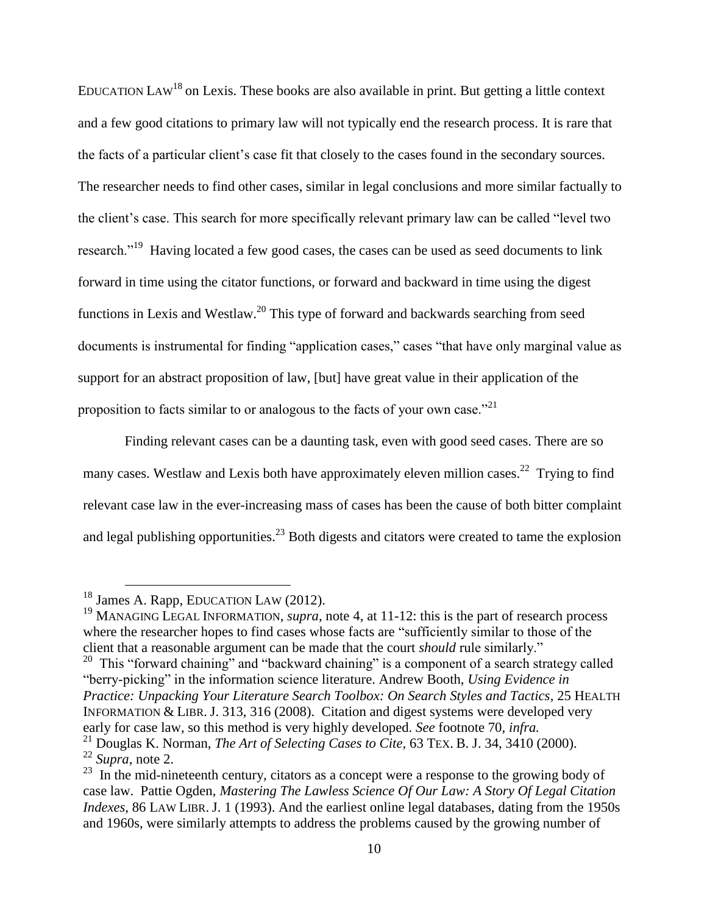EDUCATION LAW<sup>18</sup> on Lexis. These books are also available in print. But getting a little context and a few good citations to primary law will not typically end the research process. It is rare that the facts of a particular client's case fit that closely to the cases found in the secondary sources. The researcher needs to find other cases, similar in legal conclusions and more similar factually to the client's case. This search for more specifically relevant primary law can be called "level two research."<sup>19</sup> Having located a few good cases, the cases can be used as seed documents to link forward in time using the citator functions, or forward and backward in time using the digest functions in Lexis and Westlaw.<sup>20</sup> This type of forward and backwards searching from seed documents is instrumental for finding "application cases," cases "that have only marginal value as support for an abstract proposition of law, [but] have great value in their application of the proposition to facts similar to or analogous to the facts of your own case."<sup>21</sup>

Finding relevant cases can be a daunting task, even with good seed cases. There are so many cases. Westlaw and Lexis both have approximately eleven million cases.<sup>22</sup> Trying to find relevant case law in the ever-increasing mass of cases has been the cause of both bitter complaint and legal publishing opportunities.<sup>23</sup> Both digests and citators were created to tame the explosion

 $18$  James A. Rapp, EDUCATION LAW (2012).

<sup>&</sup>lt;sup>19</sup> MANAGING LEGAL INFORMATION, *supra*, note 4, at 11-12: this is the part of research process where the researcher hopes to find cases whose facts are "sufficiently similar to those of the client that a reasonable argument can be made that the court *should* rule similarly."

<sup>&</sup>lt;sup>20</sup> This "forward chaining" and "backward chaining" is a component of a search strategy called "berry-picking" in the information science literature. Andrew Booth, *Using Evidence in Practice: Unpacking Your Literature Search Toolbox: On Search Styles and Tactics*, 25 HEALTH INFORMATION & LIBR. J. 313, 316 (2008). Citation and digest systems were developed very early for case law, so this method is very highly developed. *See* footnote 70, *infra.*

<sup>21</sup> Douglas K. Norman, *The Art of Selecting Cases to Cite,* 63 TEX. B. J. 34, 3410 (2000). <sup>22</sup> *Supra*, note 2.

 $^{23}$  In the mid-nineteenth century, citators as a concept were a response to the growing body of case law. Pattie Ogden, *Mastering The Lawless Science Of Our Law: A Story Of Legal Citation Indexes*, 86 LAW LIBR. J. 1 (1993). And the earliest online legal databases, dating from the 1950s and 1960s, were similarly attempts to address the problems caused by the growing number of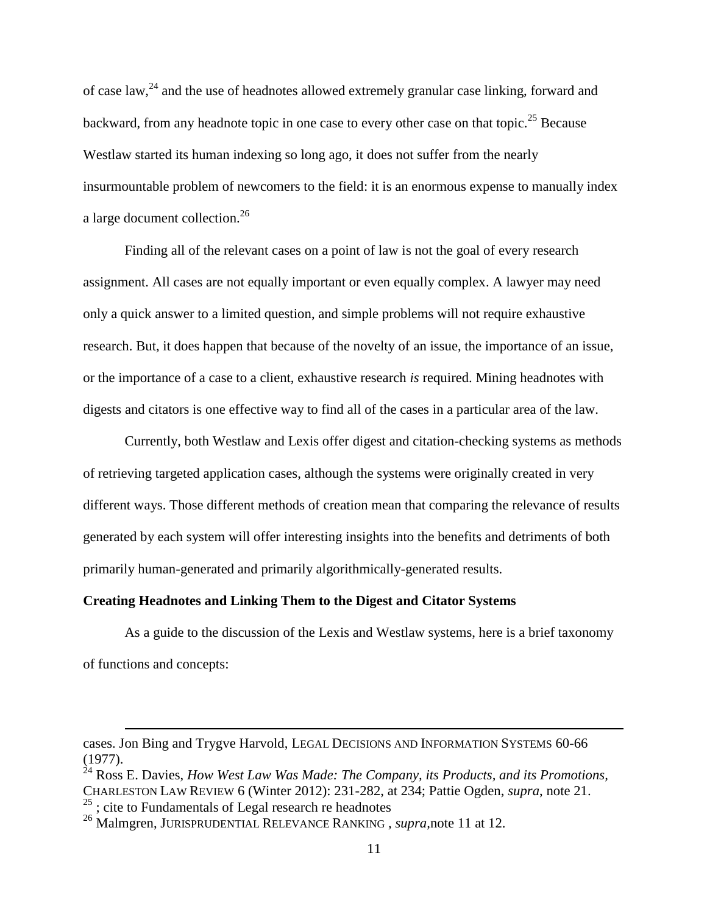of case law, $^{24}$  and the use of headnotes allowed extremely granular case linking, forward and backward, from any headnote topic in one case to every other case on that topic.<sup>25</sup> Because Westlaw started its human indexing so long ago, it does not suffer from the nearly insurmountable problem of newcomers to the field: it is an enormous expense to manually index a large document collection.<sup>26</sup>

Finding all of the relevant cases on a point of law is not the goal of every research assignment. All cases are not equally important or even equally complex. A lawyer may need only a quick answer to a limited question, and simple problems will not require exhaustive research. But, it does happen that because of the novelty of an issue, the importance of an issue, or the importance of a case to a client, exhaustive research *is* required. Mining headnotes with digests and citators is one effective way to find all of the cases in a particular area of the law.

Currently, both Westlaw and Lexis offer digest and citation-checking systems as methods of retrieving targeted application cases, although the systems were originally created in very different ways. Those different methods of creation mean that comparing the relevance of results generated by each system will offer interesting insights into the benefits and detriments of both primarily human-generated and primarily algorithmically-generated results.

### **Creating Headnotes and Linking Them to the Digest and Citator Systems**

As a guide to the discussion of the Lexis and Westlaw systems, here is a brief taxonomy of functions and concepts:

cases. Jon Bing and Trygve Harvold, LEGAL DECISIONS AND INFORMATION SYSTEMS 60-66 (1977).

<sup>&</sup>lt;sup>24</sup> Ross E. Davies, *How West Law Was Made: The Company, its Products, and its Promotions,* CHARLESTON LAW REVIEW 6 (Winter 2012): 231-282, at 234; Pattie Ogden, *supra*, note 21.

 $25$ ; cite to Fundamentals of Legal research re headnotes

<sup>26</sup> Malmgren, JURISPRUDENTIAL RELEVANCE RANKING *, supra,*note 11 at 12.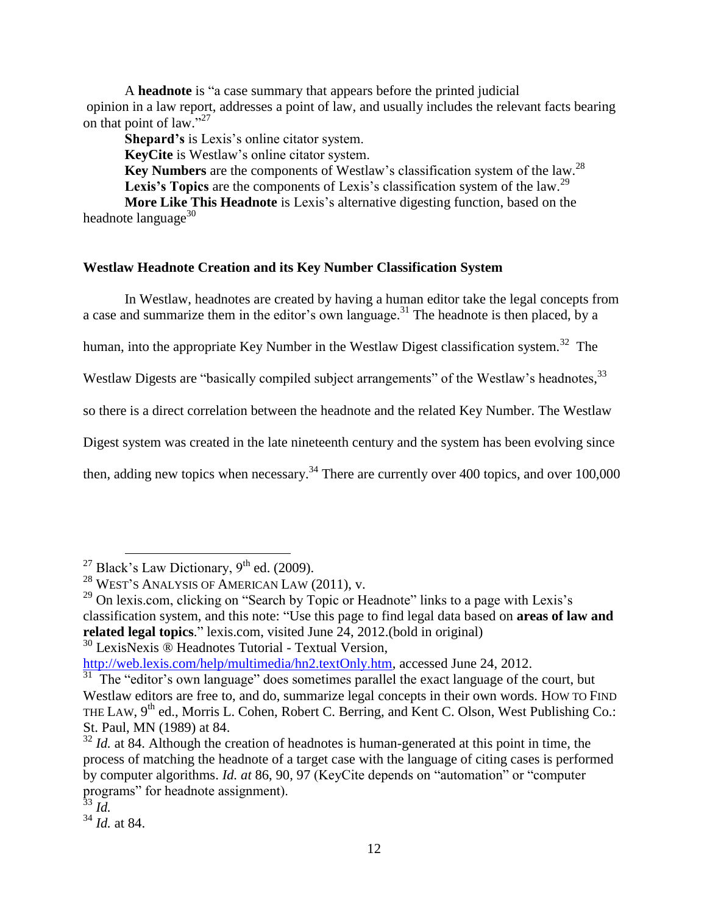A **headnote** is "a case summary that appears before the printed judicial opinion in a law report, addresses a point of law, and usually includes the relevant facts bearing on that point of law."<sup>27</sup>

**Shepard's** is Lexis's online citator system.

**KeyCite** is Westlaw's online citator system.

**Key Numbers** are the components of Westlaw's classification system of the law. 28

Lexis's Topics are the components of Lexis's classification system of the law.<sup>29</sup>

**More Like This Headnote** is Lexis's alternative digesting function, based on the headnote language $30<sup>30</sup>$ 

## **Westlaw Headnote Creation and its Key Number Classification System**

In Westlaw, headnotes are created by having a human editor take the legal concepts from a case and summarize them in the editor's own language.<sup>31</sup> The headnote is then placed, by a

human, into the appropriate Key Number in the Westlaw Digest classification system.<sup>32</sup> The

Westlaw Digests are "basically compiled subject arrangements" of the Westlaw's headnotes,<sup>33</sup>

so there is a direct correlation between the headnote and the related Key Number. The Westlaw

Digest system was created in the late nineteenth century and the system has been evolving since

then, adding new topics when necessary.<sup>34</sup> There are currently over 400 topics, and over  $100,000$ 

<sup>30</sup> LexisNexis ® Headnotes Tutorial - Textual Version,

<sup>&</sup>lt;sup>27</sup> Black's Law Dictionary, 9<sup>th</sup> ed. (2009).

<sup>28</sup> WEST'S ANALYSIS OF AMERICAN LAW (2011), v.

 $^{29}$  On lexis.com, clicking on "Search by Topic or Headnote" links to a page with Lexis's classification system, and this note: "Use this page to find legal data based on **areas of law and related legal topics**." lexis.com, visited June 24, 2012.(bold in original)

[http://web.lexis.com/help/multimedia/hn2.textOnly.htm,](http://web.lexis.com/help/multimedia/hn2.textOnly.htm) accessed June 24, 2012.<br><sup>31</sup> The "editor's own language" does sometimes parallel the exact language of the court, but Westlaw editors are free to, and do, summarize legal concepts in their own words. HOW TO FIND THE LAW,  $9<sup>th</sup>$  ed., Morris L. Cohen, Robert C. Berring, and Kent C. Olson, West Publishing Co.: St. Paul, MN (1989) at 84.

<sup>&</sup>lt;sup>32</sup> *Id.* at 84. Although the creation of headnotes is human-generated at this point in time, the process of matching the headnote of a target case with the language of citing cases is performed by computer algorithms. *Id. at* 86, 90, 97 (KeyCite depends on "automation" or "computer programs" for headnote assignment).

<sup>33</sup> *Id.*

<sup>34</sup> *Id.* at 84.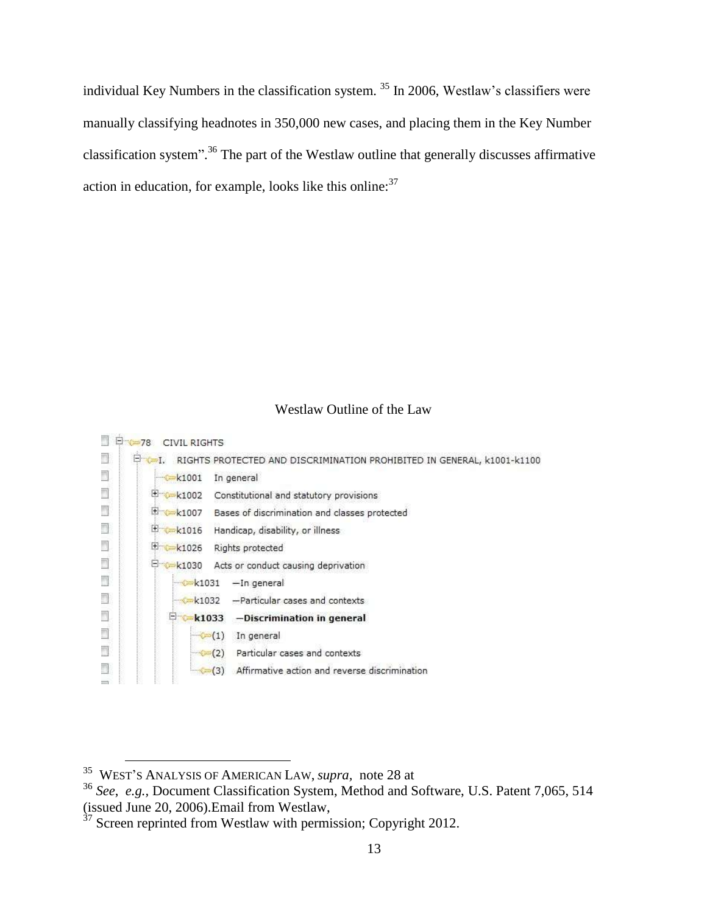individual Key Numbers in the classification system.<sup>35</sup> In 2006, Westlaw's classifiers were manually classifying headnotes in 350,000 new cases, and placing them in the Key Number classification system".<sup>36</sup> The part of the Westlaw outline that generally discusses affirmative action in education, for example, looks like this online: $37$ 

### Westlaw Outline of the Law



<sup>35</sup> WEST'S ANALYSIS OF AMERICAN LAW, *supra,* note 28 at

<sup>36</sup> *See*, *e.g.,* Document Classification System, Method and Software, U.S. Patent 7,065, 514 (issued June 20, 2006).Email from Westlaw,

 $37$  Screen reprinted from Westlaw with permission; Copyright 2012.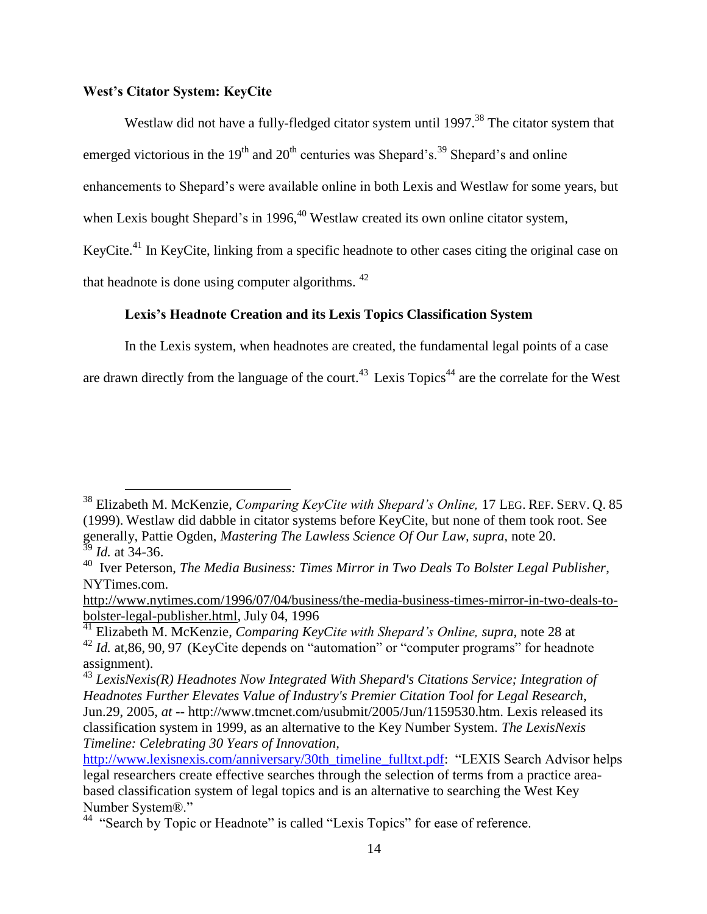## **West's Citator System: KeyCite**

 $\overline{a}$ 

Westlaw did not have a fully-fledged citator system until 1997.<sup>38</sup> The citator system that emerged victorious in the  $19<sup>th</sup>$  and  $20<sup>th</sup>$  centuries was Shepard's.<sup>39</sup> Shepard's and online enhancements to Shepard's were available online in both Lexis and Westlaw for some years, but when Lexis bought Shepard's in 1996, $40$  Westlaw created its own online citator system, KeyCite.<sup>41</sup> In KeyCite, linking from a specific headnote to other cases citing the original case on that headnote is done using computer algorithms.  $42$ 

## **Lexis's Headnote Creation and its Lexis Topics Classification System**

In the Lexis system, when headnotes are created, the fundamental legal points of a case

are drawn directly from the language of the court.<sup>43</sup> Lexis Topics<sup>44</sup> are the correlate for the West

<sup>38</sup> Elizabeth M. McKenzie, *Comparing KeyCite with Shepard's Online,* 17 LEG. REF. SERV. Q. 85 (1999). Westlaw did dabble in citator systems before KeyCite, but none of them took root. See generally, Pattie Ogden, *Mastering The Lawless Science Of Our Law, supra,* note 20. <sup>39</sup> *Id.* at 34-36.

<sup>40</sup> Iver Peterson, *The Media Business: Times Mirror in Two Deals To Bolster Legal Publisher*, NYTimes.com.

[http://www.nytimes.com/1996/07/04/business/the-media-business-times-mirror-in-two-deals-to](http://www.nytimes.com/1996/07/04/business/the-media-business-times-mirror-in-two-deals-to-bolster-legal-publisher.html)[bolster-legal-publisher.html,](http://www.nytimes.com/1996/07/04/business/the-media-business-times-mirror-in-two-deals-to-bolster-legal-publisher.html) July 04, 1996

<sup>41</sup> Elizabeth M. McKenzie, *Comparing KeyCite with Shepard's Online, supra,* note 28 at

<sup>&</sup>lt;sup>42</sup> *Id.* at, 86, 90, 97 (KeyCite depends on "automation" or "computer programs" for headnote assignment).

<sup>43</sup> *LexisNexis(R) Headnotes Now Integrated With Shepard's Citations Service; Integration of Headnotes Further Elevates Value of Industry's Premier Citation Tool for Legal Research*, Jun.29, 2005, *at* -- http://www.tmcnet.com/usubmit/2005/Jun/1159530.htm. Lexis released its classification system in 1999, as an alternative to the Key Number System. *The LexisNexis Timeline: Celebrating 30 Years of Innovation,* 

[http://www.lexisnexis.com/anniversary/30th\\_timeline\\_fulltxt.pdf:](http://www.lexisnexis.com/anniversary/30th_timeline_fulltxt.pdf) "LEXIS Search Advisor helps legal researchers create effective searches through the selection of terms from a practice areabased classification system of legal topics and is an alternative to searching the West Key Number System®."

<sup>&</sup>lt;sup>44</sup> "Search by Topic or Headnote" is called "Lexis Topics" for ease of reference.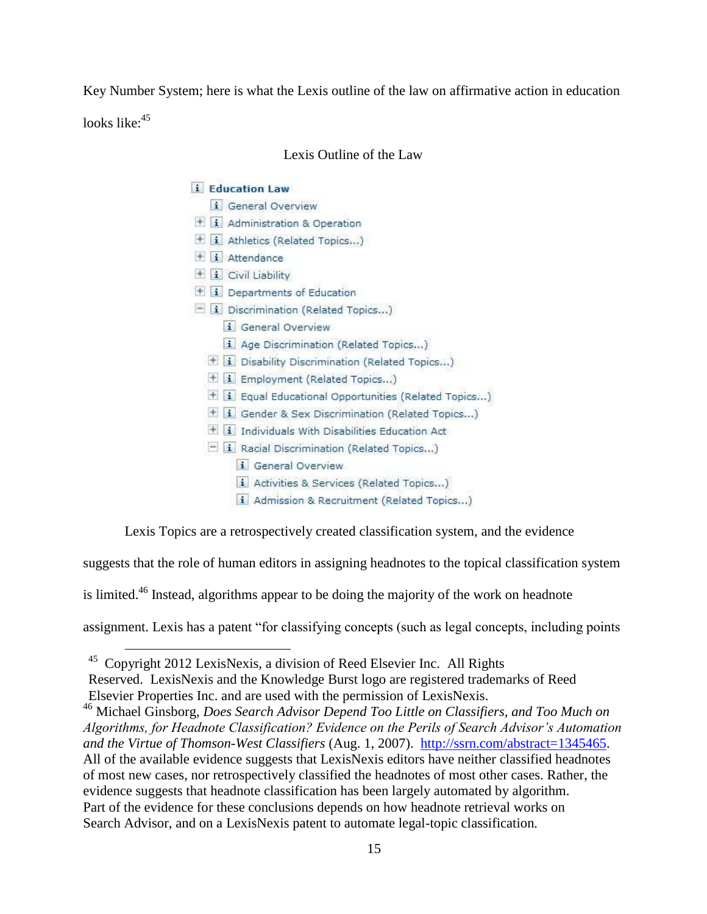Key Number System; here is what the Lexis outline of the law on affirmative action in education looks like: 45

## Lexis Outline of the Law

## **i** Education Law

- i General Overview
- $+$   $\overline{\mathbf{i}}$  Administration & Operation
- $+$   $\mathbf{i}$  Athletics (Related Topics...)
- $\mathbf{F}$   $\mathbf{I}$  Attendance
- $\pm$   $\overline{\mathbf{i}}$  Civil Liability
- $+$   $\overline{\mathbf{i}}$  Departments of Education
- $\Box$  **i** Discrimination (Related Topics...)
	- **i** General Overview
	- 1 Age Discrimination (Related Topics...)
	- + i Disability Discrimination (Related Topics...)
	- + i Employment (Related Topics...)
	- + i Equal Educational Opportunities (Related Topics...)
	- + i Gender & Sex Discrimination (Related Topics...)
	- $\pm$  **i** Individuals With Disabilities Education Act
	- $\equiv$  **i** Racial Discrimination (Related Topics...)
		- i General Overview
		- i Activities & Services (Related Topics...)
		- i Admission & Recruitment (Related Topics...)

Lexis Topics are a retrospectively created classification system, and the evidence

suggests that the role of human editors in assigning headnotes to the topical classification system

is limited.<sup>46</sup> Instead, algorithms appear to be doing the majority of the work on headnote

assignment. Lexis has a patent "for classifying concepts (such as legal concepts, including points

<sup>&</sup>lt;sup>45</sup> Copyright 2012 LexisNexis, a division of Reed Elsevier Inc. All Rights

Reserved. LexisNexis and the Knowledge Burst logo are registered trademarks of Reed Elsevier Properties Inc. and are used with the permission of LexisNexis.

<sup>46</sup> Michael Ginsborg, *Does Search Advisor Depend Too Little on Classifiers, and Too Much on Algorithms, for Headnote Classification? Evidence on the Perils of Search Advisor's Automation and the Virtue of Thomson-West Classifiers* (Aug. 1, 2007). [http://ssrn.com/abstract=1345465.](http://ssrn.com/abstract=1345465) All of the available evidence suggests that LexisNexis editors have neither classified headnotes of most new cases, nor retrospectively classified the headnotes of most other cases. Rather, the evidence suggests that headnote classification has been largely automated by algorithm. Part of the evidence for these conclusions depends on how headnote retrieval works on Search Advisor, and on a LexisNexis patent to automate legal-topic classification*.*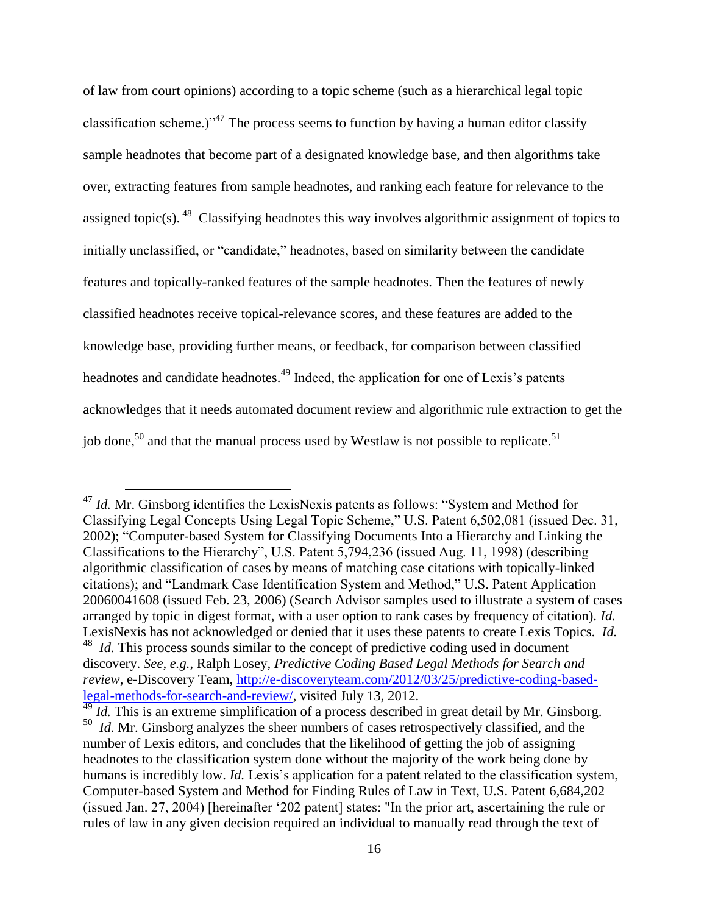of law from court opinions) according to a topic scheme (such as a hierarchical legal topic classification scheme.)<sup> $2^{47}$ </sup> The process seems to function by having a human editor classify sample headnotes that become part of a designated knowledge base, and then algorithms take over, extracting features from sample headnotes, and ranking each feature for relevance to the assigned topic(s).  $48$  Classifying headnotes this way involves algorithmic assignment of topics to initially unclassified, or "candidate," headnotes, based on similarity between the candidate features and topically-ranked features of the sample headnotes. Then the features of newly classified headnotes receive topical-relevance scores, and these features are added to the knowledge base, providing further means, or feedback, for comparison between classified headnotes and candidate headnotes.<sup>49</sup> Indeed, the application for one of Lexis's patents acknowledges that it needs automated document review and algorithmic rule extraction to get the job done,<sup>50</sup> and that the manual process used by Westlaw is not possible to replicate.<sup>51</sup>

<sup>&</sup>lt;sup>47</sup> *Id.* Mr. Ginsborg identifies the LexisNexis patents as follows: "System and Method for Classifying Legal Concepts Using Legal Topic Scheme," U.S. Patent 6,502,081 (issued Dec. 31, 2002); "Computer-based System for Classifying Documents Into a Hierarchy and Linking the Classifications to the Hierarchy", U.S. Patent 5,794,236 (issued Aug. 11, 1998) (describing algorithmic classification of cases by means of matching case citations with topically-linked citations); and "Landmark Case Identification System and Method," U.S. Patent Application 20060041608 (issued Feb. 23, 2006) (Search Advisor samples used to illustrate a system of cases arranged by topic in digest format, with a user option to rank cases by frequency of citation). *Id.* LexisNexis has not acknowledged or denied that it uses these patents to create Lexis Topics. *Id.* <sup>48</sup> *Id.* This process sounds similar to the concept of predictive coding used in document

discovery. *See, e.g.*, Ralph Losey*, Predictive Coding Based Legal Methods for Search and review*, e-Discovery Team, [http://e-discoveryteam.com/2012/03/25/predictive-coding-based](http://e-discoveryteam.com/2012/03/25/predictive-coding-based-legal-methods-for-search-and-review/)[legal-methods-for-search-and-review/,](http://e-discoveryteam.com/2012/03/25/predictive-coding-based-legal-methods-for-search-and-review/) visited July 13, 2012.

<sup>&</sup>lt;sup>49</sup> *Id.* This is an extreme simplification of a process described in great detail by Mr. Ginsborg. <sup>50</sup> *Id.* Mr. Ginsborg analyzes the sheer numbers of cases retrospectively classified, and the number of Lexis editors, and concludes that the likelihood of getting the job of assigning headnotes to the classification system done without the majority of the work being done by humans is incredibly low. *Id.* Lexis's application for a patent related to the classification system, Computer-based System and Method for Finding Rules of Law in Text, U.S. Patent 6,684,202 (issued Jan. 27, 2004) [hereinafter '202 patent] states: "In the prior art, ascertaining the rule or rules of law in any given decision required an individual to manually read through the text of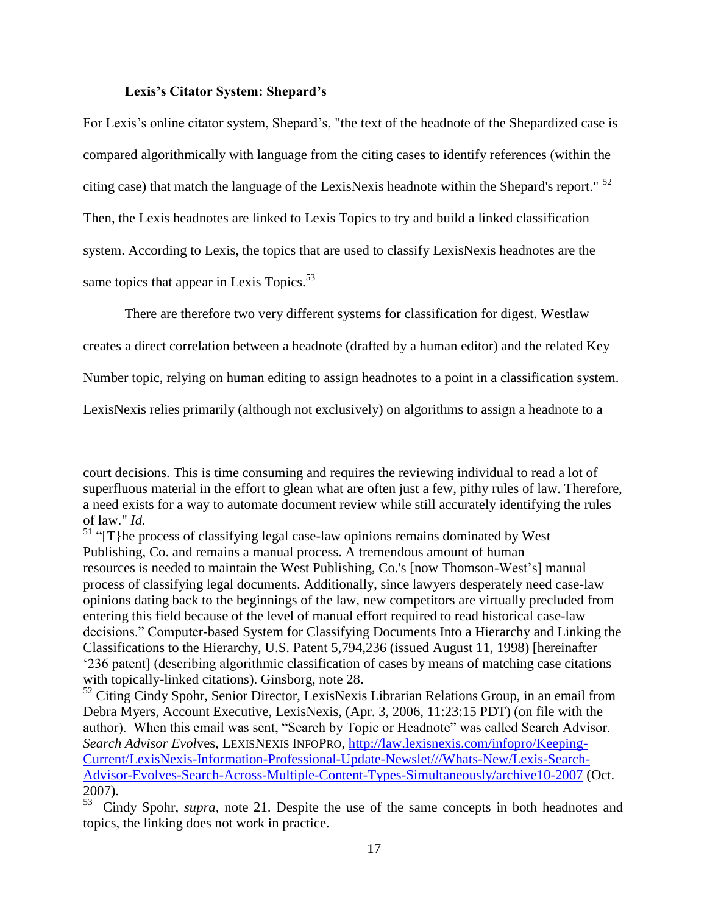### **Lexis's Citator System: Shepard's**

 $\overline{a}$ 

For Lexis's online citator system, Shepard's, "the text of the headnote of the Shepardized case is compared algorithmically with language from the citing cases to identify references (within the citing case) that match the language of the LexisNexis headnote within the Shepard's report."  $52$ Then, the Lexis headnotes are linked to Lexis Topics to try and build a linked classification system. According to Lexis, the topics that are used to classify LexisNexis headnotes are the same topics that appear in Lexis Topics.<sup>53</sup>

There are therefore two very different systems for classification for digest. Westlaw

creates a direct correlation between a headnote (drafted by a human editor) and the related Key

Number topic, relying on human editing to assign headnotes to a point in a classification system.

LexisNexis relies primarily (although not exclusively) on algorithms to assign a headnote to a

court decisions. This is time consuming and requires the reviewing individual to read a lot of superfluous material in the effort to glean what are often just a few, pithy rules of law. Therefore, a need exists for a way to automate document review while still accurately identifying the rules of law." *Id.*

<sup>&</sup>lt;sup>51</sup> "[T}he process of classifying legal case-law opinions remains dominated by West Publishing, Co. and remains a manual process. A tremendous amount of human resources is needed to maintain the West Publishing, Co.'s [now Thomson-West's] manual process of classifying legal documents. Additionally, since lawyers desperately need case-law opinions dating back to the beginnings of the law, new competitors are virtually precluded from entering this field because of the level of manual effort required to read historical case-law decisions." Computer-based System for Classifying Documents Into a Hierarchy and Linking the Classifications to the Hierarchy, U.S. Patent 5,794,236 (issued August 11, 1998) [hereinafter '236 patent] (describing algorithmic classification of cases by means of matching case citations with topically-linked citations). Ginsborg, note 28.

 $52$  Citing Cindy Spohr, Senior Director, LexisNexis Librarian Relations Group, in an email from Debra Myers, Account Executive, LexisNexis, (Apr. 3, 2006, 11:23:15 PDT) (on file with the author). When this email was sent, "Search by Topic or Headnote" was called Search Advisor. *Search Advisor Evol*ves, LEXISNEXIS INFOPRO, [http://law.lexisnexis.com/infopro/Keeping-](http://law.lexisnexis.com/infopro/Keeping-Current/LexisNexis-Information-Professional-Update-Newslet/Whats-New/Lexis-Search-Advisor-Evolves-Search-Across-Multiple-Content-Types-Simultaneously/archive10-2007)[Current/LexisNexis-Information-Professional-Update-Newslet///Whats-New/Lexis-Search-](http://law.lexisnexis.com/infopro/Keeping-Current/LexisNexis-Information-Professional-Update-Newslet/Whats-New/Lexis-Search-Advisor-Evolves-Search-Across-Multiple-Content-Types-Simultaneously/archive10-2007)[Advisor-Evolves-Search-Across-Multiple-Content-Types-Simultaneously/archive10-2007](http://law.lexisnexis.com/infopro/Keeping-Current/LexisNexis-Information-Professional-Update-Newslet/Whats-New/Lexis-Search-Advisor-Evolves-Search-Across-Multiple-Content-Types-Simultaneously/archive10-2007) (Oct. 2007).

<sup>53</sup> Cindy Spohr, *supra,* note 21. Despite the use of the same concepts in both headnotes and topics, the linking does not work in practice.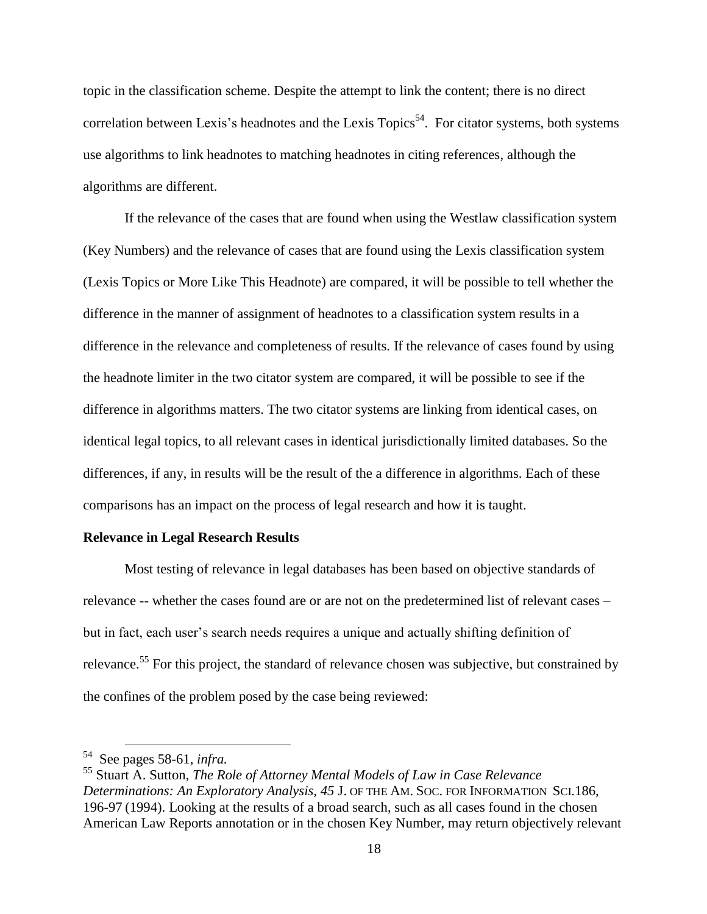topic in the classification scheme. Despite the attempt to link the content; there is no direct correlation between Lexis's headnotes and the Lexis Topics<sup>54</sup>. For citator systems, both systems use algorithms to link headnotes to matching headnotes in citing references, although the algorithms are different.

If the relevance of the cases that are found when using the Westlaw classification system (Key Numbers) and the relevance of cases that are found using the Lexis classification system (Lexis Topics or More Like This Headnote) are compared, it will be possible to tell whether the difference in the manner of assignment of headnotes to a classification system results in a difference in the relevance and completeness of results. If the relevance of cases found by using the headnote limiter in the two citator system are compared, it will be possible to see if the difference in algorithms matters. The two citator systems are linking from identical cases, on identical legal topics, to all relevant cases in identical jurisdictionally limited databases. So the differences, if any, in results will be the result of the a difference in algorithms. Each of these comparisons has an impact on the process of legal research and how it is taught.

### **Relevance in Legal Research Results**

Most testing of relevance in legal databases has been based on objective standards of relevance -- whether the cases found are or are not on the predetermined list of relevant cases – but in fact, each user's search needs requires a unique and actually shifting definition of relevance.<sup>55</sup> For this project, the standard of relevance chosen was subjective, but constrained by the confines of the problem posed by the case being reviewed:

<sup>54</sup> See pages 58-61, *infra.*

<sup>55</sup> Stuart A. Sutton, *The Role of Attorney Mental Models of Law in Case Relevance Determinations: An Exploratory Analysis, 45* J. OF THE AM. SOC. FOR INFORMATION SCI.186, 196-97 (1994). Looking at the results of a broad search, such as all cases found in the chosen American Law Reports annotation or in the chosen Key Number, may return objectively relevant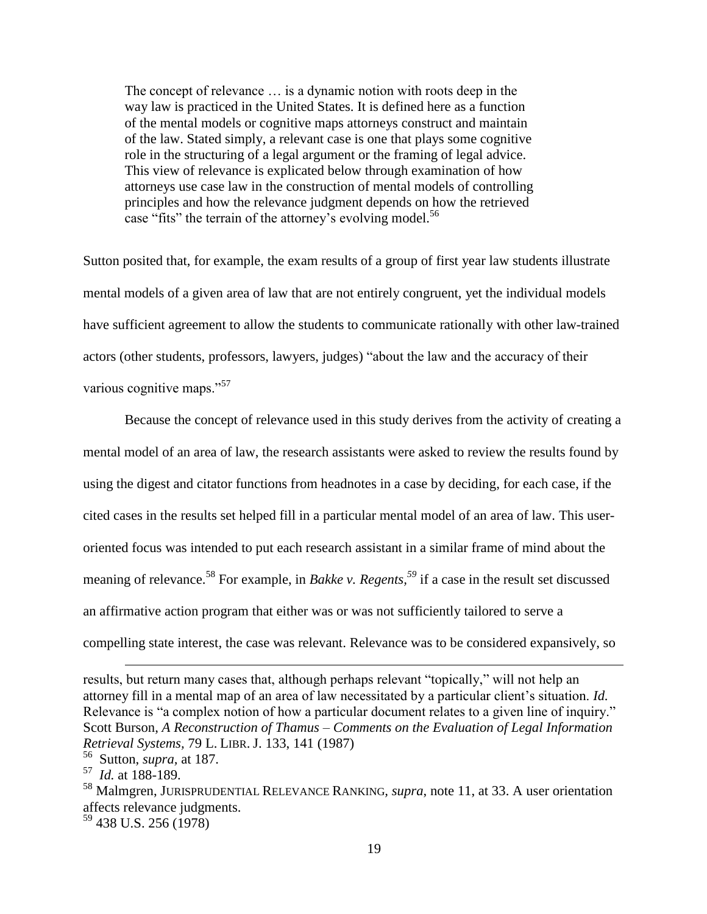The concept of relevance … is a dynamic notion with roots deep in the way law is practiced in the United States. It is defined here as a function of the mental models or cognitive maps attorneys construct and maintain of the law. Stated simply, a relevant case is one that plays some cognitive role in the structuring of a legal argument or the framing of legal advice. This view of relevance is explicated below through examination of how attorneys use case law in the construction of mental models of controlling principles and how the relevance judgment depends on how the retrieved case "fits" the terrain of the attorney's evolving model.<sup>56</sup>

Sutton posited that, for example, the exam results of a group of first year law students illustrate mental models of a given area of law that are not entirely congruent, yet the individual models have sufficient agreement to allow the students to communicate rationally with other law-trained actors (other students, professors, lawyers, judges) "about the law and the accuracy of their various cognitive maps."<sup>57</sup>

Because the concept of relevance used in this study derives from the activity of creating a mental model of an area of law, the research assistants were asked to review the results found by using the digest and citator functions from headnotes in a case by deciding, for each case, if the cited cases in the results set helped fill in a particular mental model of an area of law. This useroriented focus was intended to put each research assistant in a similar frame of mind about the meaning of relevance.<sup>58</sup> For example, in *Bakke v. Regents*,<sup>59</sup> if a case in the result set discussed an affirmative action program that either was or was not sufficiently tailored to serve a compelling state interest, the case was relevant. Relevance was to be considered expansively, so

results, but return many cases that, although perhaps relevant "topically," will not help an attorney fill in a mental map of an area of law necessitated by a particular client's situation. *Id.* Relevance is "a complex notion of how a particular document relates to a given line of inquiry." Scott Burson, *A Reconstruction of Thamus – Comments on the Evaluation of Legal Information Retrieval Systems,* 79 L. LIBR. J. 133, 141 (1987)

<sup>56</sup> Sutton, *supra,* at 187.

<sup>57</sup> *Id.* at 188-189.

<sup>58</sup> Malmgren, JURISPRUDENTIAL RELEVANCE RANKING*, supra*, note 11, at 33. A user orientation affects relevance judgments.

<sup>59</sup> 438 U.S. 256 (1978)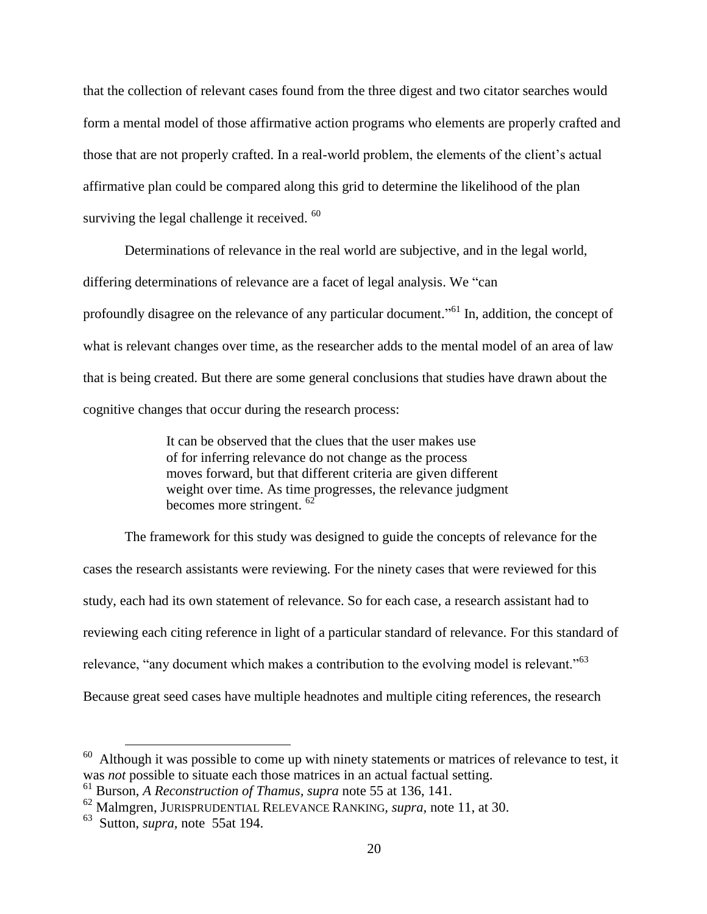that the collection of relevant cases found from the three digest and two citator searches would form a mental model of those affirmative action programs who elements are properly crafted and those that are not properly crafted. In a real-world problem, the elements of the client's actual affirmative plan could be compared along this grid to determine the likelihood of the plan surviving the legal challenge it received. <sup>60</sup>

Determinations of relevance in the real world are subjective, and in the legal world, differing determinations of relevance are a facet of legal analysis. We "can profoundly disagree on the relevance of any particular document."<sup>61</sup> In, addition, the concept of what is relevant changes over time, as the researcher adds to the mental model of an area of law that is being created. But there are some general conclusions that studies have drawn about the cognitive changes that occur during the research process:

> It can be observed that the clues that the user makes use of for inferring relevance do not change as the process moves forward, but that different criteria are given different weight over time. As time progresses, the relevance judgment becomes more stringent. <sup>62</sup>

The framework for this study was designed to guide the concepts of relevance for the cases the research assistants were reviewing. For the ninety cases that were reviewed for this study, each had its own statement of relevance. So for each case, a research assistant had to reviewing each citing reference in light of a particular standard of relevance. For this standard of relevance, "any document which makes a contribution to the evolving model is relevant."<sup>63</sup> Because great seed cases have multiple headnotes and multiple citing references, the research

<sup>&</sup>lt;sup>60</sup> Although it was possible to come up with ninety statements or matrices of relevance to test, it was *not* possible to situate each those matrices in an actual factual setting.

<sup>61</sup> Burson, *A Reconstruction of Thamus, supra* note 55 at 136, 141.

<sup>62</sup> Malmgren, JURISPRUDENTIAL RELEVANCE RANKING*, supra,* note 11, at 30.

<sup>63</sup> Sutton, *supra,* note 55at 194.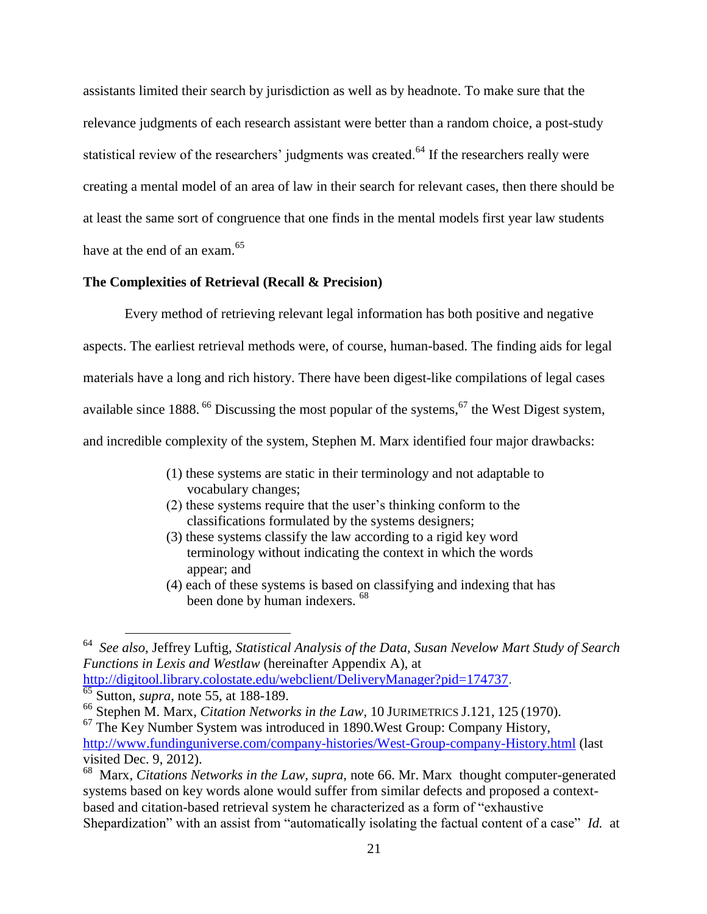assistants limited their search by jurisdiction as well as by headnote. To make sure that the relevance judgments of each research assistant were better than a random choice, a post-study statistical review of the researchers' judgments was created.<sup>64</sup> If the researchers really were creating a mental model of an area of law in their search for relevant cases, then there should be at least the same sort of congruence that one finds in the mental models first year law students have at the end of an exam  $^{65}$ 

### **The Complexities of Retrieval (Recall & Precision)**

Every method of retrieving relevant legal information has both positive and negative aspects. The earliest retrieval methods were, of course, human-based. The finding aids for legal materials have a long and rich history. There have been digest-like compilations of legal cases available since 1888. <sup>66</sup> Discussing the most popular of the systems,  $67$  the West Digest system, and incredible complexity of the system, Stephen M. Marx identified four major drawbacks:

- (1) these systems are static in their terminology and not adaptable to vocabulary changes;
- (2) these systems require that the user's thinking conform to the classifications formulated by the systems designers;
- (3) these systems classify the law according to a rigid key word terminology without indicating the context in which the words appear; and
- (4) each of these systems is based on classifying and indexing that has been done by human indexers. <sup>68</sup>

 64 *See also*, Jeffrey Luftig, *Statistical Analysis of the Data, Susan Nevelow Mart Study of Search Functions in Lexis and Westlaw* (hereinafter Appendix A), at [http://digitool.library.colostate.edu/webclient/DeliveryManager?pid=174737.](http://digitool.library.colostate.edu/webclient/DeliveryManager?pid=174737)

<sup>65</sup> Sutton, *supra*, note 55, at 188-189.

<sup>66</sup> Stephen M. Marx, *Citation Networks in the Law,* 10 JURIMETRICS J.121, 125 (1970).

<sup>&</sup>lt;sup>67</sup> The Key Number System was introduced in 1890. West Group: Company History, <http://www.fundinguniverse.com/company-histories/West-Group-company-History.html> (last visited Dec. 9, 2012).

<sup>68</sup> Marx, *Citations Networks in the Law, supra,* note 66. Mr. Marx thought computer-generated systems based on key words alone would suffer from similar defects and proposed a contextbased and citation-based retrieval system he characterized as a form of "exhaustive Shepardization" with an assist from "automatically isolating the factual content of a case" *Id.* at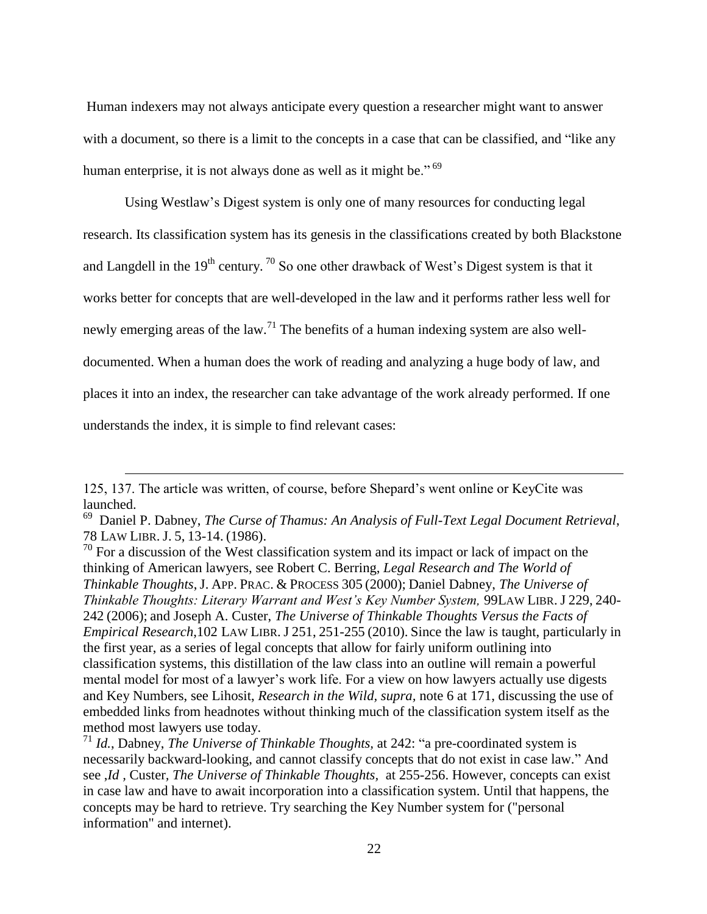Human indexers may not always anticipate every question a researcher might want to answer with a document, so there is a limit to the concepts in a case that can be classified, and "like any human enterprise, it is not always done as well as it might be." $^{69}$ 

Using Westlaw's Digest system is only one of many resources for conducting legal research. Its classification system has its genesis in the classifications created by both Blackstone and Langdell in the 19<sup>th</sup> century.<sup>70</sup> So one other drawback of West's Digest system is that it works better for concepts that are well-developed in the law and it performs rather less well for newly emerging areas of the law.<sup>71</sup> The benefits of a human indexing system are also welldocumented. When a human does the work of reading and analyzing a huge body of law, and places it into an index, the researcher can take advantage of the work already performed. If one understands the index, it is simple to find relevant cases:

<sup>125, 137.</sup> The article was written, of course, before Shepard's went online or KeyCite was launched.

<sup>69</sup> Daniel P. Dabney, *The Curse of Thamus: An Analysis of Full-Text Legal Document Retrieval*, 78 LAW LIBR. J. 5, 13-14. (1986).

 $70$  For a discussion of the West classification system and its impact or lack of impact on the thinking of American lawyers, see Robert C. Berring, *Legal Research and The World of Thinkable Thoughts*,J. APP. PRAC. & PROCESS 305 (2000); Daniel Dabney, *The Universe of Thinkable Thoughts: Literary Warrant and West's Key Number System,* 99LAW LIBR. J 229, 240- 242 (2006); and Joseph A. Custer, *The Universe of Thinkable Thoughts Versus the Facts of Empirical Research*,102 LAW LIBR. J 251, 251-255 (2010). Since the law is taught, particularly in the first year, as a series of legal concepts that allow for fairly uniform outlining into classification systems, this distillation of the law class into an outline will remain a powerful mental model for most of a lawyer's work life. For a view on how lawyers actually use digests and Key Numbers, see Lihosit, *Research in the Wild, supra,* note 6 at 171, discussing the use of embedded links from headnotes without thinking much of the classification system itself as the method most lawyers use today.

<sup>71</sup> *Id.*, Dabney, *The Universe of Thinkable Thoughts,* at 242: "a pre-coordinated system is necessarily backward-looking, and cannot classify concepts that do not exist in case law." And see ,*Id ,* Custer*, The Universe of Thinkable Thoughts,* at 255-256. However, concepts can exist in case law and have to await incorporation into a classification system. Until that happens, the concepts may be hard to retrieve. Try searching the Key Number system for ("personal information" and internet).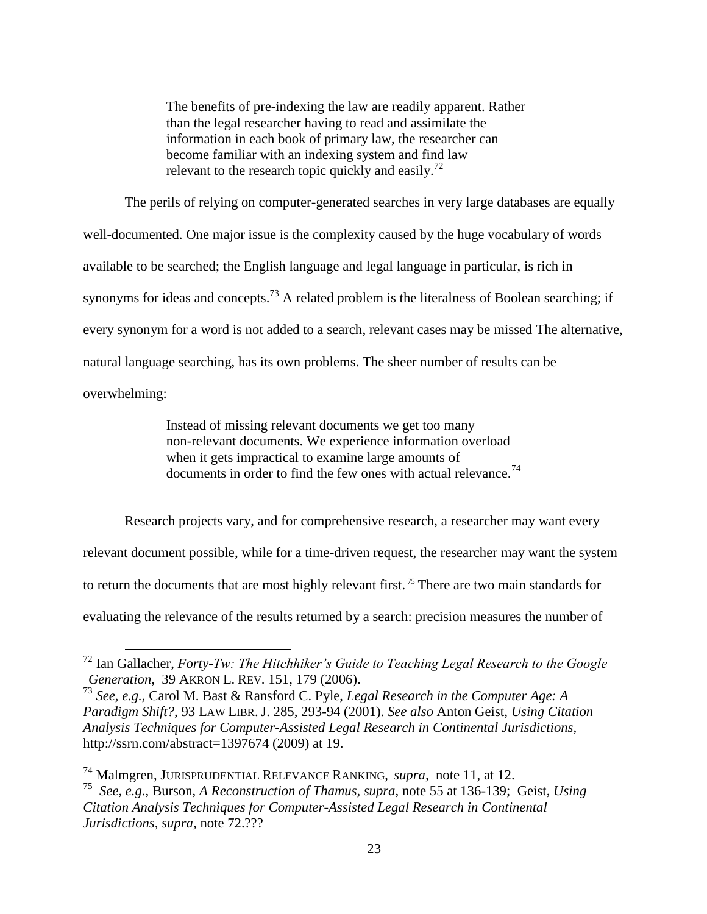The benefits of pre-indexing the law are readily apparent. Rather than the legal researcher having to read and assimilate the information in each book of primary law, the researcher can become familiar with an indexing system and find law relevant to the research topic quickly and easily.<sup>72</sup>

The perils of relying on computer-generated searches in very large databases are equally well-documented. One major issue is the complexity caused by the huge vocabulary of words available to be searched; the English language and legal language in particular, is rich in synonyms for ideas and concepts.<sup>73</sup> A related problem is the literalness of Boolean searching; if every synonym for a word is not added to a search, relevant cases may be missed The alternative, natural language searching, has its own problems. The sheer number of results can be overwhelming:

> Instead of missing relevant documents we get too many non-relevant documents. We experience information overload when it gets impractical to examine large amounts of documents in order to find the few ones with actual relevance.<sup>74</sup>

Research projects vary, and for comprehensive research, a researcher may want every relevant document possible, while for a time-driven request, the researcher may want the system to return the documents that are most highly relevant first. <sup>75</sup> There are two main standards for evaluating the relevance of the results returned by a search: precision measures the number of

<sup>74</sup> Malmgren, JURISPRUDENTIAL RELEVANCE RANKING, *supra,* note 11, at 12.

<sup>72</sup> Ian Gallacher, *Forty-Tw: The Hitchhiker's Guide to Teaching Legal Research to the Google Generation,* 39 AKRON L. REV. 151, 179 (2006).

<sup>73</sup> *See, e.g.,* Carol M. Bast & Ransford C. Pyle, *Legal Research in the Computer Age: A Paradigm Shift?*, 93 LAW LIBR. J. 285, 293-94 (2001). *See also* Anton Geist, *Using Citation Analysis Techniques for Computer-Assisted Legal Research in Continental Jurisdictions,*  http://ssrn.com/abstract=1397674 (2009) at 19.

<sup>75</sup> *See, e.g.,* Burson, *A Reconstruction of Thamus, supra,* note 55 at 136-139; Geist, *Using Citation Analysis Techniques for Computer-Assisted Legal Research in Continental Jurisdictions, supra,* note 72.???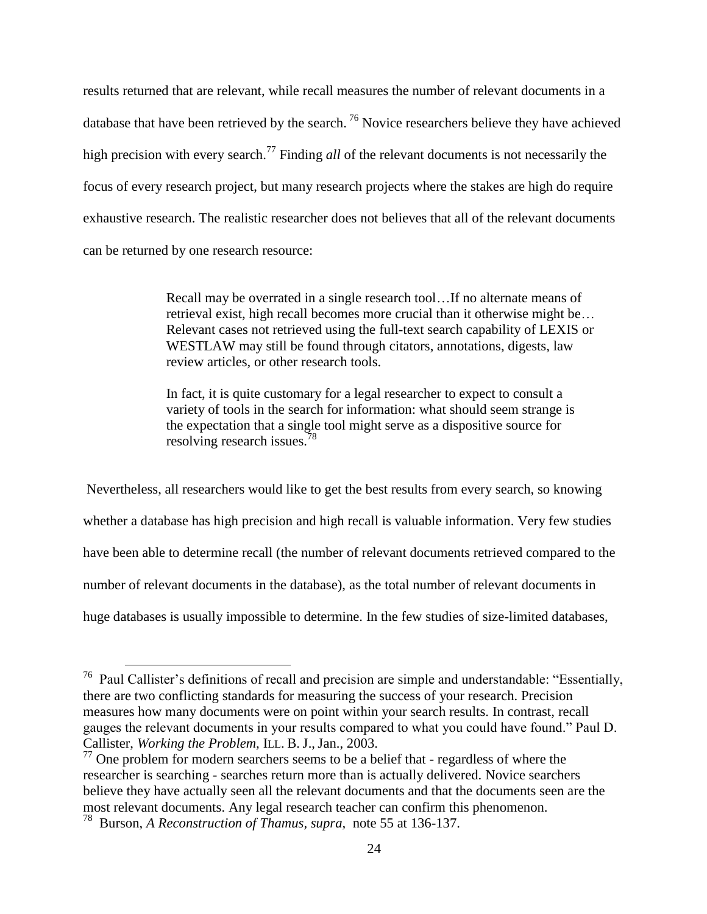results returned that are relevant, while recall measures the number of relevant documents in a database that have been retrieved by the search. <sup>76</sup> Novice researchers believe they have achieved high precision with every search.<sup>77</sup> Finding *all* of the relevant documents is not necessarily the focus of every research project, but many research projects where the stakes are high do require exhaustive research. The realistic researcher does not believes that all of the relevant documents can be returned by one research resource:

> Recall may be overrated in a single research tool…If no alternate means of retrieval exist, high recall becomes more crucial than it otherwise might be… Relevant cases not retrieved using the full-text search capability of LEXIS or WESTLAW may still be found through citators, annotations, digests, law review articles, or other research tools.

In fact, it is quite customary for a legal researcher to expect to consult a variety of tools in the search for information: what should seem strange is the expectation that a single tool might serve as a dispositive source for resolving research issues.<sup>78</sup>

Nevertheless, all researchers would like to get the best results from every search, so knowing whether a database has high precision and high recall is valuable information. Very few studies have been able to determine recall (the number of relevant documents retrieved compared to the number of relevant documents in the database), as the total number of relevant documents in huge databases is usually impossible to determine. In the few studies of size-limited databases,

 $76$  Paul Callister's definitions of recall and precision are simple and understandable: "Essentially, there are two conflicting standards for measuring the success of your research. Precision measures how many documents were on point within your search results. In contrast, recall gauges the relevant documents in your results compared to what you could have found." Paul D. Callister, *Working the Problem,* ILL. B. J.,Jan., 2003.

 $77$  One problem for modern searchers seems to be a belief that - regardless of where the researcher is searching - searches return more than is actually delivered. Novice searchers believe they have actually seen all the relevant documents and that the documents seen are the most relevant documents. Any legal research teacher can confirm this phenomenon.

<sup>78</sup> Burson, *A Reconstruction of Thamus, supra,* note 55 at 136-137.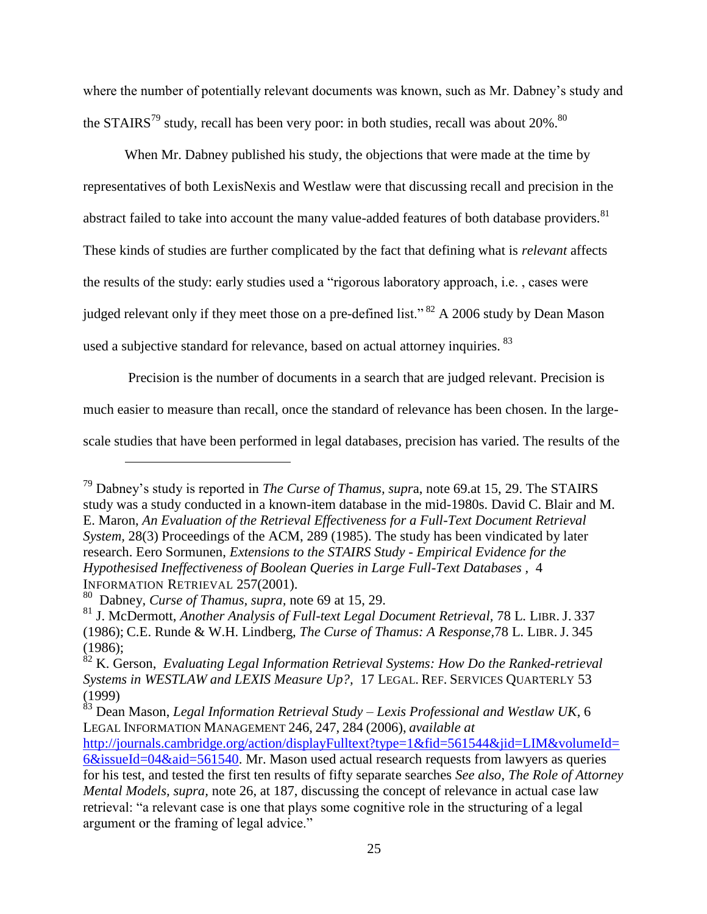where the number of potentially relevant documents was known, such as Mr. Dabney's study and the  $STAIRS^{79}$  study, recall has been very poor: in both studies, recall was about  $20\%$ .<sup>80</sup>

When Mr. Dabney published his study, the objections that were made at the time by representatives of both LexisNexis and Westlaw were that discussing recall and precision in the abstract failed to take into account the many value-added features of both database providers.<sup>81</sup> These kinds of studies are further complicated by the fact that defining what is *relevant* affects the results of the study: early studies used a "rigorous laboratory approach, i.e. , cases were judged relevant only if they meet those on a pre-defined list."<sup>82</sup> A 2006 study by Dean Mason used a subjective standard for relevance, based on actual attorney inquiries. <sup>83</sup>

Precision is the number of documents in a search that are judged relevant. Precision is much easier to measure than recall, once the standard of relevance has been chosen. In the largescale studies that have been performed in legal databases, precision has varied. The results of the

<sup>79</sup> Dabney's study is reported in *The Curse of Thamus, supr*a, note 69.at 15, 29. The STAIRS study was a study conducted in a known-item database in the mid-1980s. David C. Blair and M. E. Maron, *An Evaluation of the Retrieval Effectiveness for a Full-Text Document Retrieval System,* 28(3) Proceedings of the ACM, 289 (1985). The study has been vindicated by later research. Eero Sormunen, *Extensions to the STAIRS Study - Empirical Evidence for the Hypothesised Ineffectiveness of Boolean Queries in Large Full-Text Databases ,* 4 INFORMATION RETRIEVAL 257(2001).

<sup>80</sup> Dabney*, Curse of Thamus, supra,* note 69 at 15, 29.

<sup>81</sup> J. McDermott, *Another Analysis of Full-text Legal Document Retrieval,* 78 L. LIBR. J. 337 (1986); C.E. Runde & W.H. Lindberg, *The Curse of Thamus: A Response,*78 L. LIBR. J. 345 (1986);

<sup>82</sup> K. Gerson, *Evaluating Legal Information Retrieval Systems: How Do the Ranked-retrieval Systems in WESTLAW and LEXIS Measure Up?,* 17 LEGAL. REF. SERVICES QUARTERLY 53 (1999)

<sup>83</sup> Dean Mason, *Legal Information Retrieval Study – Lexis Professional and Westlaw UK*, 6 LEGAL INFORMATION MANAGEMENT 246, 247, 284 (2006), *available at*

[http://journals.cambridge.org/action/displayFulltext?type=1&fid=561544&jid=LIM&volumeId=](http://journals.cambridge.org/action/displayFulltext?type=1&fid=561544&jid=LIM&volumeId=6&issueId=04&aid=561540) [6&issueId=04&aid=561540.](http://journals.cambridge.org/action/displayFulltext?type=1&fid=561544&jid=LIM&volumeId=6&issueId=04&aid=561540) Mr. Mason used actual research requests from lawyers as queries for his test, and tested the first ten results of fifty separate searches *See also*, *The Role of Attorney Mental Models, supra,* note 26, at 187, discussing the concept of relevance in actual case law retrieval: "a relevant case is one that plays some cognitive role in the structuring of a legal argument or the framing of legal advice."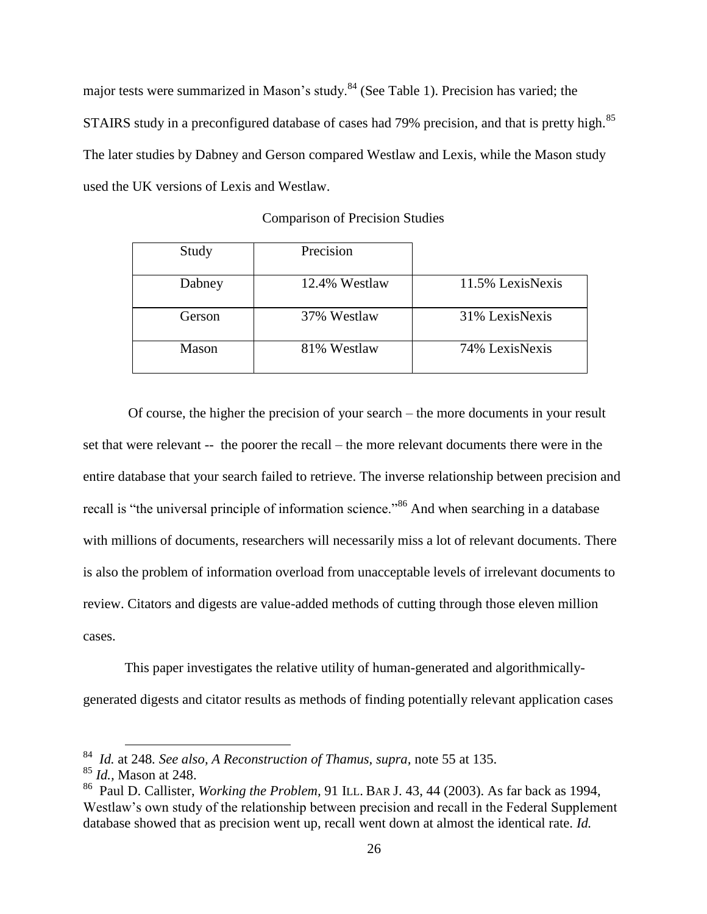major tests were summarized in Mason's study.<sup>84</sup> (See Table 1). Precision has varied; the STAIRS study in a preconfigured database of cases had 79% precision, and that is pretty high.<sup>85</sup> The later studies by Dabney and Gerson compared Westlaw and Lexis, while the Mason study used the UK versions of Lexis and Westlaw.

| Study  | Precision     |                  |
|--------|---------------|------------------|
| Dabney | 12.4% Westlaw | 11.5% LexisNexis |
| Gerson | 37% Westlaw   | 31% LexisNexis   |
| Mason  | 81% Westlaw   | 74% LexisNexis   |

Comparison of Precision Studies

Of course, the higher the precision of your search – the more documents in your result set that were relevant -- the poorer the recall – the more relevant documents there were in the entire database that your search failed to retrieve. The inverse relationship between precision and recall is "the universal principle of information science."<sup>86</sup> And when searching in a database with millions of documents, researchers will necessarily miss a lot of relevant documents. There is also the problem of information overload from unacceptable levels of irrelevant documents to review. Citators and digests are value-added methods of cutting through those eleven million cases.

This paper investigates the relative utility of human-generated and algorithmicallygenerated digests and citator results as methods of finding potentially relevant application cases

 84 *Id.* at 248*. See also, A Reconstruction of Thamus, supra,* note 55 at 135.

<sup>85</sup> *Id.,* Mason at 248.

<sup>86</sup> Paul D. Callister, *Working the Problem,* 91 ILL. BAR J. 43, 44 (2003). As far back as 1994, Westlaw's own study of the relationship between precision and recall in the Federal Supplement database showed that as precision went up, recall went down at almost the identical rate. *Id.*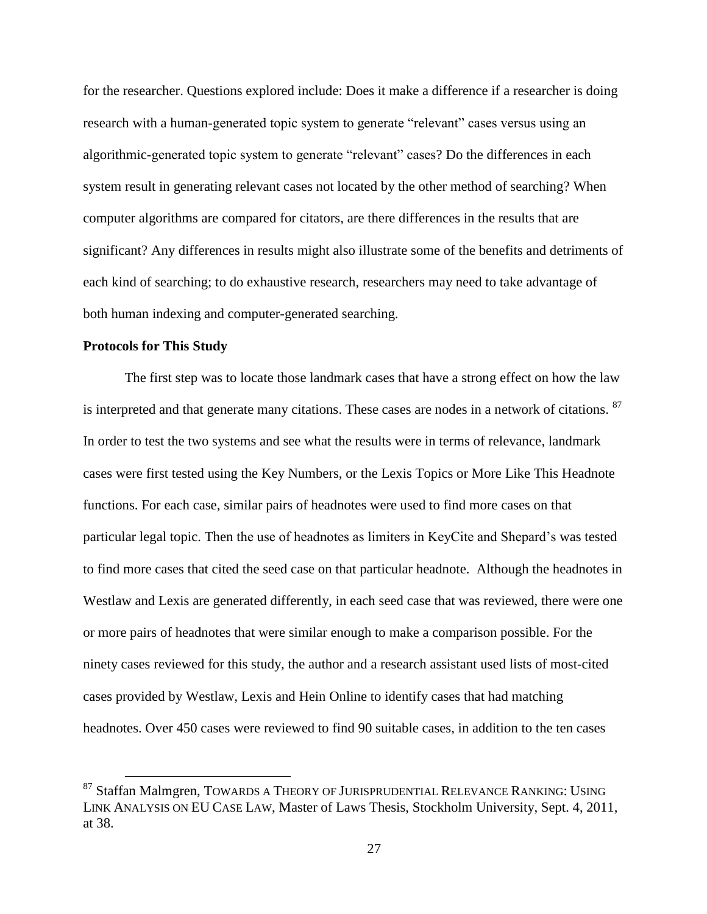for the researcher. Questions explored include: Does it make a difference if a researcher is doing research with a human-generated topic system to generate "relevant" cases versus using an algorithmic-generated topic system to generate "relevant" cases? Do the differences in each system result in generating relevant cases not located by the other method of searching? When computer algorithms are compared for citators, are there differences in the results that are significant? Any differences in results might also illustrate some of the benefits and detriments of each kind of searching; to do exhaustive research, researchers may need to take advantage of both human indexing and computer-generated searching.

#### **Protocols for This Study**

 $\overline{a}$ 

The first step was to locate those landmark cases that have a strong effect on how the law is interpreted and that generate many citations. These cases are nodes in a network of citations. <sup>87</sup> In order to test the two systems and see what the results were in terms of relevance, landmark cases were first tested using the Key Numbers, or the Lexis Topics or More Like This Headnote functions. For each case, similar pairs of headnotes were used to find more cases on that particular legal topic. Then the use of headnotes as limiters in KeyCite and Shepard's was tested to find more cases that cited the seed case on that particular headnote. Although the headnotes in Westlaw and Lexis are generated differently, in each seed case that was reviewed, there were one or more pairs of headnotes that were similar enough to make a comparison possible. For the ninety cases reviewed for this study, the author and a research assistant used lists of most-cited cases provided by Westlaw, Lexis and Hein Online to identify cases that had matching headnotes. Over 450 cases were reviewed to find 90 suitable cases, in addition to the ten cases

<sup>87</sup> Staffan Malmgren, TOWARDS A THEORY OF JURISPRUDENTIAL RELEVANCE RANKING: USING LINK ANALYSIS ON EU CASE LAW, Master of Laws Thesis, Stockholm University, Sept. 4, 2011, at 38.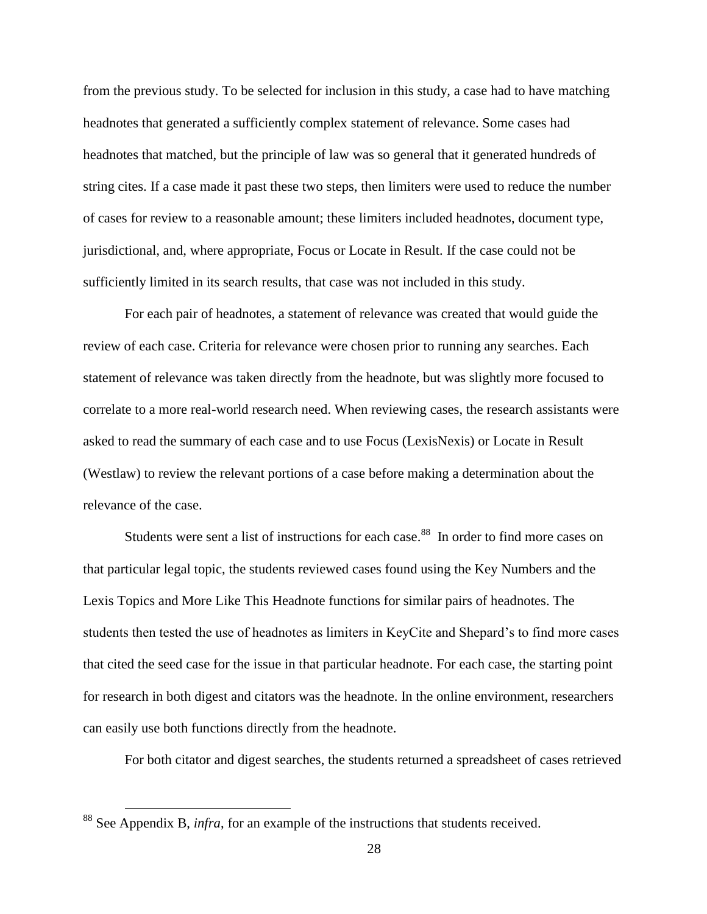from the previous study. To be selected for inclusion in this study, a case had to have matching headnotes that generated a sufficiently complex statement of relevance. Some cases had headnotes that matched, but the principle of law was so general that it generated hundreds of string cites. If a case made it past these two steps, then limiters were used to reduce the number of cases for review to a reasonable amount; these limiters included headnotes, document type, jurisdictional, and, where appropriate, Focus or Locate in Result. If the case could not be sufficiently limited in its search results, that case was not included in this study.

For each pair of headnotes, a statement of relevance was created that would guide the review of each case. Criteria for relevance were chosen prior to running any searches. Each statement of relevance was taken directly from the headnote, but was slightly more focused to correlate to a more real-world research need. When reviewing cases, the research assistants were asked to read the summary of each case and to use Focus (LexisNexis) or Locate in Result (Westlaw) to review the relevant portions of a case before making a determination about the relevance of the case.

Students were sent a list of instructions for each case.<sup>88</sup> In order to find more cases on that particular legal topic, the students reviewed cases found using the Key Numbers and the Lexis Topics and More Like This Headnote functions for similar pairs of headnotes. The students then tested the use of headnotes as limiters in KeyCite and Shepard's to find more cases that cited the seed case for the issue in that particular headnote. For each case, the starting point for research in both digest and citators was the headnote. In the online environment, researchers can easily use both functions directly from the headnote.

For both citator and digest searches, the students returned a spreadsheet of cases retrieved

<sup>88</sup> See Appendix B, *infra*, for an example of the instructions that students received.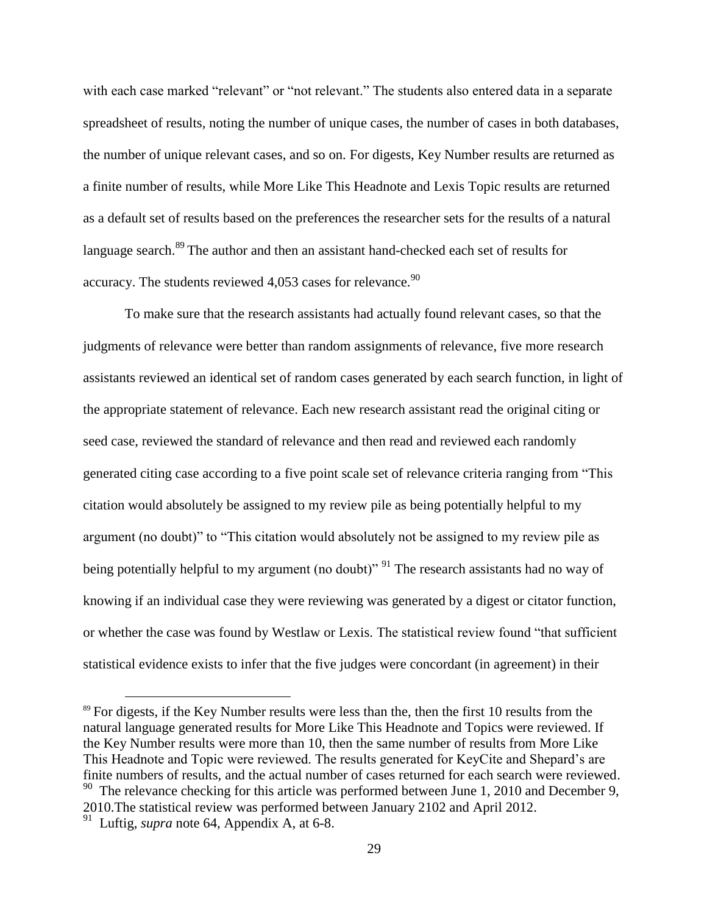with each case marked "relevant" or "not relevant." The students also entered data in a separate spreadsheet of results, noting the number of unique cases, the number of cases in both databases, the number of unique relevant cases, and so on. For digests, Key Number results are returned as a finite number of results, while More Like This Headnote and Lexis Topic results are returned as a default set of results based on the preferences the researcher sets for the results of a natural language search.<sup>89</sup> The author and then an assistant hand-checked each set of results for accuracy. The students reviewed  $4,053$  cases for relevance.<sup>90</sup>

To make sure that the research assistants had actually found relevant cases, so that the judgments of relevance were better than random assignments of relevance, five more research assistants reviewed an identical set of random cases generated by each search function, in light of the appropriate statement of relevance. Each new research assistant read the original citing or seed case, reviewed the standard of relevance and then read and reviewed each randomly generated citing case according to a five point scale set of relevance criteria ranging from "This citation would absolutely be assigned to my review pile as being potentially helpful to my argument (no doubt)" to "This citation would absolutely not be assigned to my review pile as being potentially helpful to my argument (no doubt)"<sup>91</sup> The research assistants had no way of knowing if an individual case they were reviewing was generated by a digest or citator function, or whether the case was found by Westlaw or Lexis. The statistical review found "that sufficient statistical evidence exists to infer that the five judges were concordant (in agreement) in their

<sup>&</sup>lt;sup>89</sup> For digests, if the Key Number results were less than the, then the first 10 results from the natural language generated results for More Like This Headnote and Topics were reviewed. If the Key Number results were more than 10, then the same number of results from More Like This Headnote and Topic were reviewed. The results generated for KeyCite and Shepard's are finite numbers of results, and the actual number of cases returned for each search were reviewed. <sup>90</sup> The relevance checking for this article was performed between June 1, 2010 and December 9, 2010.The statistical review was performed between January 2102 and April 2012.

<sup>&</sup>lt;sup>91</sup> Luftig, *supra* note 64, Appendix A, at 6-8.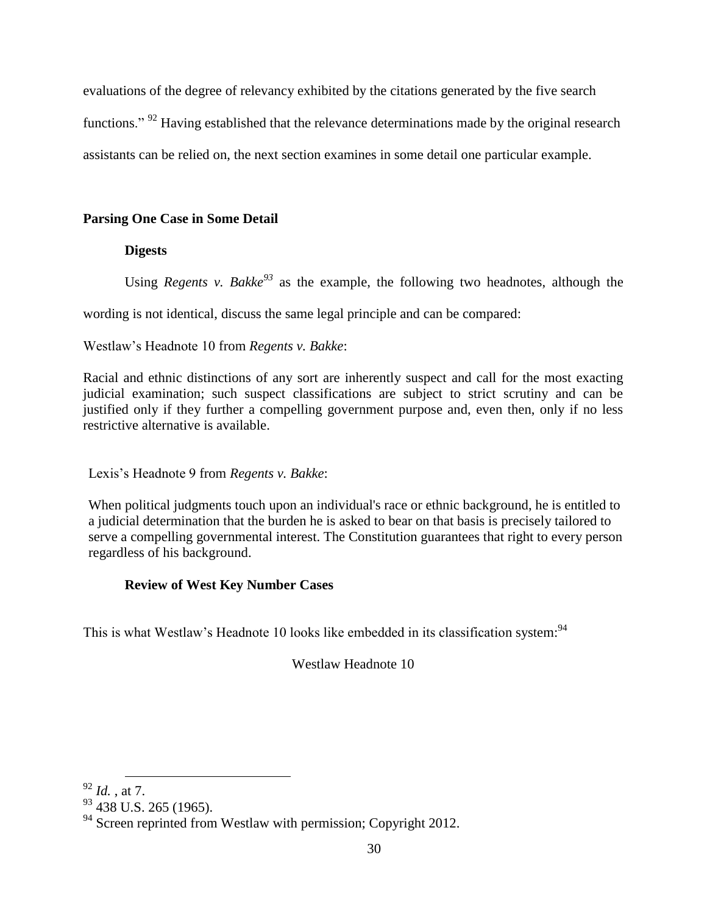evaluations of the degree of relevancy exhibited by the citations generated by the five search

functions." <sup>92</sup> Having established that the relevance determinations made by the original research

assistants can be relied on, the next section examines in some detail one particular example.

# **Parsing One Case in Some Detail**

# **Digests**

Using *Regents v. Bakke<sup>93</sup>* as the example, the following two headnotes, although the

wording is not identical, discuss the same legal principle and can be compared:

Westlaw's Headnote 10 from *Regents v. Bakke*:

Racial and ethnic distinctions of any sort are inherently suspect and call for the most exacting judicial examination; such suspect classifications are subject to strict scrutiny and can be justified only if they further a compelling government purpose and, even then, only if no less restrictive alternative is available.

Lexis's Headnote 9 from *Regents v. Bakke*:

When political judgments touch upon an individual's race or ethnic background, he is entitled to a judicial determination that the burden he is asked to bear on that basis is precisely tailored to serve a compelling governmental interest. The Constitution guarantees that right to every person regardless of his background.

# **Review of West Key Number Cases**

This is what Westlaw's Headnote 10 looks like embedded in its classification system:<sup>94</sup>

Westlaw Headnote 10

 $\overline{a}$ <sup>92</sup> *Id.* , at 7.

 $93$  438 U.S. 265 (1965).

<sup>&</sup>lt;sup>94</sup> Screen reprinted from Westlaw with permission; Copyright 2012.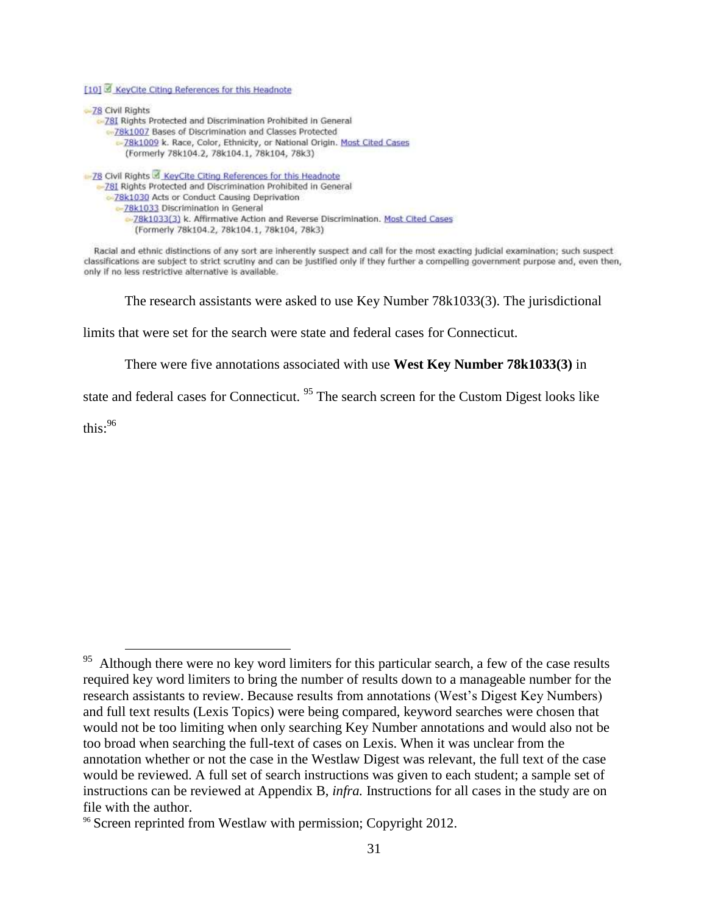[10] XeyCite Citing References for this Headnote

78 Civil Rights 78I Rights Protected and Discrimination Prohibited in General -78k1007 Bases of Discrimination and Classes Protected -78k1009 k. Race, Color, Ethnicity, or National Origin. Most Cited Cases (Formerly 78k104.2, 78k104.1, 78k104, 78k3) 78 Civil Rights & KeyCite Citing References for this Headnote -78I Rights Protected and Discrimination Prohibited in General 2-78k1030 Acts or Conduct Causing Deprivation -78k1033 Discrimination in General

-78k1033(3) k. Affirmative Action and Reverse Discrimination. Most Cited Cases (Formerly 78k104.2, 78k104.1, 78k104, 78k3)

Racial and ethnic distinctions of any sort are inherently suspect and call for the most exacting judicial examination; such suspect classifications are subject to strict scrutiny and can be justified only if they further a compelling government purpose and, even then, only if no less restrictive alternative is available.

The research assistants were asked to use Key Number 78k1033(3). The jurisdictional

limits that were set for the search were state and federal cases for Connecticut.

There were five annotations associated with use **West Key Number 78k1033(3)** in

state and federal cases for Connecticut. <sup>95</sup> The search screen for the Custom Digest looks like

this: 96

<sup>95</sup> Although there were no key word limiters for this particular search, a few of the case results required key word limiters to bring the number of results down to a manageable number for the research assistants to review. Because results from annotations (West's Digest Key Numbers) and full text results (Lexis Topics) were being compared, keyword searches were chosen that would not be too limiting when only searching Key Number annotations and would also not be too broad when searching the full-text of cases on Lexis. When it was unclear from the annotation whether or not the case in the Westlaw Digest was relevant, the full text of the case would be reviewed. A full set of search instructions was given to each student; a sample set of instructions can be reviewed at Appendix B, *infra.* Instructions for all cases in the study are on file with the author.

<sup>&</sup>lt;sup>96</sup> Screen reprinted from Westlaw with permission; Copyright 2012.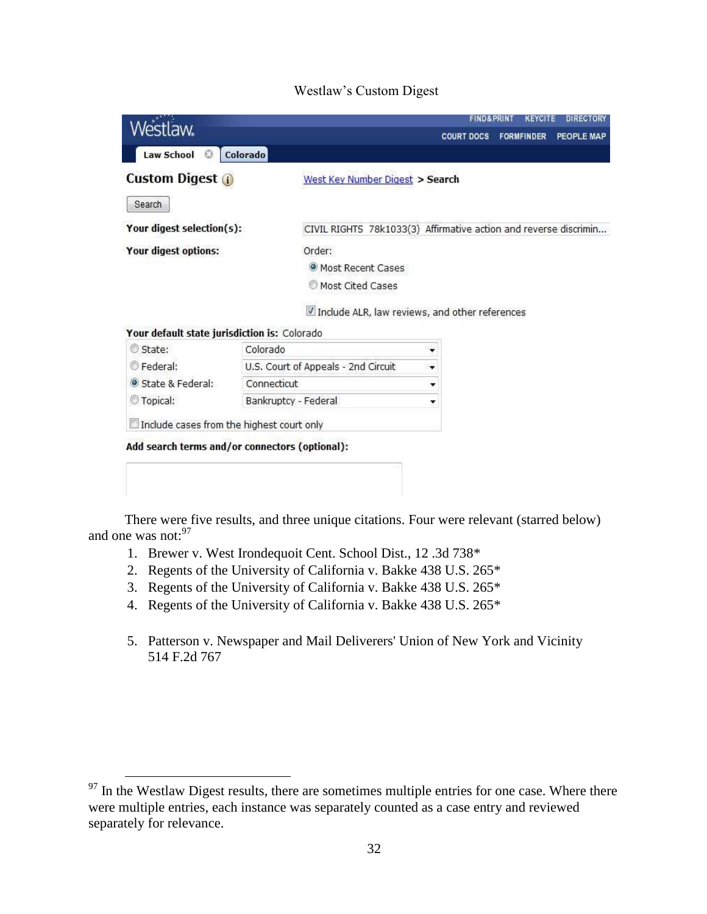## Westlaw's Custom Digest

| <b>FORMFINDER</b><br><b>COURT DOCS</b><br>Colorado<br>Law School ©<br><b>Custom Digest</b><br>West Key Number Digest > Search<br>Search<br>Your digest selection(s):<br>CIVIL RIGHTS 78k1033(3) Affirmative action and reverse discrimin<br><b>Your digest options:</b><br>Order:<br>O Most Recent Cases<br>Most Cited Cases<br>Include ALR, law reviews, and other references<br>Your default state jurisdiction is: Colorado<br>State:<br>Colorado<br><b>O</b> Federal:<br>U.S. Court of Appeals - 2nd Circuit<br>۰<br><b>O</b> State & Federal:<br>Connecticut<br>×<br>Topical:<br>Bankruptcy - Federal<br>▼<br>Include cases from the highest court only<br>Add search terms and/or connectors (optional): | Westlaw. |  | <b>FIND&amp;PRINT</b><br><b>KEYCITE</b> | <b>DIRECTORY</b>  |
|----------------------------------------------------------------------------------------------------------------------------------------------------------------------------------------------------------------------------------------------------------------------------------------------------------------------------------------------------------------------------------------------------------------------------------------------------------------------------------------------------------------------------------------------------------------------------------------------------------------------------------------------------------------------------------------------------------------|----------|--|-----------------------------------------|-------------------|
|                                                                                                                                                                                                                                                                                                                                                                                                                                                                                                                                                                                                                                                                                                                |          |  |                                         | <b>PEOPLE MAP</b> |
|                                                                                                                                                                                                                                                                                                                                                                                                                                                                                                                                                                                                                                                                                                                |          |  |                                         |                   |
|                                                                                                                                                                                                                                                                                                                                                                                                                                                                                                                                                                                                                                                                                                                |          |  |                                         |                   |
|                                                                                                                                                                                                                                                                                                                                                                                                                                                                                                                                                                                                                                                                                                                |          |  |                                         |                   |
|                                                                                                                                                                                                                                                                                                                                                                                                                                                                                                                                                                                                                                                                                                                |          |  |                                         |                   |
|                                                                                                                                                                                                                                                                                                                                                                                                                                                                                                                                                                                                                                                                                                                |          |  |                                         |                   |
|                                                                                                                                                                                                                                                                                                                                                                                                                                                                                                                                                                                                                                                                                                                |          |  |                                         |                   |
|                                                                                                                                                                                                                                                                                                                                                                                                                                                                                                                                                                                                                                                                                                                |          |  |                                         |                   |
|                                                                                                                                                                                                                                                                                                                                                                                                                                                                                                                                                                                                                                                                                                                |          |  |                                         |                   |
|                                                                                                                                                                                                                                                                                                                                                                                                                                                                                                                                                                                                                                                                                                                |          |  |                                         |                   |
|                                                                                                                                                                                                                                                                                                                                                                                                                                                                                                                                                                                                                                                                                                                |          |  |                                         |                   |
|                                                                                                                                                                                                                                                                                                                                                                                                                                                                                                                                                                                                                                                                                                                |          |  |                                         |                   |
|                                                                                                                                                                                                                                                                                                                                                                                                                                                                                                                                                                                                                                                                                                                |          |  |                                         |                   |
|                                                                                                                                                                                                                                                                                                                                                                                                                                                                                                                                                                                                                                                                                                                |          |  |                                         |                   |
|                                                                                                                                                                                                                                                                                                                                                                                                                                                                                                                                                                                                                                                                                                                |          |  |                                         |                   |
|                                                                                                                                                                                                                                                                                                                                                                                                                                                                                                                                                                                                                                                                                                                |          |  |                                         |                   |
|                                                                                                                                                                                                                                                                                                                                                                                                                                                                                                                                                                                                                                                                                                                |          |  |                                         |                   |
|                                                                                                                                                                                                                                                                                                                                                                                                                                                                                                                                                                                                                                                                                                                |          |  |                                         |                   |

There were five results, and three unique citations. Four were relevant (starred below) and one was not:<sup>97</sup>

- 1. Brewer v. West Irondequoit Cent. School Dist., 12 .3d 738\*
- 2. Regents of the University of California v. Bakke 438 U.S. 265\*
- 3. Regents of the University of California v. Bakke 438 U.S. 265\*
- 4. Regents of the University of California v. Bakke 438 U.S. 265\*

 $\overline{a}$ 

5. Patterson v. Newspaper and Mail Deliverers' Union of New York and Vicinity 514 F.2d 767

 $97$  In the Westlaw Digest results, there are sometimes multiple entries for one case. Where there were multiple entries, each instance was separately counted as a case entry and reviewed separately for relevance.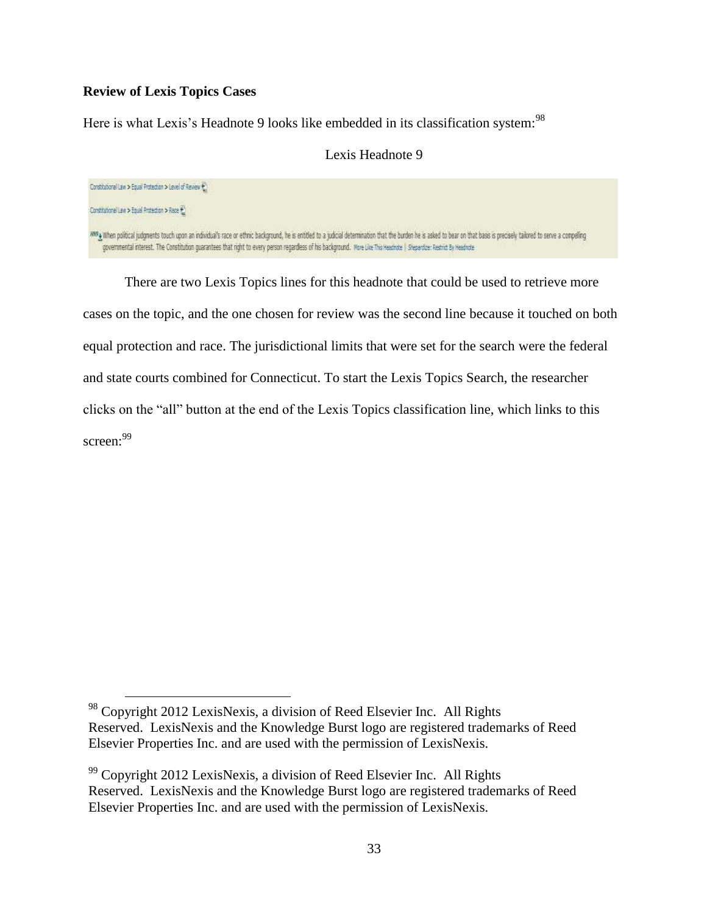## **Review of Lexis Topics Cases**

 $\overline{a}$ 

Here is what Lexis's Headnote 9 looks like embedded in its classification system:<sup>98</sup>

### Lexis Headnote 9

| Constitutional Law > Equal Protection > Level of Review +                                                                                                                                                                                                                                                                                                                                           |  |
|-----------------------------------------------------------------------------------------------------------------------------------------------------------------------------------------------------------------------------------------------------------------------------------------------------------------------------------------------------------------------------------------------------|--|
| Constitutional Law > Equal Protection > Race @                                                                                                                                                                                                                                                                                                                                                      |  |
| AND + When political judgments touch upon an individual's race or ethnic background, he is entitled to a judicial determination that the burden he is asked to bear on that basis is precisely tailored to serve a competing<br>governmental interest. The Constitution quarantees that nont to every person regardees of his background. More like This Headrids I Shepardoe: Restrict By Headrids |  |

There are two Lexis Topics lines for this headnote that could be used to retrieve more cases on the topic, and the one chosen for review was the second line because it touched on both equal protection and race. The jurisdictional limits that were set for the search were the federal and state courts combined for Connecticut. To start the Lexis Topics Search, the researcher clicks on the "all" button at the end of the Lexis Topics classification line, which links to this screen: 99

<sup>98</sup> Copyright 2012 LexisNexis, a division of Reed Elsevier Inc. All Rights Reserved. LexisNexis and the Knowledge Burst logo are registered trademarks of Reed Elsevier Properties Inc. and are used with the permission of LexisNexis.

<sup>&</sup>lt;sup>99</sup> Copyright 2012 LexisNexis, a division of Reed Elsevier Inc. All Rights Reserved. LexisNexis and the Knowledge Burst logo are registered trademarks of Reed Elsevier Properties Inc. and are used with the permission of LexisNexis.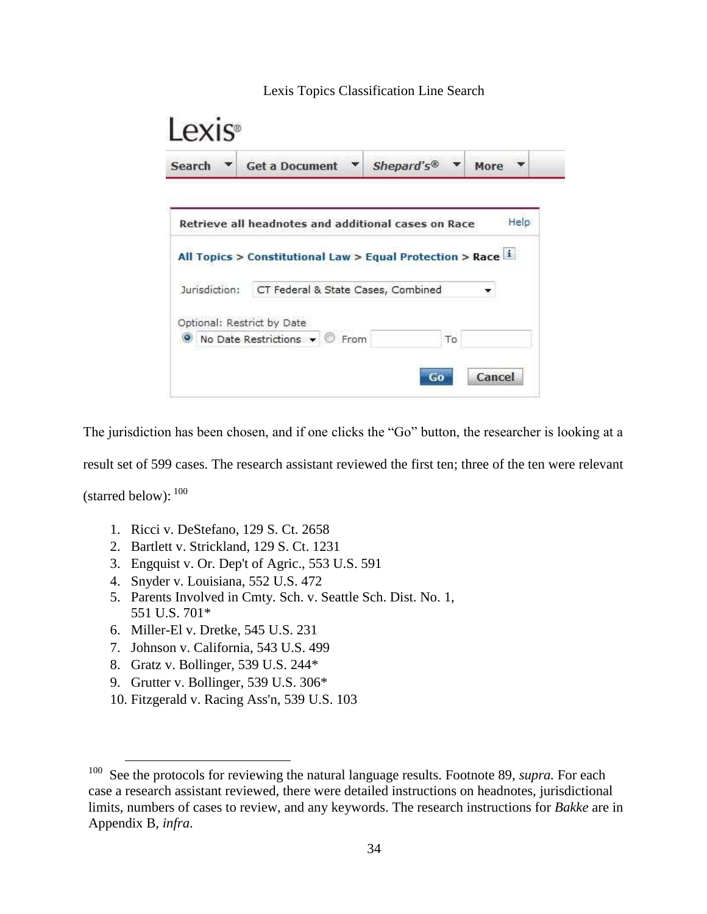### Lexis Topics Classification Line Search

|                            | Search $\mathbf{\nabla}$ Get a Document $\mathbf{\nabla}$ Shepard's <sup>®</sup> $\mathbf{\nabla}$ |  | More |
|----------------------------|----------------------------------------------------------------------------------------------------|--|------|
|                            | Retrieve all headnotes and additional cases on Race                                                |  | Help |
|                            |                                                                                                    |  |      |
|                            | All Topics > Constitutional Law > Equal Protection > Race                                          |  |      |
| Jurisdiction:              | CT Federal & State Cases, Combined                                                                 |  |      |
| Optional: Restrict by Date | ● No Date Restrictions ▼ ● From                                                                    |  |      |

The jurisdiction has been chosen, and if one clicks the "Go" button, the researcher is looking at a result set of 599 cases. The research assistant reviewed the first ten; three of the ten were relevant (starred below):  $100$ 

- 1. Ricci v. DeStefano, 129 S. Ct. 2658
- 2. Bartlett v. Strickland, 129 S. Ct. 1231
- 3. Engquist v. Or. Dep't of Agric., 553 U.S. 591
- 4. Snyder v. Louisiana, 552 U.S. 472
- 5. Parents Involved in Cmty. Sch. v. Seattle Sch. Dist. No. 1, 551 U.S. 701\*
- 6. Miller-El v. Dretke, 545 U.S. 231
- 7. Johnson v. California, 543 U.S. 499
- 8. Gratz v. Bollinger, 539 U.S. 244\*

- 9. Grutter v. Bollinger, 539 U.S. 306\*
- 10. Fitzgerald v. Racing Ass'n, 539 U.S. 103

<sup>&</sup>lt;sup>100</sup> See the protocols for reviewing the natural language results. Footnote 89, *supra*. For each case a research assistant reviewed, there were detailed instructions on headnotes, jurisdictional limits, numbers of cases to review, and any keywords. The research instructions for *Bakke* are in Appendix B, *infra*.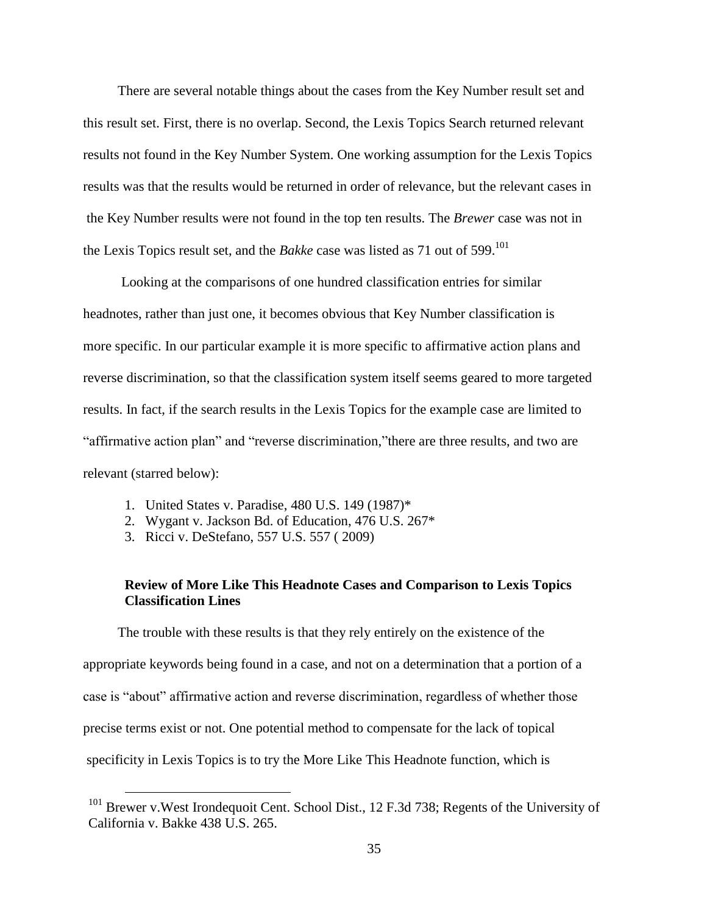There are several notable things about the cases from the Key Number result set and this result set. First, there is no overlap. Second, the Lexis Topics Search returned relevant results not found in the Key Number System. One working assumption for the Lexis Topics results was that the results would be returned in order of relevance, but the relevant cases in the Key Number results were not found in the top ten results. The *Brewer* case was not in the Lexis Topics result set, and the *Bakke* case was listed as 71 out of 599.<sup>101</sup>

 Looking at the comparisons of one hundred classification entries for similar headnotes, rather than just one, it becomes obvious that Key Number classification is more specific. In our particular example it is more specific to affirmative action plans and reverse discrimination, so that the classification system itself seems geared to more targeted results. In fact, if the search results in the Lexis Topics for the example case are limited to "affirmative action plan" and "reverse discrimination,"there are three results, and two are relevant (starred below):

- 1. United States v. Paradise, 480 U.S. 149 (1987)\*
- 2. Wygant v. Jackson Bd. of Education, 476 U.S. 267\*
- 3. Ricci v. DeStefano, 557 U.S. 557 ( 2009)

 $\overline{a}$ 

### **Review of More Like This Headnote Cases and Comparison to Lexis Topics Classification Lines**

 The trouble with these results is that they rely entirely on the existence of the appropriate keywords being found in a case, and not on a determination that a portion of a case is "about" affirmative action and reverse discrimination, regardless of whether those precise terms exist or not. One potential method to compensate for the lack of topical specificity in Lexis Topics is to try the More Like This Headnote function, which is

<sup>&</sup>lt;sup>101</sup> Brewer v.West Irondequoit Cent. School Dist., 12 F.3d 738; Regents of the University of California v. Bakke 438 U.S. 265.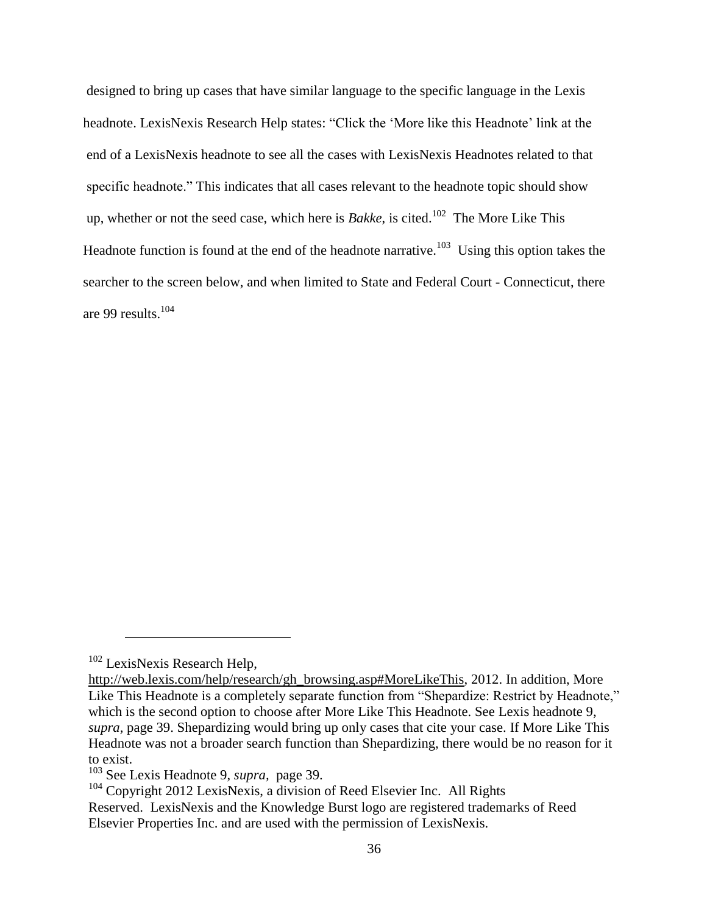designed to bring up cases that have similar language to the specific language in the Lexis headnote. LexisNexis Research Help states: "Click the 'More like this Headnote' link at the end of a LexisNexis headnote to see all the cases with LexisNexis Headnotes related to that specific headnote." This indicates that all cases relevant to the headnote topic should show up, whether or not the seed case, which here is *Bakke*, is cited.<sup>102</sup> The More Like This Headnote function is found at the end of the headnote narrative.<sup>103</sup> Using this option takes the searcher to the screen below, and when limited to State and Federal Court - Connecticut, there are 99 results. 104

<sup>102</sup> LexisNexis Research Help,

[http://web.lexis.com/help/research/gh\\_browsing.asp#MoreLikeThis,](http://web.lexis.com/help/research/gh_browsing.asp#MoreLikeThis) 2012. In addition, More Like This Headnote is a completely separate function from "Shepardize: Restrict by Headnote," which is the second option to choose after More Like This Headnote. See Lexis headnote 9, *supra,* page 39. Shepardizing would bring up only cases that cite your case. If More Like This Headnote was not a broader search function than Shepardizing, there would be no reason for it to exist.

<sup>103</sup> See Lexis Headnote 9, *supra,* page 39.

<sup>&</sup>lt;sup>104</sup> Copyright 2012 LexisNexis, a division of Reed Elsevier Inc. All Rights

Reserved. LexisNexis and the Knowledge Burst logo are registered trademarks of Reed Elsevier Properties Inc. and are used with the permission of LexisNexis.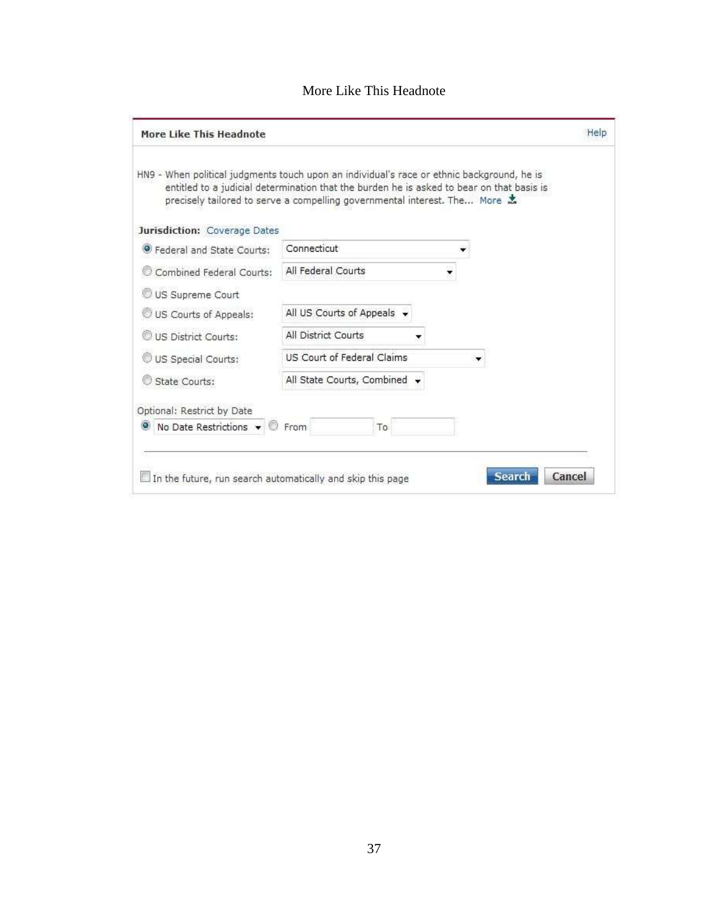# More Like This Headnote

| More Like This Headnote                                                                    |                                                                                                                                                                         |  |        | Help   |
|--------------------------------------------------------------------------------------------|-------------------------------------------------------------------------------------------------------------------------------------------------------------------------|--|--------|--------|
| HN9 - When political judgments touch upon an individual's race or ethnic background, he is | entitled to a judicial determination that the burden he is asked to bear on that basis is<br>precisely tailored to serve a compelling governmental interest. The More & |  |        |        |
| Jurisdiction: Coverage Dates                                                               |                                                                                                                                                                         |  |        |        |
| <sup>O</sup> Federal and State Courts:                                                     | Connecticut.                                                                                                                                                            |  |        |        |
| Combined Federal Courts:                                                                   | All Federal Courts                                                                                                                                                      |  |        |        |
| US Supreme Court                                                                           |                                                                                                                                                                         |  |        |        |
| US Courts of Appeals:                                                                      | All US Courts of Appeals $\rightarrow$                                                                                                                                  |  |        |        |
| US District Courts:                                                                        | All District Courts                                                                                                                                                     |  |        |        |
| US Special Courts:                                                                         | US Court of Federal Claims                                                                                                                                              |  |        |        |
| State Courts:                                                                              | All State Courts, Combined +                                                                                                                                            |  |        |        |
| Optional: Restrict by Date                                                                 |                                                                                                                                                                         |  |        |        |
| No Date Restrictions $\bullet$ $\heartsuit$ From                                           | To                                                                                                                                                                      |  |        |        |
|                                                                                            |                                                                                                                                                                         |  |        |        |
| In the future, run search automatically and skip this page                                 |                                                                                                                                                                         |  | Search | Cancel |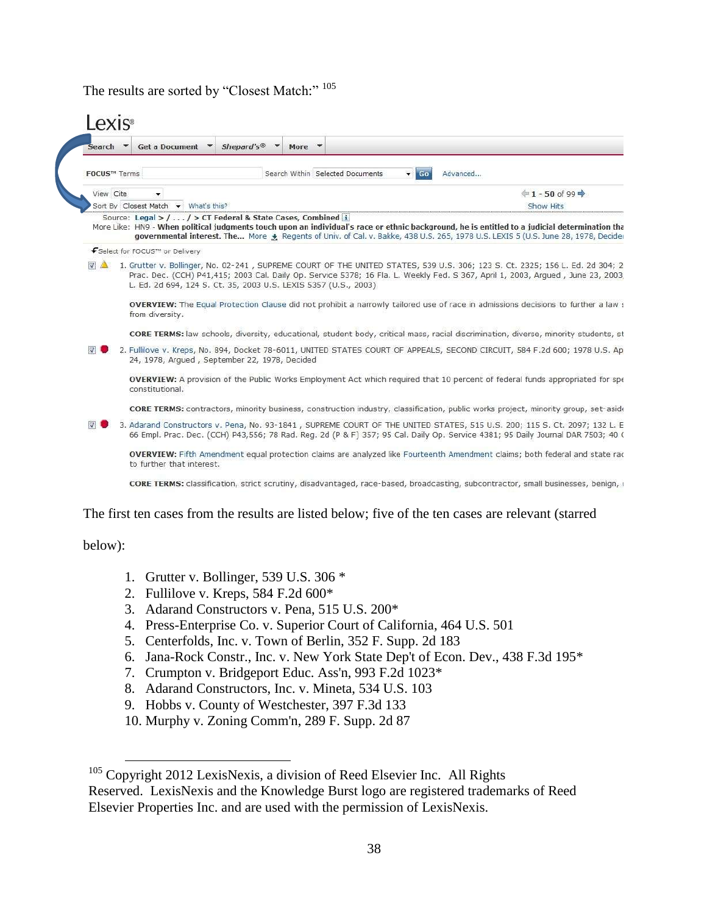The results are sorted by "Closest Match:"  $^{105}$ 

| Search    | <b>Get a Document</b>                                                              | Shepard's® $\blacktriangledown$ | More $\sqrt{ }$ |                                  |                             |                                                                                                                                                                                                                                                                                                                                                                                                                                                                                                                                            |
|-----------|------------------------------------------------------------------------------------|---------------------------------|-----------------|----------------------------------|-----------------------------|--------------------------------------------------------------------------------------------------------------------------------------------------------------------------------------------------------------------------------------------------------------------------------------------------------------------------------------------------------------------------------------------------------------------------------------------------------------------------------------------------------------------------------------------|
|           | FOCUS <sup>™</sup> Terms                                                           |                                 |                 | Search Within Selected Documents | $\mathbf{v}$ Go<br>Advanced |                                                                                                                                                                                                                                                                                                                                                                                                                                                                                                                                            |
| View Cite |                                                                                    |                                 |                 |                                  |                             | $41 - 50$ of 99 $\Rightarrow$                                                                                                                                                                                                                                                                                                                                                                                                                                                                                                              |
|           | Sort By Closest Match v What's this?                                               |                                 |                 |                                  |                             | Show Hits                                                                                                                                                                                                                                                                                                                                                                                                                                                                                                                                  |
|           | + Select for FOCUS™ or Delivery                                                    |                                 |                 |                                  |                             | More Like: HN9 - When political judgments touch upon an individual's race or ethnic background, he is entitled to a judicial determination tha<br>governmental interest. The More ★ Regents of Univ. of Cal. v. Bakke, 438 U.S. 265, 1978 U.S. LEXIS 5 (U.S. June 28, 1978, Decided                                                                                                                                                                                                                                                        |
|           | L. Ed. 2d 694, 124 S. Ct. 35, 2003 U.S. LEXIS 5357 (U.S., 2003)<br>from diversity. |                                 |                 |                                  |                             | 1. Grutter v. Bollinger, No. 02-241, SUPREME COURT OF THE UNITED STATES, 539 U.S. 306; 123 S. Ct. 2325; 156 L. Ed. 2d 304; 2<br>Prac. Dec. (CCH) P41,415; 2003 Cal. Daily Op. Service 5378; 16 Fla. L. Weekly Fed. S 367, April 1, 2003, Arqued, June 23, 2003<br>OVERVIEW: The Equal Protection Clause did not prohibit a narrowly tailored use of race in admissions decisions to further a law s<br>CORE TERMS: law schools, diversity, educational, student body, critical mass, racial discrimination, diverse, minority students, st |
|           | 24, 1978, Arqued, September 22, 1978, Decided                                      |                                 |                 |                                  |                             | 2. Fullilove v. Kreps, No. 894, Docket 78-6011, UNITED STATES COURT OF APPEALS, SECOND CIRCUIT, 584 F.2d 600; 1978 U.S. Ap                                                                                                                                                                                                                                                                                                                                                                                                                 |
|           | constitutional.                                                                    |                                 |                 |                                  |                             | OVERVIEW: A provision of the Public Works Employment Act which required that 10 percent of federal funds appropriated for spe                                                                                                                                                                                                                                                                                                                                                                                                              |
|           |                                                                                    |                                 |                 |                                  |                             | CORE TERMS: contractors, minority business, construction industry, classification, public works project, minority group, set-aside                                                                                                                                                                                                                                                                                                                                                                                                         |
|           |                                                                                    |                                 |                 |                                  |                             | 3. Adarand Constructors v. Pena, No. 93-1841, SUPREME COURT OF THE UNITED STATES, 515 U.S. 200; 115 S. Ct. 2097; 132 L. E<br>66 Empl. Prac. Dec. (CCH) P43,556; 78 Rad. Reg. 2d (P & F) 357; 95 Cal. Daily Op. Service 4381; 95 Daily Journal DAR 7503; 40 (                                                                                                                                                                                                                                                                               |
|           |                                                                                    |                                 |                 |                                  |                             | OVERVIEW: Fifth Amendment equal protection claims are analyzed like Fourteenth Amendment claims; both federal and state rac                                                                                                                                                                                                                                                                                                                                                                                                                |
|           | to further that interest.                                                          |                                 |                 |                                  |                             |                                                                                                                                                                                                                                                                                                                                                                                                                                                                                                                                            |

The first ten cases from the results are listed below; five of the ten cases are relevant (starred

below):

- 1. Grutter v. Bollinger, 539 U.S. 306 \*
- 2. Fullilove v. Kreps, 584 F.2d 600\*
- 3. Adarand Constructors v. Pena, 515 U.S. 200\*
- 4. Press-Enterprise Co. v. Superior Court of California, 464 U.S. 501
- 5. Centerfolds, Inc. v. Town of Berlin, 352 F. Supp. 2d 183
- 6. Jana-Rock Constr., Inc. v. New York State Dep't of Econ. Dev., 438 F.3d 195\*
- 7. Crumpton v. Bridgeport Educ. Ass'n, 993 F.2d 1023\*
- 8. Adarand Constructors, Inc. v. Mineta, 534 U.S. 103
- 9. Hobbs v. County of Westchester, 397 F.3d 133
- 10. Murphy v. Zoning Comm'n, 289 F. Supp. 2d 87

 $105$  Copyright 2012 LexisNexis, a division of Reed Elsevier Inc. All Rights Reserved. LexisNexis and the Knowledge Burst logo are registered trademarks of Reed Elsevier Properties Inc. and are used with the permission of LexisNexis.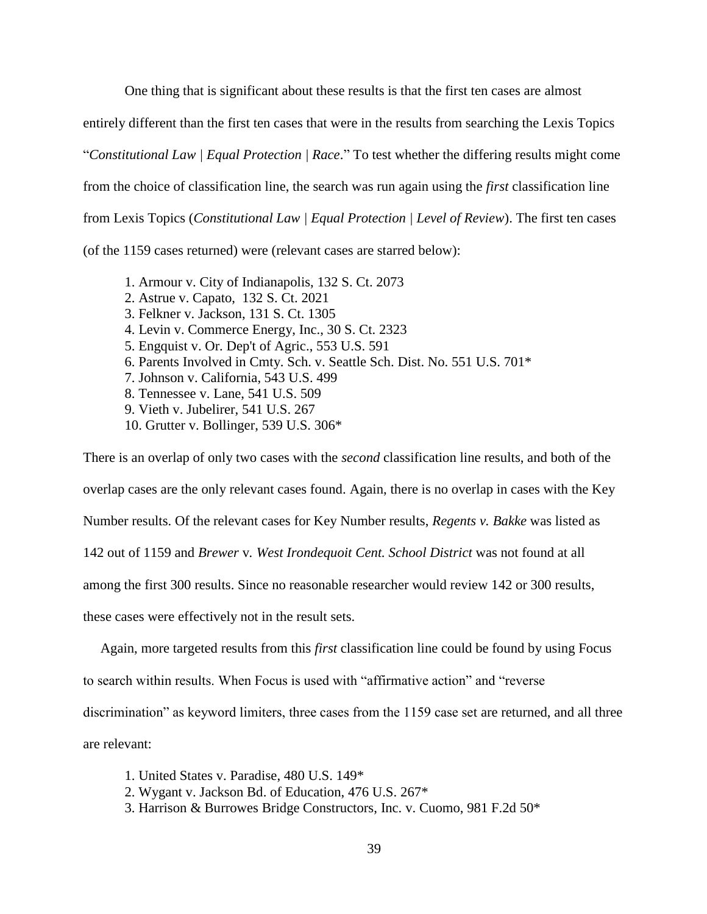One thing that is significant about these results is that the first ten cases are almost

entirely different than the first ten cases that were in the results from searching the Lexis Topics

"*Constitutional Law | Equal Protection | Race*." To test whether the differing results might come

from the choice of classification line, the search was run again using the *first* classification line

from Lexis Topics (*Constitutional Law | Equal Protection | Level of Review*). The first ten cases

(of the 1159 cases returned) were (relevant cases are starred below):

1. Armour v. City of Indianapolis, 132 S. Ct. 2073 2. Astrue v. Capato, 132 S. Ct. 2021 3. Felkner v. Jackson, 131 S. Ct. 1305 4. Levin v. Commerce Energy, Inc., 30 S. Ct. 2323 5. Engquist v. Or. Dep't of Agric., 553 U.S. 591 6. Parents Involved in Cmty. Sch. v. Seattle Sch. Dist. No. 551 U.S. 701\* 7. Johnson v. California, 543 U.S. 499 8. Tennessee v. Lane, 541 U.S. 509 9. Vieth v. Jubelirer, 541 U.S. 267 10. Grutter v. Bollinger, 539 U.S. 306\*

There is an overlap of only two cases with the *second* classification line results, and both of the overlap cases are the only relevant cases found. Again, there is no overlap in cases with the Key Number results. Of the relevant cases for Key Number results, *Regents v. Bakke* was listed as 142 out of 1159 and *Brewer* v*. West Irondequoit Cent. School District* was not found at all among the first 300 results. Since no reasonable researcher would review 142 or 300 results, these cases were effectively not in the result sets.

Again, more targeted results from this *first* classification line could be found by using Focus

to search within results. When Focus is used with "affirmative action" and "reverse

discrimination" as keyword limiters, three cases from the 1159 case set are returned, and all three

are relevant:

- 1. United States v. Paradise, 480 U.S. 149\*
- 2. Wygant v. Jackson Bd. of Education, 476 U.S. 267\*
- 3. Harrison & Burrowes Bridge Constructors, Inc. v. Cuomo, 981 F.2d 50\*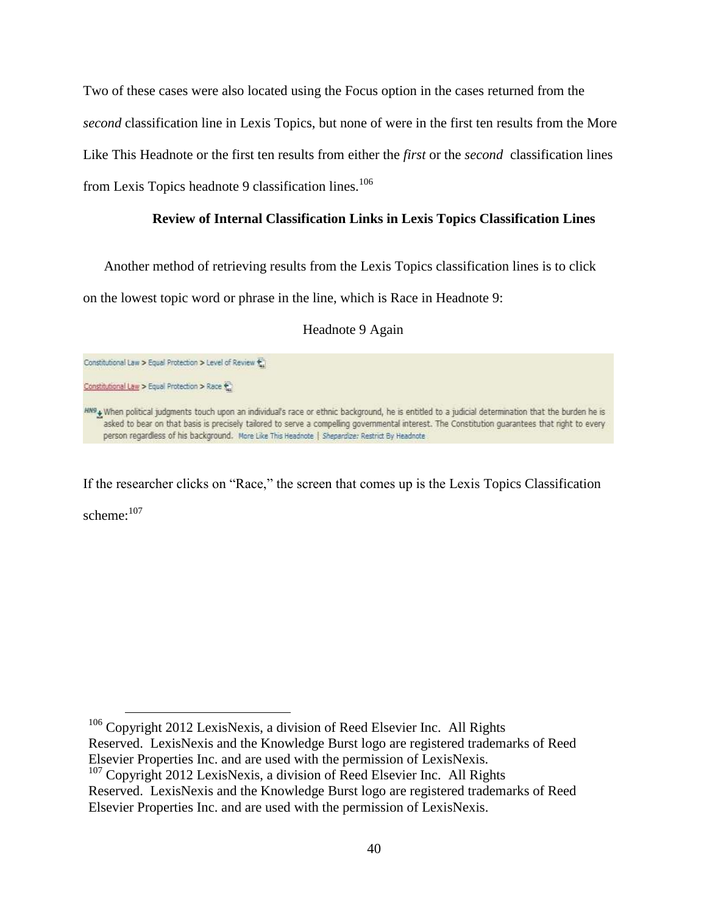Two of these cases were also located using the Focus option in the cases returned from the *second* classification line in Lexis Topics, but none of were in the first ten results from the More Like This Headnote or the first ten results from either the *first* or the *second* classification lines from Lexis Topics headnote 9 classification lines.<sup>106</sup>

### **Review of Internal Classification Links in Lexis Topics Classification Lines**

Another method of retrieving results from the Lexis Topics classification lines is to click

on the lowest topic word or phrase in the line, which is Race in Headnote 9:

### Headnote 9 Again

Constitutional Law > Equal Protection > Level of Review

Constitutional Law > Equal Protection > Race

 $\overline{a}$ 

HM9+ When political judgments touch upon an individual's race or ethnic background, he is entitled to a judicial determination that the burden he is asked to bear on that basis is precisely tailored to serve a compelling governmental interest. The Constitution guarantees that right to every person regardless of his background. More Like This Headnote | Shepardize: Restrict By Headnote

If the researcher clicks on "Race," the screen that comes up is the Lexis Topics Classification scheme: $107$ 

<sup>&</sup>lt;sup>106</sup> Copyright 2012 LexisNexis, a division of Reed Elsevier Inc. All Rights Reserved. LexisNexis and the Knowledge Burst logo are registered trademarks of Reed Elsevier Properties Inc. and are used with the permission of LexisNexis.

<sup>&</sup>lt;sup>107</sup> Copyright 2012 LexisNexis, a division of Reed Elsevier Inc. All Rights

Reserved. LexisNexis and the Knowledge Burst logo are registered trademarks of Reed Elsevier Properties Inc. and are used with the permission of LexisNexis.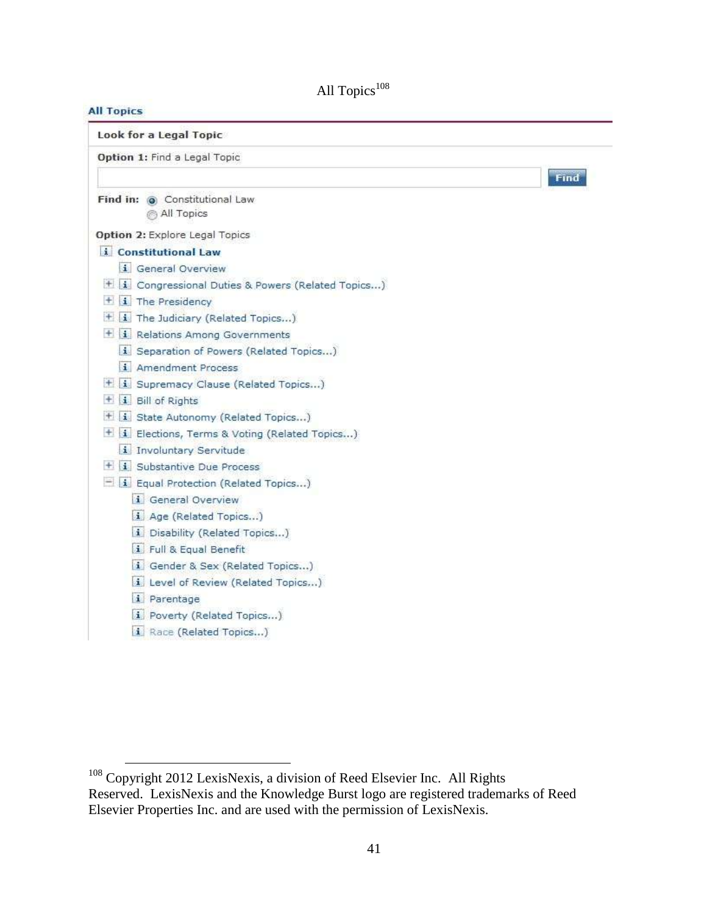Find

#### **All Topics**

Look for a Legal Topic

Option 1: Find a Legal Topic

Find in: @ Constitutional Law

All Topics

Option 2: Explore Legal Topics

### **i** Constitutional Law

**i** General Overview

- + i Congressional Duties & Powers (Related Topics...)
- $+$   $\overline{\mathbf{i}}$  The Presidency
- $\mathbf{F}$  **i** The Judiciary (Related Topics...)
- + i Relations Among Governments
	- i Separation of Powers (Related Topics...)
	- i Amendment Process
- E i Supremacy Clause (Related Topics...)
- $\overline{1}$  Bill of Rights
- $\mathbf{1}$  State Autonomy (Related Topics...)
- Elections, Terms & Voting (Related Topics...)
	- I Involuntary Servitude
- + i Substantive Due Process
- $= 1$  Equal Protection (Related Topics...)
	- **i** General Overview
	- 1 Age (Related Topics...)
	- 1 Disability (Related Topics...)
	- i Full & Equal Benefit
	- i Gender & Sex (Related Topics...)
	- i Level of Review (Related Topics...)
	- i Parentage

- i Poverty (Related Topics...)
- Race (Related Topics...)

 $108$  Copyright 2012 LexisNexis, a division of Reed Elsevier Inc. All Rights Reserved. LexisNexis and the Knowledge Burst logo are registered trademarks of Reed Elsevier Properties Inc. and are used with the permission of LexisNexis.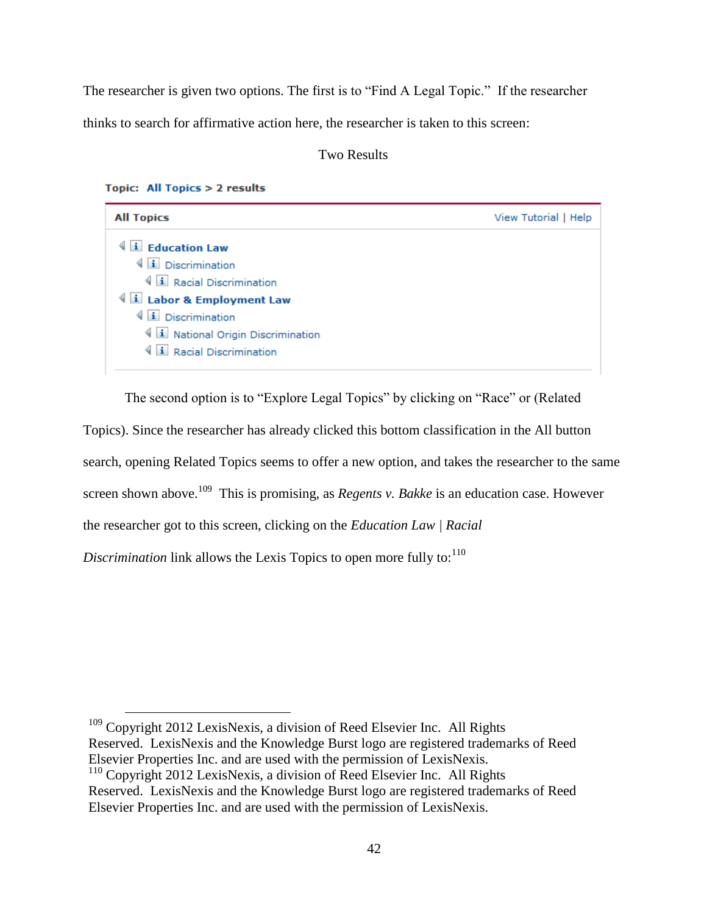The researcher is given two options. The first is to "Find A Legal Topic." If the researcher thinks to search for affirmative action here, the researcher is taken to this screen:

Two Results

#### Topic: All Topics > 2 results

| <b>All Topics</b>                         | View Tutorial   Help |
|-------------------------------------------|----------------------|
| $\overline{\mathbf{u}}$ Education Law     |                      |
| 4 i Discrimination                        |                      |
| 4 il Racial Discrimination                |                      |
| I Labor & Employment Law                  |                      |
| $\overline{\mathbf{1}}$ Discrimination    |                      |
| <b>4 i</b> National Origin Discrimination |                      |
| 4 i Racial Discrimination                 |                      |
|                                           |                      |

The second option is to "Explore Legal Topics" by clicking on "Race" or (Related

Topics). Since the researcher has already clicked this bottom classification in the All button

search, opening Related Topics seems to offer a new option, and takes the researcher to the same

screen shown above.<sup>109</sup> This is promising, as *Regents v. Bakke* is an education case. However

the researcher got to this screen, clicking on the *Education Law | Racial* 

*Discrimination* link allows the Lexis Topics to open more fully to:<sup>110</sup>

 $\overline{a}$  $109$  Copyright 2012 LexisNexis, a division of Reed Elsevier Inc. All Rights Reserved. LexisNexis and the Knowledge Burst logo are registered trademarks of Reed Elsevier Properties Inc. and are used with the permission of LexisNexis.

<sup>&</sup>lt;sup>110</sup> Copyright 2012 LexisNexis, a division of Reed Elsevier Inc. All Rights

Reserved. LexisNexis and the Knowledge Burst logo are registered trademarks of Reed Elsevier Properties Inc. and are used with the permission of LexisNexis.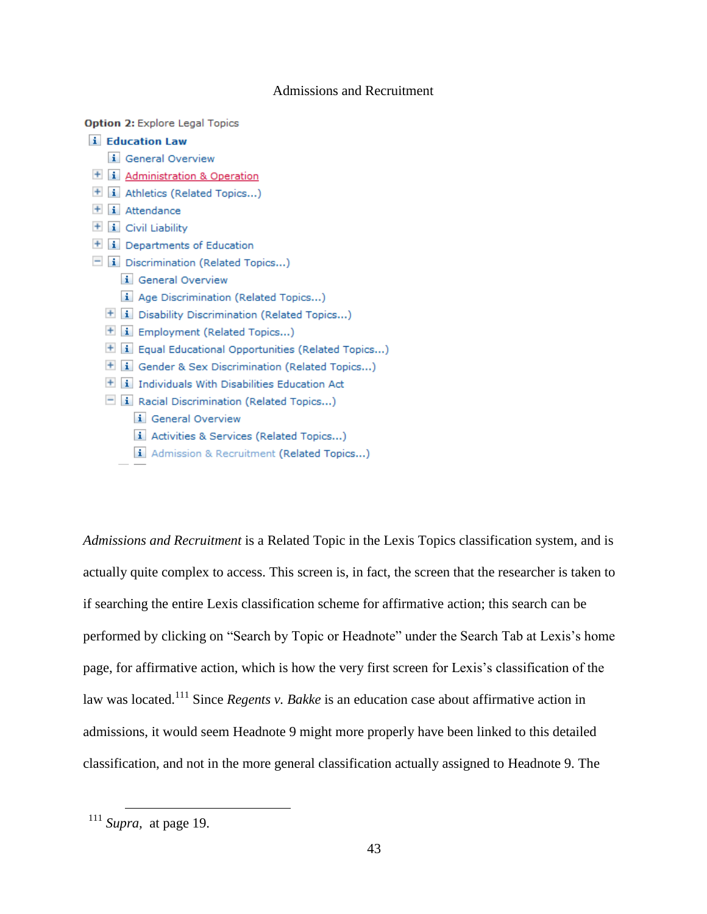### Admissions and Recruitment

**Option 2: Explore Legal Topics** 

### **i** Education Law i General Overview

- $\overline{+}$  **i** Administration & Operation
- $\overline{+}$  **i** Athletics (Related Topics...)
- $\overline{+}$  **i** Attendance
- **E** i Civil Liability
- $\mathbf{F}$  **i** Departments of Education
- $\Box$  **i** Discrimination (Related Topics...)
	- i General Overview
	- 1 Age Discrimination (Related Topics...)
	- **E** i Disability Discrimination (Related Topics...)
	- $\mathbb{F}$  **i** Employment (Related Topics...)
	- E ii Equal Educational Opportunities (Related Topics...)
	- **E** i Gender & Sex Discrimination (Related Topics...)
	- $\overline{+}$  **i** Individuals With Disabilities Education Act
	- $\Box$  **i** Racial Discrimination (Related Topics...)
		- **i** General Overview
		- *i* Activities & Services (Related Topics...)
		- Admission & Recruitment (Related Topics...)

*Admissions and Recruitment* is a Related Topic in the Lexis Topics classification system, and is actually quite complex to access. This screen is, in fact, the screen that the researcher is taken to if searching the entire Lexis classification scheme for affirmative action; this search can be performed by clicking on "Search by Topic or Headnote" under the Search Tab at Lexis's home page, for affirmative action, which is how the very first screen for Lexis's classification of the law was located.<sup>111</sup> Since *Regents v. Bakke* is an education case about affirmative action in admissions, it would seem Headnote 9 might more properly have been linked to this detailed classification, and not in the more general classification actually assigned to Headnote 9. The

<sup>111</sup> *Supra,* at page 19.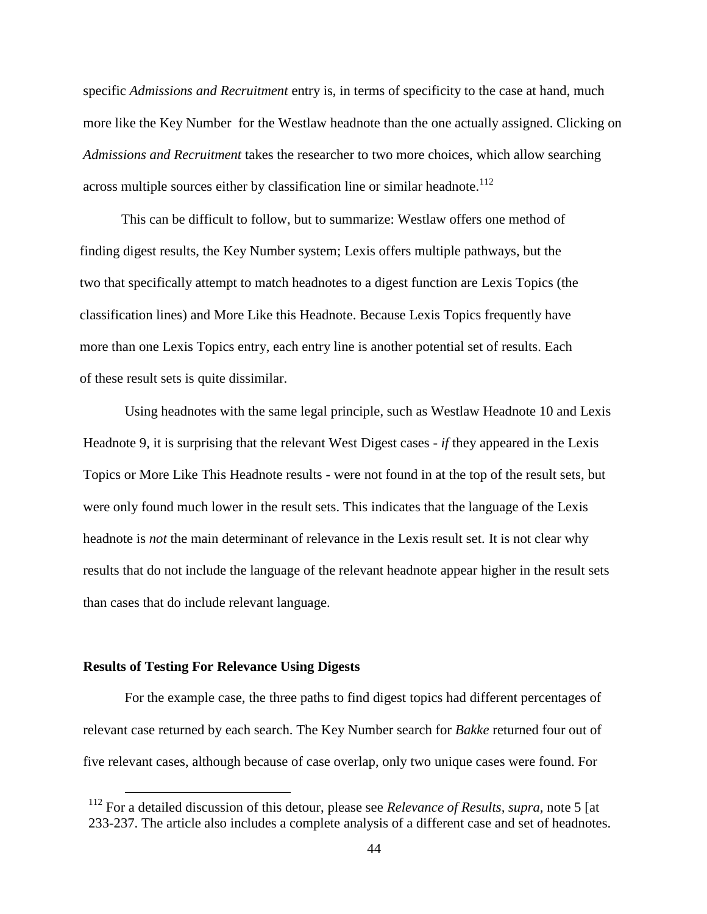specific *Admissions and Recruitment* entry is, in terms of specificity to the case at hand, much more like the Key Number for the Westlaw headnote than the one actually assigned. Clicking on *Admissions and Recruitment* takes the researcher to two more choices, which allow searching across multiple sources either by classification line or similar headnote.<sup>112</sup>

This can be difficult to follow, but to summarize: Westlaw offers one method of finding digest results, the Key Number system; Lexis offers multiple pathways, but the two that specifically attempt to match headnotes to a digest function are Lexis Topics (the classification lines) and More Like this Headnote. Because Lexis Topics frequently have more than one Lexis Topics entry, each entry line is another potential set of results. Each of these result sets is quite dissimilar.

Using headnotes with the same legal principle, such as Westlaw Headnote 10 and Lexis Headnote 9, it is surprising that the relevant West Digest cases - *if* they appeared in the Lexis Topics or More Like This Headnote results - were not found in at the top of the result sets, but were only found much lower in the result sets. This indicates that the language of the Lexis headnote is *not* the main determinant of relevance in the Lexis result set. It is not clear why results that do not include the language of the relevant headnote appear higher in the result sets than cases that do include relevant language.

### **Results of Testing For Relevance Using Digests**

 $\overline{a}$ 

For the example case, the three paths to find digest topics had different percentages of relevant case returned by each search. The Key Number search for *Bakke* returned four out of five relevant cases, although because of case overlap, only two unique cases were found. For

<sup>112</sup> For a detailed discussion of this detour, please see *Relevance of Results, supra,* note 5 [at 233-237. The article also includes a complete analysis of a different case and set of headnotes.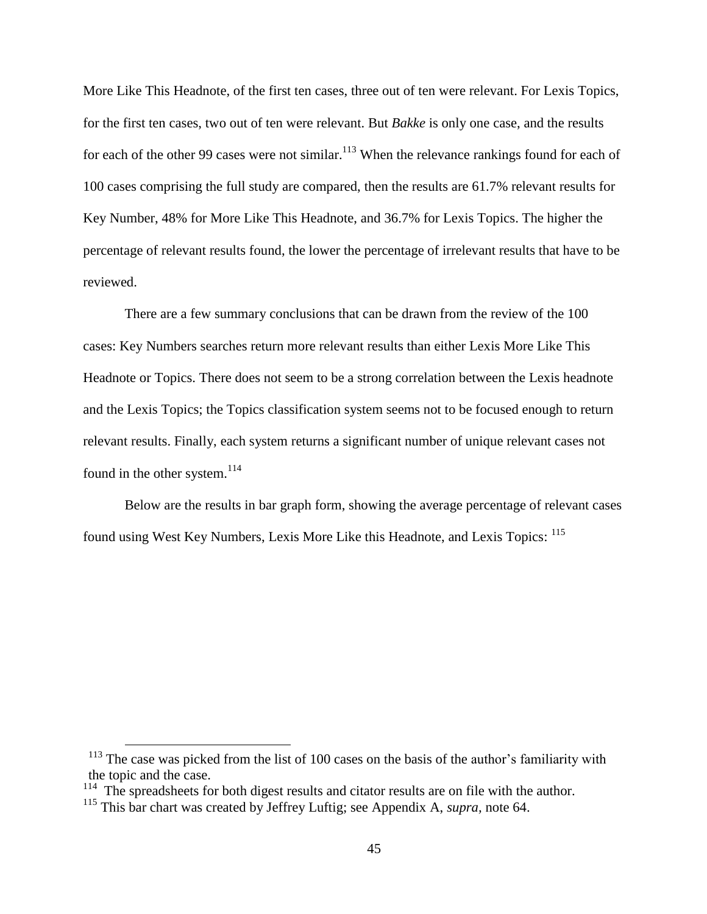More Like This Headnote, of the first ten cases, three out of ten were relevant. For Lexis Topics, for the first ten cases, two out of ten were relevant. But *Bakke* is only one case, and the results for each of the other 99 cases were not similar.<sup>113</sup> When the relevance rankings found for each of 100 cases comprising the full study are compared, then the results are 61.7% relevant results for Key Number, 48% for More Like This Headnote, and 36.7% for Lexis Topics. The higher the percentage of relevant results found, the lower the percentage of irrelevant results that have to be reviewed.

There are a few summary conclusions that can be drawn from the review of the 100 cases: Key Numbers searches return more relevant results than either Lexis More Like This Headnote or Topics. There does not seem to be a strong correlation between the Lexis headnote and the Lexis Topics; the Topics classification system seems not to be focused enough to return relevant results. Finally, each system returns a significant number of unique relevant cases not found in the other system.<sup>114</sup>

Below are the results in bar graph form, showing the average percentage of relevant cases found using West Key Numbers, Lexis More Like this Headnote, and Lexis Topics:  $^{115}$ 

<sup>&</sup>lt;sup>113</sup> The case was picked from the list of 100 cases on the basis of the author's familiarity with the topic and the case.

<sup>&</sup>lt;sup>114</sup> The spreadsheets for both digest results and citator results are on file with the author.

<sup>115</sup> This bar chart was created by Jeffrey Luftig; see Appendix A, *supra,* note 64.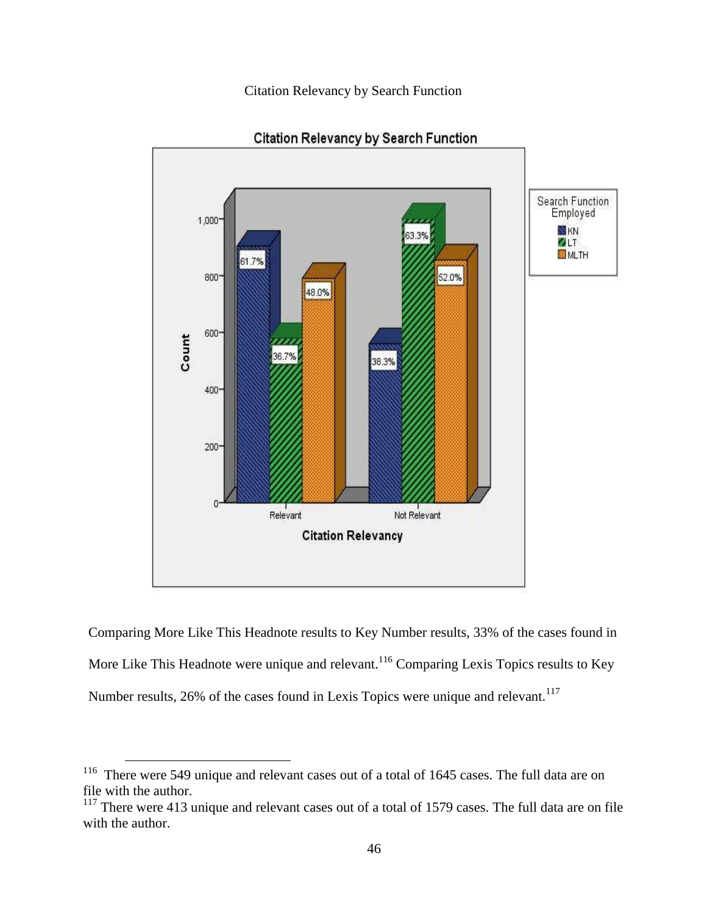

Citation Relevancy by Search Function

Comparing More Like This Headnote results to Key Number results, 33% of the cases found in More Like This Headnote were unique and relevant.<sup>116</sup> Comparing Lexis Topics results to Key Number results, 26% of the cases found in Lexis Topics were unique and relevant.<sup>117</sup>

<sup>&</sup>lt;sup>116</sup> There were 549 unique and relevant cases out of a total of 1645 cases. The full data are on file with the author.

<sup>&</sup>lt;sup>117</sup> There were 413 unique and relevant cases out of a total of 1579 cases. The full data are on file with the author.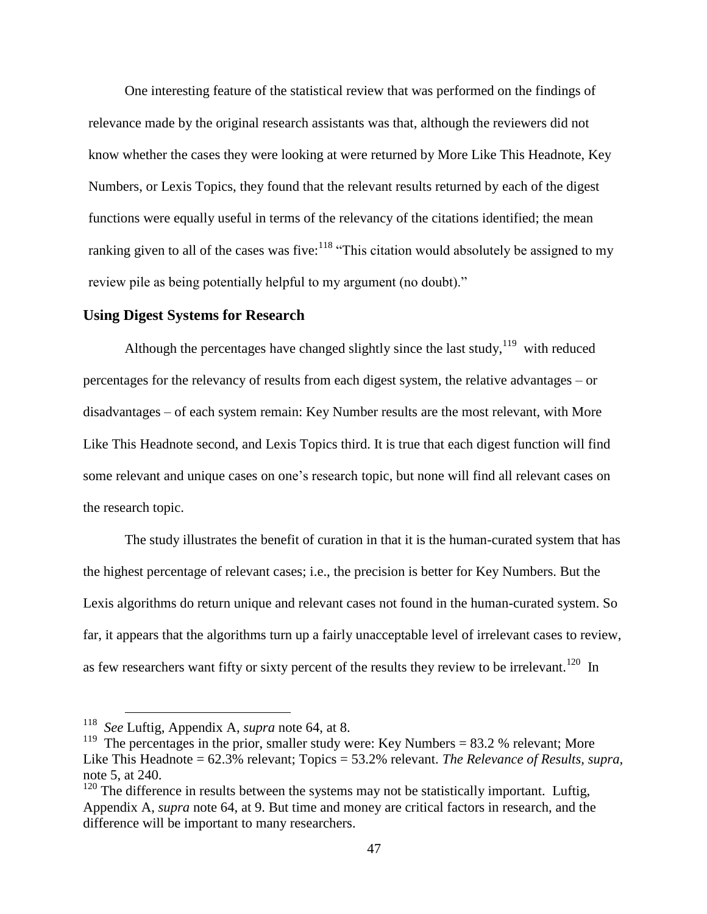One interesting feature of the statistical review that was performed on the findings of relevance made by the original research assistants was that, although the reviewers did not know whether the cases they were looking at were returned by More Like This Headnote, Key Numbers, or Lexis Topics, they found that the relevant results returned by each of the digest functions were equally useful in terms of the relevancy of the citations identified; the mean ranking given to all of the cases was five: $118$  "This citation would absolutely be assigned to my review pile as being potentially helpful to my argument (no doubt)."

### **Using Digest Systems for Research**

Although the percentages have changed slightly since the last study,  $119$  with reduced percentages for the relevancy of results from each digest system, the relative advantages – or disadvantages – of each system remain: Key Number results are the most relevant, with More Like This Headnote second, and Lexis Topics third. It is true that each digest function will find some relevant and unique cases on one's research topic, but none will find all relevant cases on the research topic.

The study illustrates the benefit of curation in that it is the human-curated system that has the highest percentage of relevant cases; i.e., the precision is better for Key Numbers. But the Lexis algorithms do return unique and relevant cases not found in the human-curated system. So far, it appears that the algorithms turn up a fairly unacceptable level of irrelevant cases to review, as few researchers want fifty or sixty percent of the results they review to be irrelevant.<sup>120</sup> In

<sup>118</sup> *See* Luftig, Appendix A, *supra* note 64, at 8.

<sup>&</sup>lt;sup>119</sup> The percentages in the prior, smaller study were: Key Numbers = 83.2 % relevant; More Like This Headnote = 62.3% relevant; Topics = 53.2% relevant. *The Relevance of Results, supra,*  note 5, at 240.

 $120$  The difference in results between the systems may not be statistically important. Luftig, Appendix A, *supra* note 64, at 9. But time and money are critical factors in research, and the difference will be important to many researchers.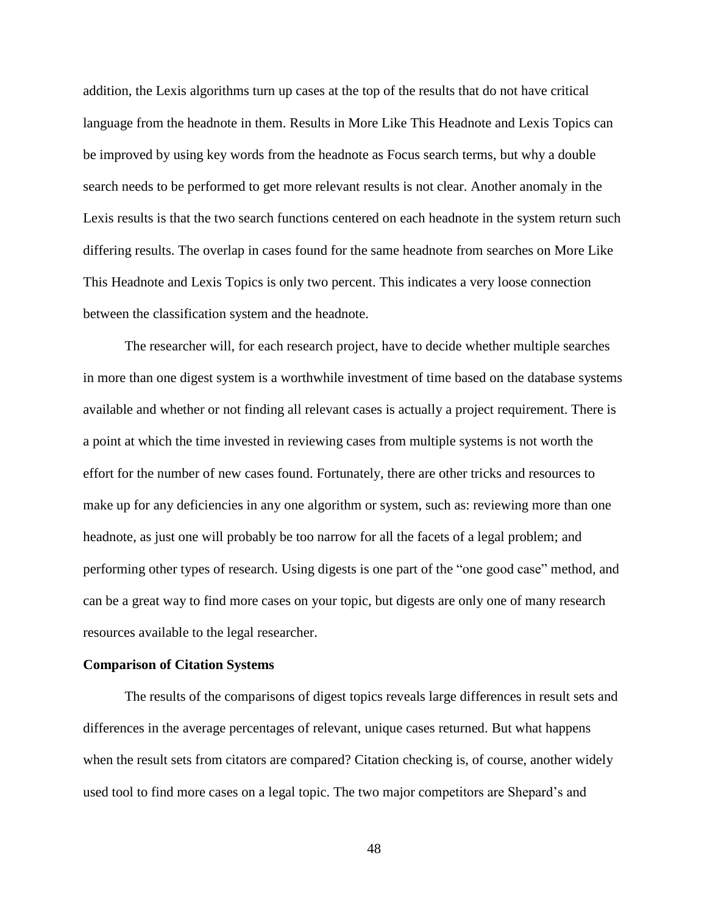addition, the Lexis algorithms turn up cases at the top of the results that do not have critical language from the headnote in them. Results in More Like This Headnote and Lexis Topics can be improved by using key words from the headnote as Focus search terms, but why a double search needs to be performed to get more relevant results is not clear. Another anomaly in the Lexis results is that the two search functions centered on each headnote in the system return such differing results. The overlap in cases found for the same headnote from searches on More Like This Headnote and Lexis Topics is only two percent. This indicates a very loose connection between the classification system and the headnote.

The researcher will, for each research project, have to decide whether multiple searches in more than one digest system is a worthwhile investment of time based on the database systems available and whether or not finding all relevant cases is actually a project requirement. There is a point at which the time invested in reviewing cases from multiple systems is not worth the effort for the number of new cases found. Fortunately, there are other tricks and resources to make up for any deficiencies in any one algorithm or system, such as: reviewing more than one headnote, as just one will probably be too narrow for all the facets of a legal problem; and performing other types of research. Using digests is one part of the "one good case" method, and can be a great way to find more cases on your topic, but digests are only one of many research resources available to the legal researcher.

#### **Comparison of Citation Systems**

The results of the comparisons of digest topics reveals large differences in result sets and differences in the average percentages of relevant, unique cases returned. But what happens when the result sets from citators are compared? Citation checking is, of course, another widely used tool to find more cases on a legal topic. The two major competitors are Shepard's and

48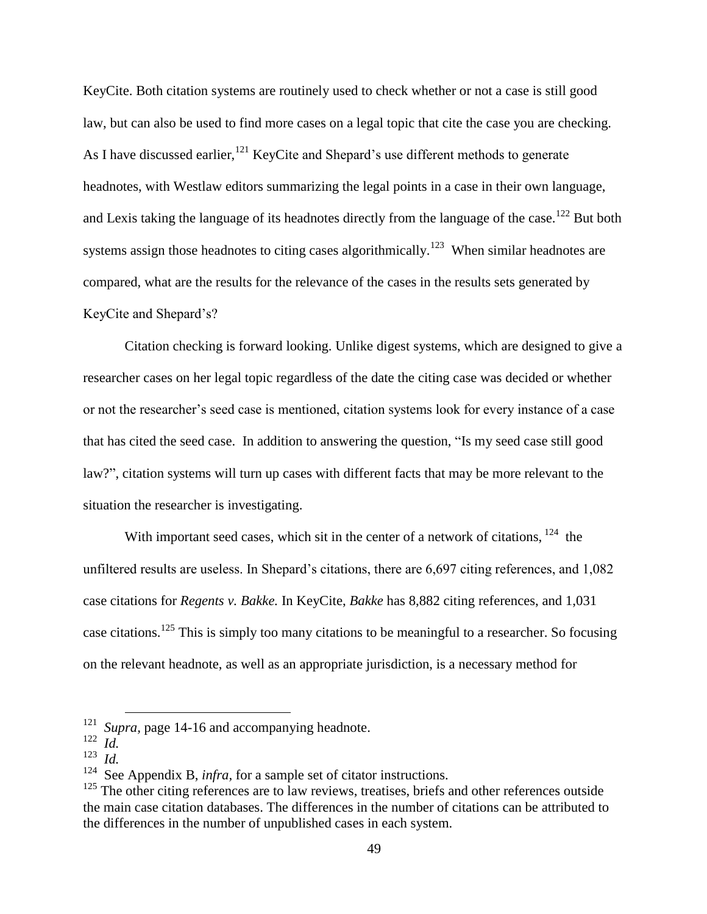KeyCite. Both citation systems are routinely used to check whether or not a case is still good law, but can also be used to find more cases on a legal topic that cite the case you are checking. As I have discussed earlier,  $^{121}$  KeyCite and Shepard's use different methods to generate headnotes, with Westlaw editors summarizing the legal points in a case in their own language, and Lexis taking the language of its headnotes directly from the language of the case.<sup>122</sup> But both systems assign those headnotes to citing cases algorithmically.<sup>123</sup> When similar headnotes are compared, what are the results for the relevance of the cases in the results sets generated by KeyCite and Shepard's?

Citation checking is forward looking. Unlike digest systems, which are designed to give a researcher cases on her legal topic regardless of the date the citing case was decided or whether or not the researcher's seed case is mentioned, citation systems look for every instance of a case that has cited the seed case. In addition to answering the question, "Is my seed case still good law?", citation systems will turn up cases with different facts that may be more relevant to the situation the researcher is investigating.

With important seed cases, which sit in the center of a network of citations, <sup>124</sup> the unfiltered results are useless. In Shepard's citations, there are 6,697 citing references, and 1,082 case citations for *Regents v. Bakke.* In KeyCite, *Bakke* has 8,882 citing references, and 1,031 case citations.<sup>125</sup> This is simply too many citations to be meaningful to a researcher. So focusing on the relevant headnote, as well as an appropriate jurisdiction, is a necessary method for

<sup>121</sup> *Supra,* page 14-16 and accompanying headnote. 122

*Id.* 123

*Id.*

<sup>&</sup>lt;sup>124</sup> See Appendix B, *infra*, for a sample set of citator instructions.

 $125$  The other citing references are to law reviews, treatises, briefs and other references outside the main case citation databases. The differences in the number of citations can be attributed to the differences in the number of unpublished cases in each system.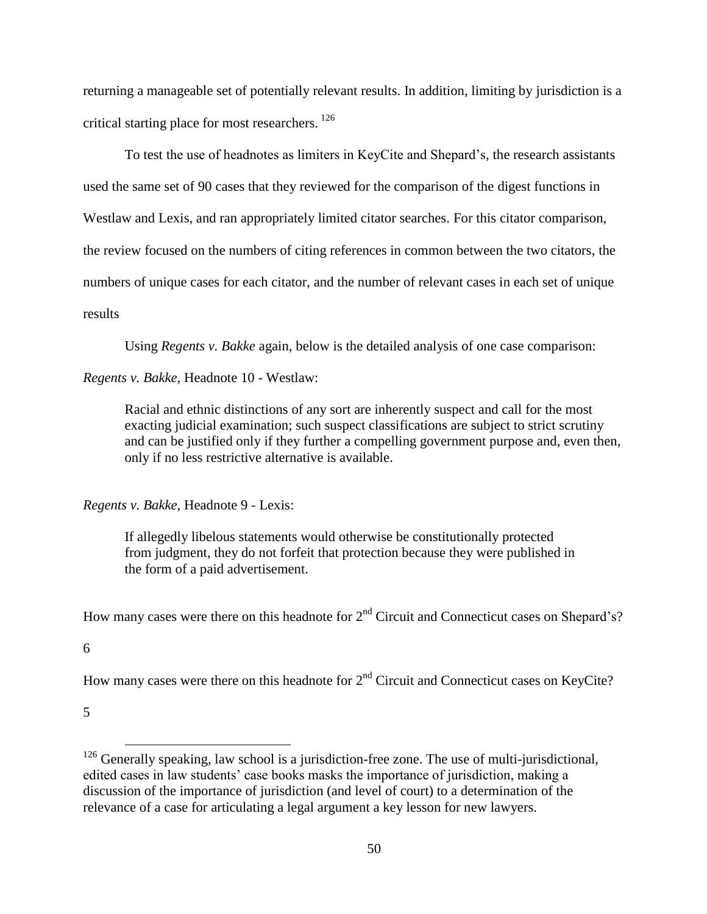returning a manageable set of potentially relevant results. In addition, limiting by jurisdiction is a critical starting place for most researchers. <sup>126</sup>

To test the use of headnotes as limiters in KeyCite and Shepard's, the research assistants used the same set of 90 cases that they reviewed for the comparison of the digest functions in Westlaw and Lexis, and ran appropriately limited citator searches. For this citator comparison, the review focused on the numbers of citing references in common between the two citators, the numbers of unique cases for each citator, and the number of relevant cases in each set of unique results

Using *Regents v. Bakke* again, below is the detailed analysis of one case comparison:

*Regents v. Bakke,* Headnote 10 - Westlaw:

Racial and ethnic distinctions of any sort are inherently suspect and call for the most exacting judicial examination; such suspect classifications are subject to strict scrutiny and can be justified only if they further a compelling government purpose and, even then, only if no less restrictive alternative is available.

*Regents v. Bakke,* Headnote 9 - Lexis:

If allegedly libelous statements would otherwise be constitutionally protected from judgment, they do not forfeit that protection because they were published in the form of a paid advertisement.

How many cases were there on this headnote for  $2<sup>nd</sup>$  Circuit and Connecticut cases on Shepard's?

6

How many cases were there on this headnote for  $2<sup>nd</sup>$  Circuit and Connecticut cases on KeyCite?

5

 $126$  Generally speaking, law school is a jurisdiction-free zone. The use of multi-jurisdictional, edited cases in law students' case books masks the importance of jurisdiction, making a discussion of the importance of jurisdiction (and level of court) to a determination of the relevance of a case for articulating a legal argument a key lesson for new lawyers.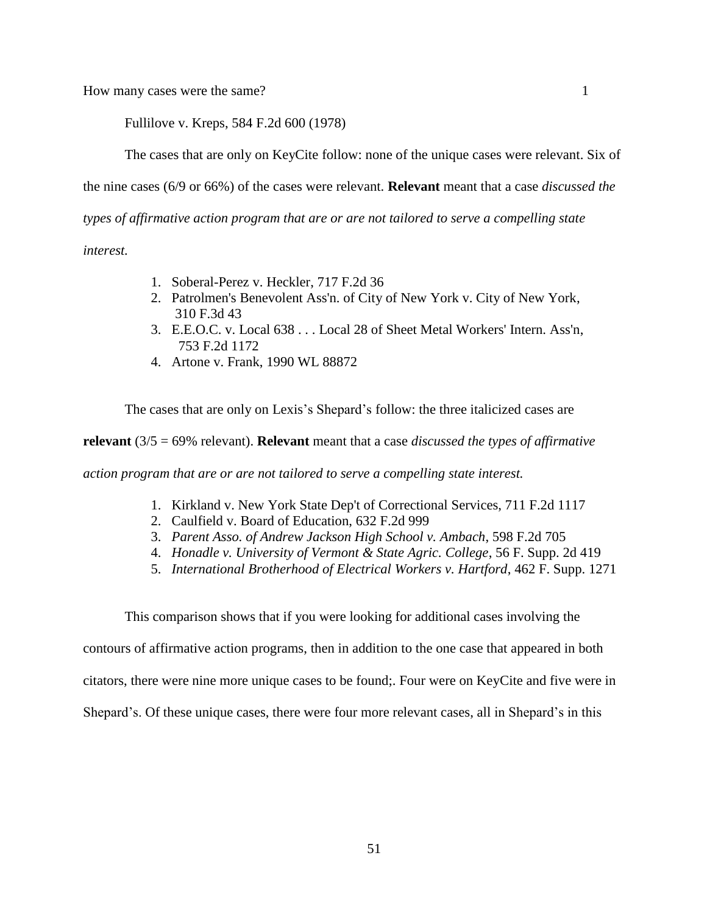How many cases were the same? 1

Fullilove v. Kreps, 584 F.2d 600 (1978)

The cases that are only on KeyCite follow: none of the unique cases were relevant. Six of

the nine cases (6/9 or 66%) of the cases were relevant. **Relevant** meant that a case *discussed the* 

*types of affirmative action program that are or are not tailored to serve a compelling state* 

*interest.*

- 1. Soberal-Perez v. Heckler, 717 F.2d 36
- 2. Patrolmen's Benevolent Ass'n. of City of New York v. City of New York, 310 F.3d 43
- 3. E.E.O.C. v. Local 638 . . . Local 28 of Sheet Metal Workers' Intern. Ass'n, 753 F.2d 1172
- 4. Artone v. Frank, 1990 WL 88872

The cases that are only on Lexis's Shepard's follow: the three italicized cases are

**relevant** (3/5 = 69% relevant). **Relevant** meant that a case *discussed the types of affirmative* 

*action program that are or are not tailored to serve a compelling state interest.*

- 1. Kirkland v. New York State Dep't of Correctional Services, 711 F.2d 1117
- 2. Caulfield v. Board of Education, 632 F.2d 999
- 3. *Parent Asso. of Andrew Jackson High School v. Ambach*, 598 F.2d 705
- 4. *Honadle v. University of Vermont & State Agric. College*, 56 F. Supp. 2d 419
- 5. *International Brotherhood of Electrical Workers v. Hartford*, 462 F. Supp. 1271

This comparison shows that if you were looking for additional cases involving the

contours of affirmative action programs, then in addition to the one case that appeared in both

citators, there were nine more unique cases to be found;. Four were on KeyCite and five were in

Shepard's. Of these unique cases, there were four more relevant cases, all in Shepard's in this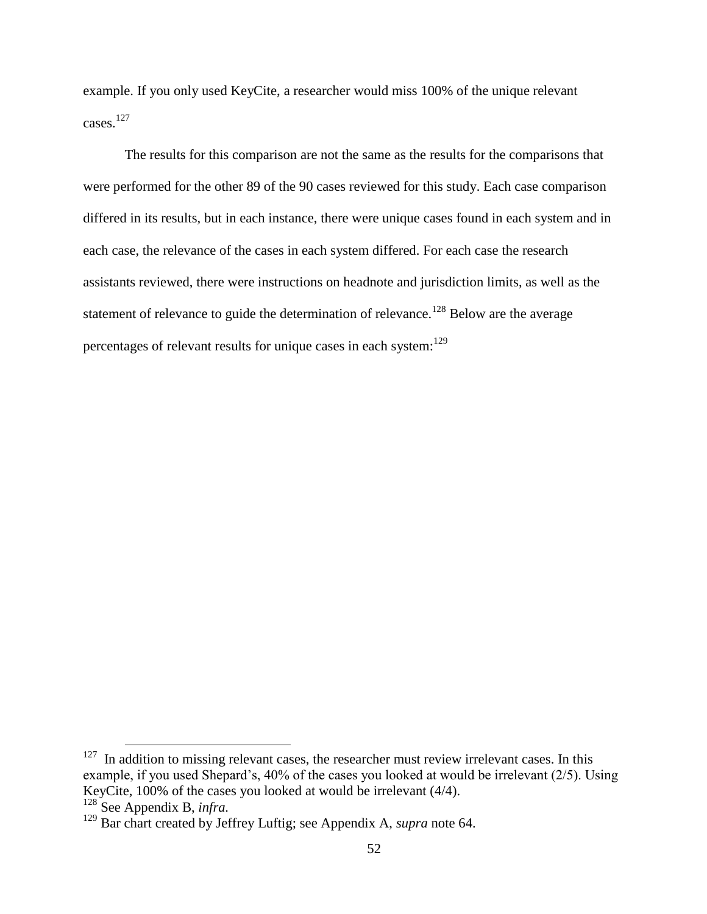example. If you only used KeyCite, a researcher would miss 100% of the unique relevant cases. $^{127}$ 

The results for this comparison are not the same as the results for the comparisons that were performed for the other 89 of the 90 cases reviewed for this study. Each case comparison differed in its results, but in each instance, there were unique cases found in each system and in each case, the relevance of the cases in each system differed. For each case the research assistants reviewed, there were instructions on headnote and jurisdiction limits, as well as the statement of relevance to guide the determination of relevance.<sup>128</sup> Below are the average percentages of relevant results for unique cases in each system:<sup>129</sup>

<sup>127</sup> In addition to missing relevant cases, the researcher must review irrelevant cases. In this example, if you used Shepard's, 40% of the cases you looked at would be irrelevant (2/5). Using KeyCite, 100% of the cases you looked at would be irrelevant (4/4).

<sup>128</sup> See Appendix B, *infra.*

<sup>&</sup>lt;sup>129</sup> Bar chart created by Jeffrey Luftig; see Appendix A, *supra* note 64.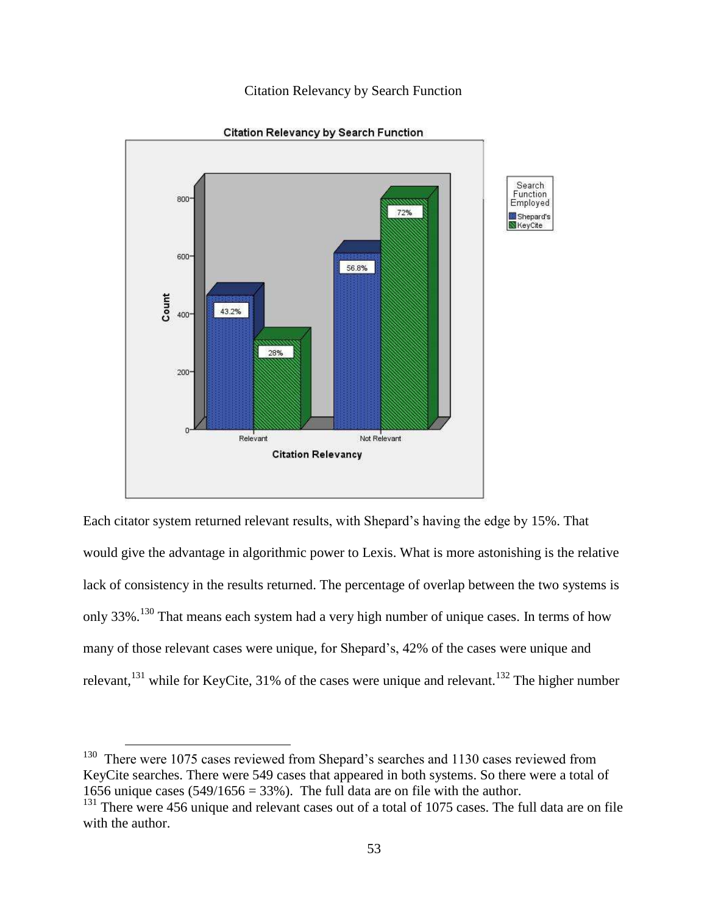#### Citation Relevancy by Search Function



Citation Relevancy by Search Function

Each citator system returned relevant results, with Shepard's having the edge by 15%. That would give the advantage in algorithmic power to Lexis. What is more astonishing is the relative lack of consistency in the results returned. The percentage of overlap between the two systems is only 33%.<sup>130</sup> That means each system had a very high number of unique cases. In terms of how many of those relevant cases were unique, for Shepard's, 42% of the cases were unique and relevant,<sup>131</sup> while for KeyCite, 31% of the cases were unique and relevant.<sup>132</sup> The higher number

<sup>130</sup> There were 1075 cases reviewed from Shepard's searches and 1130 cases reviewed from KeyCite searches. There were 549 cases that appeared in both systems. So there were a total of 1656 unique cases  $(549/1656 = 33\%)$ . The full data are on file with the author.

<sup>&</sup>lt;sup>131</sup> There were 456 unique and relevant cases out of a total of 1075 cases. The full data are on file with the author.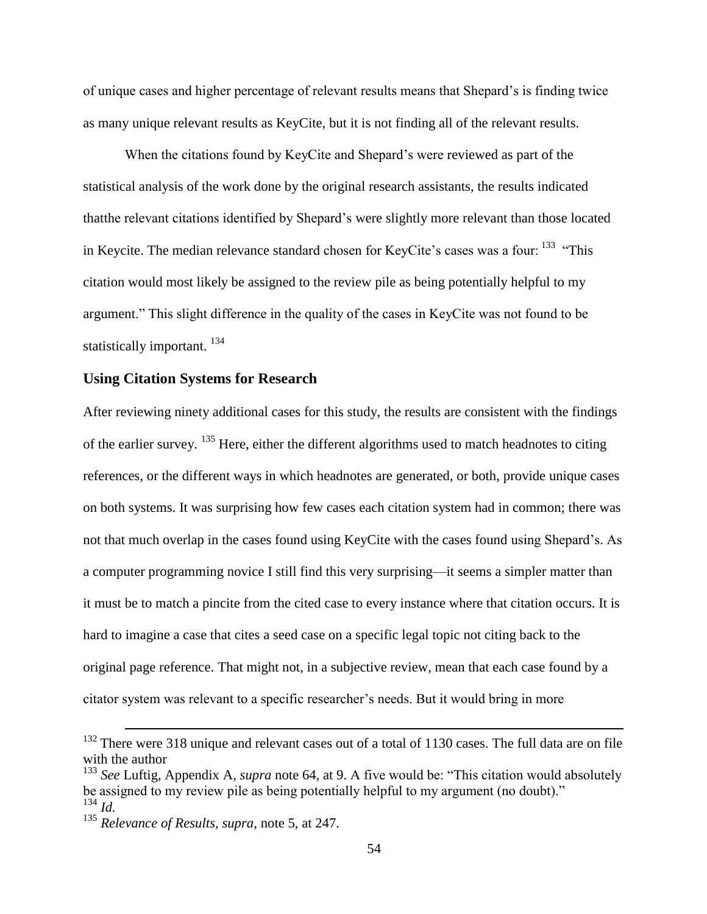of unique cases and higher percentage of relevant results means that Shepard's is finding twice as many unique relevant results as KeyCite, but it is not finding all of the relevant results.

When the citations found by KeyCite and Shepard's were reviewed as part of the statistical analysis of the work done by the original research assistants, the results indicated thatthe relevant citations identified by Shepard's were slightly more relevant than those located in Keycite. The median relevance standard chosen for KeyCite's cases was a four: <sup>133</sup> "This citation would most likely be assigned to the review pile as being potentially helpful to my argument." This slight difference in the quality of the cases in KeyCite was not found to be statistically important. <sup>134</sup>

### **Using Citation Systems for Research**

After reviewing ninety additional cases for this study, the results are consistent with the findings of the earlier survey. <sup>135</sup> Here, either the different algorithms used to match headnotes to citing references, or the different ways in which headnotes are generated, or both, provide unique cases on both systems. It was surprising how few cases each citation system had in common; there was not that much overlap in the cases found using KeyCite with the cases found using Shepard's. As a computer programming novice I still find this very surprising—it seems a simpler matter than it must be to match a pincite from the cited case to every instance where that citation occurs. It is hard to imagine a case that cites a seed case on a specific legal topic not citing back to the original page reference. That might not, in a subjective review, mean that each case found by a citator system was relevant to a specific researcher's needs. But it would bring in more

<sup>&</sup>lt;sup>132</sup> There were 318 unique and relevant cases out of a total of 1130 cases. The full data are on file with the author

<sup>133</sup> *See* Luftig, Appendix A, *supra* note 64, at 9. A five would be: "This citation would absolutely be assigned to my review pile as being potentially helpful to my argument (no doubt)."  $^{134}$  *Id.* 

<sup>135</sup> *Relevance of Results, supra,* note 5, at 247.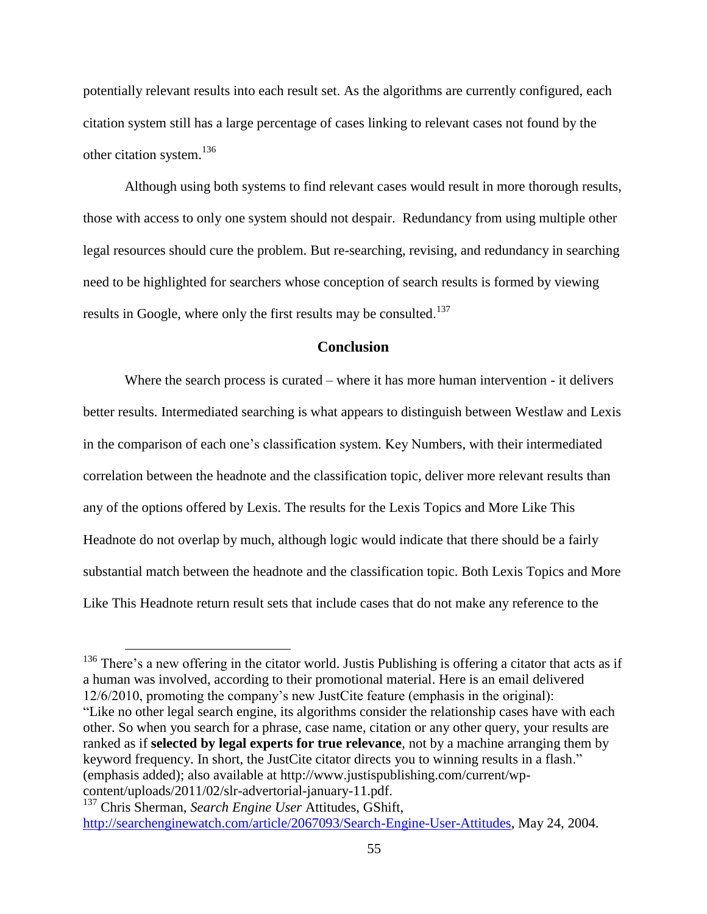potentially relevant results into each result set. As the algorithms are currently configured, each citation system still has a large percentage of cases linking to relevant cases not found by the other citation system.<sup>136</sup>

Although using both systems to find relevant cases would result in more thorough results, those with access to only one system should not despair. Redundancy from using multiple other legal resources should cure the problem. But re-searching, revising, and redundancy in searching need to be highlighted for searchers whose conception of search results is formed by viewing results in Google, where only the first results may be consulted.<sup>137</sup>

### **Conclusion**

Where the search process is curated – where it has more human intervention - it delivers better results. Intermediated searching is what appears to distinguish between Westlaw and Lexis in the comparison of each one's classification system. Key Numbers, with their intermediated correlation between the headnote and the classification topic, deliver more relevant results than any of the options offered by Lexis. The results for the Lexis Topics and More Like This Headnote do not overlap by much, although logic would indicate that there should be a fairly substantial match between the headnote and the classification topic. Both Lexis Topics and More Like This Headnote return result sets that include cases that do not make any reference to the

 $136$  There's a new offering in the citator world. Justis Publishing is offering a citator that acts as if a human was involved, according to their promotional material. Here is an email delivered 12/6/2010, promoting the company's new JustCite feature (emphasis in the original): "Like no other legal search engine, its algorithms consider the relationship cases have with each other. So when you search for a phrase, case name, citation or any other query, your results are ranked as if **selected by legal experts for true relevance**, not by a machine arranging them by keyword frequency. In short, the JustCite citator directs you to winning results in a flash." (emphasis added); also available at http://www.justispublishing.com/current/wpcontent/uploads/2011/02/slr-advertorial-january-11.pdf.

<sup>137</sup> Chris Sherman, *Search Engine User* Attitudes, GShift, [http://searchenginewatch.com/article/2067093/Search-Engine-User-Attitudes,](http://searchenginewatch.com/article/2067093/Search-Engine-User-Attitudes) May 24, 2004.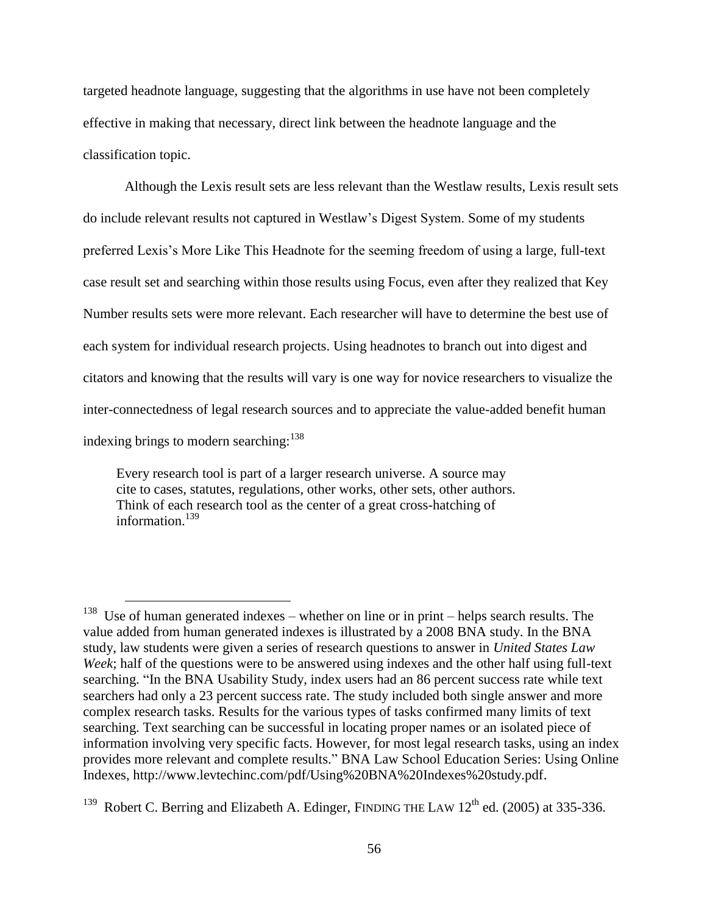targeted headnote language, suggesting that the algorithms in use have not been completely effective in making that necessary, direct link between the headnote language and the classification topic.

Although the Lexis result sets are less relevant than the Westlaw results, Lexis result sets do include relevant results not captured in Westlaw's Digest System. Some of my students preferred Lexis's More Like This Headnote for the seeming freedom of using a large, full-text case result set and searching within those results using Focus, even after they realized that Key Number results sets were more relevant. Each researcher will have to determine the best use of each system for individual research projects. Using headnotes to branch out into digest and citators and knowing that the results will vary is one way for novice researchers to visualize the inter-connectedness of legal research sources and to appreciate the value-added benefit human indexing brings to modern searching:<sup>138</sup>

Every research tool is part of a larger research universe. A source may cite to cases, statutes, regulations, other works, other sets, other authors. Think of each research tool as the center of a great cross-hatching of information. $139$ 

<sup>138</sup> Use of human generated indexes – whether on line or in print – helps search results. The value added from human generated indexes is illustrated by a 2008 BNA study. In the BNA study, law students were given a series of research questions to answer in *United States Law Week*; half of the questions were to be answered using indexes and the other half using full-text searching. "In the BNA Usability Study, index users had an 86 percent success rate while text searchers had only a 23 percent success rate. The study included both single answer and more complex research tasks. Results for the various types of tasks confirmed many limits of text searching. Text searching can be successful in locating proper names or an isolated piece of information involving very specific facts. However, for most legal research tasks, using an index provides more relevant and complete results." BNA Law School Education Series: Using Online Indexes, http://www.levtechinc.com/pdf/Using%20BNA%20Indexes%20study.pdf.

<sup>139</sup> Robert C. Berring and Elizabeth A. Edinger, FINDING THE LAW  $12^{th}$  ed. (2005) at 335-336.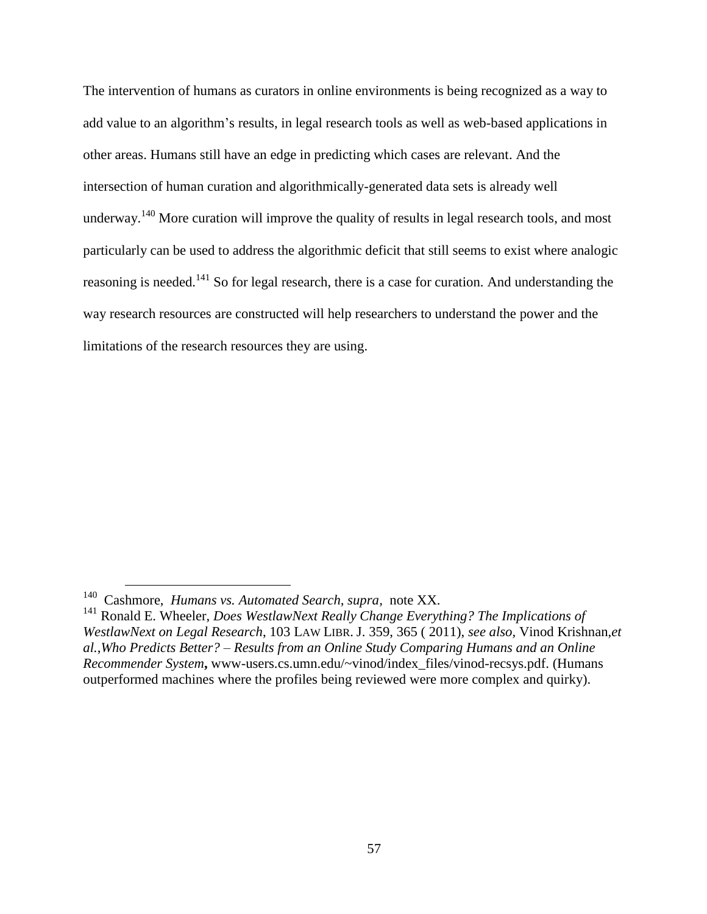The intervention of humans as curators in online environments is being recognized as a way to add value to an algorithm's results, in legal research tools as well as web-based applications in other areas. Humans still have an edge in predicting which cases are relevant. And the intersection of human curation and algorithmically-generated data sets is already well underway.<sup>140</sup> More curation will improve the quality of results in legal research tools, and most particularly can be used to address the algorithmic deficit that still seems to exist where analogic reasoning is needed.<sup>141</sup> So for legal research, there is a case for curation. And understanding the way research resources are constructed will help researchers to understand the power and the limitations of the research resources they are using.

 140 Cashmore, *Humans vs. Automated Search, supra,* note XX.

<sup>141</sup> Ronald E. Wheeler, *Does WestlawNext Really Change Everything? The Implications of WestlawNext on Legal Research*, 103 LAW LIBR. J. 359, 365 ( 2011), *see also,* Vinod Krishnan,*et al.*,*Who Predicts Better? – Results from an Online Study Comparing Humans and an Online Recommender System***,** www-users.cs.umn.edu/~vinod/index\_files/vinod-recsys.pdf. (Humans outperformed machines where the profiles being reviewed were more complex and quirky).